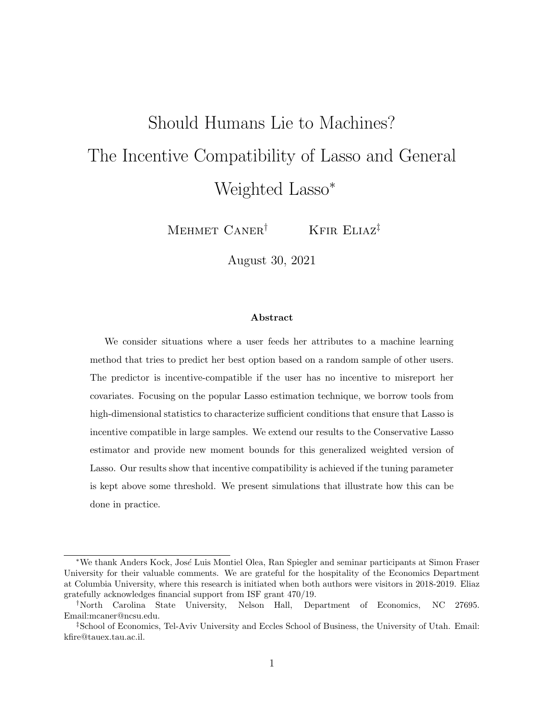# Should Humans Lie to Machines? The Incentive Compatibility of Lasso and General Weighted Lasso<sup>\*</sup>

MEHMET  $CANER^{\dagger}$  KFIR ELIAZ<sup>‡</sup>

August 30, 2021

#### Abstract

We consider situations where a user feeds her attributes to a machine learning method that tries to predict her best option based on a random sample of other users. The predictor is incentive-compatible if the user has no incentive to misreport her covariates. Focusing on the popular Lasso estimation technique, we borrow tools from high-dimensional statistics to characterize sufficient conditions that ensure that Lasso is incentive compatible in large samples. We extend our results to the Conservative Lasso estimator and provide new moment bounds for this generalized weighted version of Lasso. Our results show that incentive compatibility is achieved if the tuning parameter is kept above some threshold. We present simulations that illustrate how this can be done in practice.

<sup>∗</sup>We thank Anders Kock, Jos´e Luis Montiel Olea, Ran Spiegler and seminar participants at Simon Fraser University for their valuable comments. We are grateful for the hospitality of the Economics Department at Columbia University, where this research is initiated when both authors were visitors in 2018-2019. Eliaz gratefully acknowledges financial support from ISF grant 470/19.

<sup>†</sup>North Carolina State University, Nelson Hall, Department of Economics, NC 27695. Email:mcaner@ncsu.edu.

<sup>‡</sup>School of Economics, Tel-Aviv University and Eccles School of Business, the University of Utah. Email: kfire@tauex.tau.ac.il.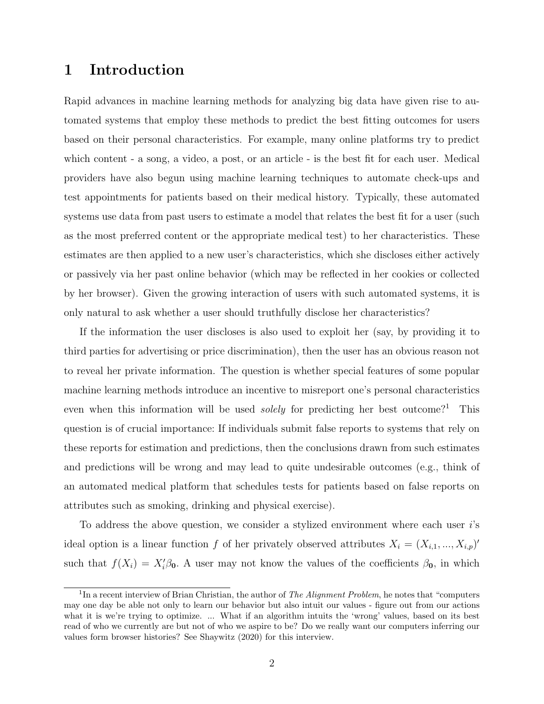## 1 Introduction

Rapid advances in machine learning methods for analyzing big data have given rise to automated systems that employ these methods to predict the best fitting outcomes for users based on their personal characteristics. For example, many online platforms try to predict which content - a song, a video, a post, or an article - is the best fit for each user. Medical providers have also begun using machine learning techniques to automate check-ups and test appointments for patients based on their medical history. Typically, these automated systems use data from past users to estimate a model that relates the best fit for a user (such as the most preferred content or the appropriate medical test) to her characteristics. These estimates are then applied to a new user's characteristics, which she discloses either actively or passively via her past online behavior (which may be reflected in her cookies or collected by her browser). Given the growing interaction of users with such automated systems, it is only natural to ask whether a user should truthfully disclose her characteristics?

If the information the user discloses is also used to exploit her (say, by providing it to third parties for advertising or price discrimination), then the user has an obvious reason not to reveal her private information. The question is whether special features of some popular machine learning methods introduce an incentive to misreport one's personal characteristics even when this information will be used *solely* for predicting her best outcome?<sup>1</sup> This question is of crucial importance: If individuals submit false reports to systems that rely on these reports for estimation and predictions, then the conclusions drawn from such estimates and predictions will be wrong and may lead to quite undesirable outcomes (e.g., think of an automated medical platform that schedules tests for patients based on false reports on attributes such as smoking, drinking and physical exercise).

To address the above question, we consider a stylized environment where each user i's ideal option is a linear function f of her privately observed attributes  $X_i = (X_{i,1},...,X_{i,p})'$ such that  $f(X_i) = X_i' \beta_0$ . A user may not know the values of the coefficients  $\beta_0$ , in which

<sup>&</sup>lt;sup>1</sup>In a recent interview of Brian Christian, the author of *The Alignment Problem*, he notes that "computers" may one day be able not only to learn our behavior but also intuit our values - figure out from our actions what it is we're trying to optimize. ... What if an algorithm intuits the 'wrong' values, based on its best read of who we currently are but not of who we aspire to be? Do we really want our computers inferring our values form browser histories? See Shaywitz (2020) for this interview.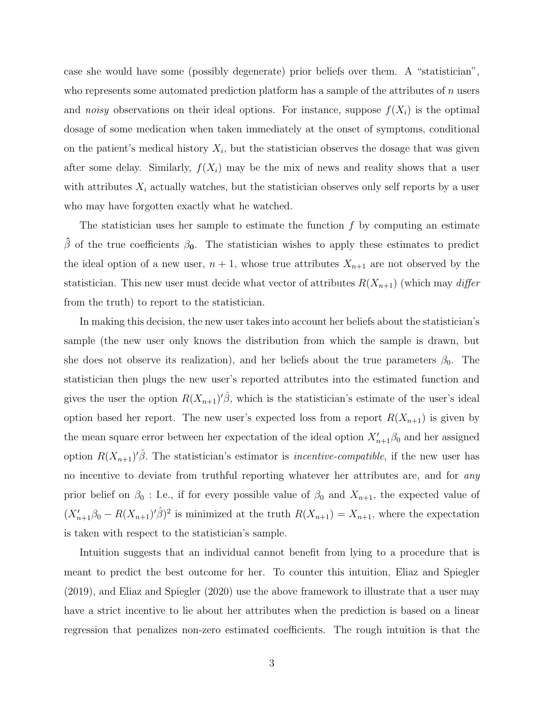case she would have some (possibly degenerate) prior beliefs over them. A "statistician", who represents some automated prediction platform has a sample of the attributes of  $n$  users and noisy observations on their ideal options. For instance, suppose  $f(X_i)$  is the optimal dosage of some medication when taken immediately at the onset of symptoms, conditional on the patient's medical history  $X_i$ , but the statistician observes the dosage that was given after some delay. Similarly,  $f(X_i)$  may be the mix of news and reality shows that a user with attributes  $X_i$  actually watches, but the statistician observes only self reports by a user who may have forgotten exactly what he watched.

The statistician uses her sample to estimate the function  $f$  by computing an estimate  $\hat{\beta}$  of the true coefficients  $\beta_0$ . The statistician wishes to apply these estimates to predict the ideal option of a new user,  $n + 1$ , whose true attributes  $X_{n+1}$  are not observed by the statistician. This new user must decide what vector of attributes  $R(X_{n+1})$  (which may differ from the truth) to report to the statistician.

In making this decision, the new user takes into account her beliefs about the statistician's sample (the new user only knows the distribution from which the sample is drawn, but she does not observe its realization), and her beliefs about the true parameters  $\beta_0$ . The statistician then plugs the new user's reported attributes into the estimated function and gives the user the option  $R(X_{n+1})' \hat{\beta}$ , which is the statistician's estimate of the user's ideal option based her report. The new user's expected loss from a report  $R(X_{n+1})$  is given by the mean square error between her expectation of the ideal option  $X'_{n+1}\beta_0$  and her assigned option  $R(X_{n+1})' \hat{\beta}$ . The statistician's estimator is *incentive-compatible*, if the new user has no incentive to deviate from truthful reporting whatever her attributes are, and for *any* prior belief on  $\beta_0$ : I.e., if for every possible value of  $\beta_0$  and  $X_{n+1}$ , the expected value of  $(X_{n+1}'\beta_0 - R(X_{n+1})'_{\beta})^2$  is minimized at the truth  $R(X_{n+1}) = X_{n+1}$ , where the expectation is taken with respect to the statistician's sample.

Intuition suggests that an individual cannot benefit from lying to a procedure that is meant to predict the best outcome for her. To counter this intuition, Eliaz and Spiegler (2019), and Eliaz and Spiegler (2020) use the above framework to illustrate that a user may have a strict incentive to lie about her attributes when the prediction is based on a linear regression that penalizes non-zero estimated coefficients. The rough intuition is that the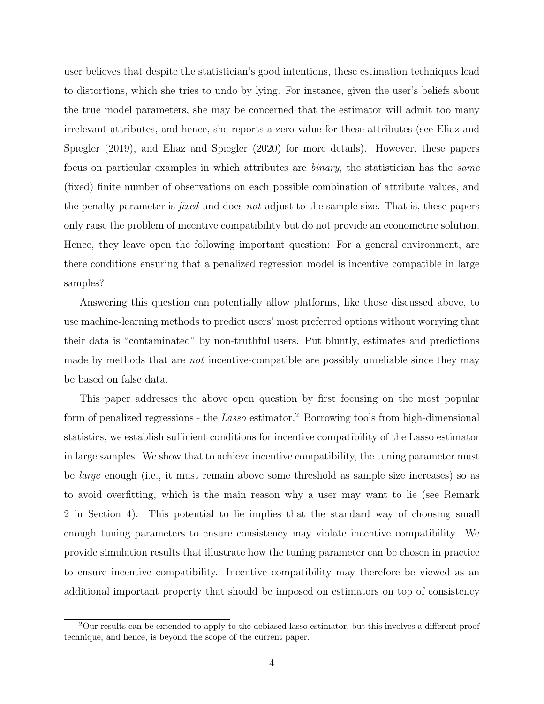user believes that despite the statistician's good intentions, these estimation techniques lead to distortions, which she tries to undo by lying. For instance, given the user's beliefs about the true model parameters, she may be concerned that the estimator will admit too many irrelevant attributes, and hence, she reports a zero value for these attributes (see Eliaz and Spiegler (2019), and Eliaz and Spiegler (2020) for more details). However, these papers focus on particular examples in which attributes are binary, the statistician has the same (fixed) finite number of observations on each possible combination of attribute values, and the penalty parameter is fixed and does not adjust to the sample size. That is, these papers only raise the problem of incentive compatibility but do not provide an econometric solution. Hence, they leave open the following important question: For a general environment, are there conditions ensuring that a penalized regression model is incentive compatible in large samples?

Answering this question can potentially allow platforms, like those discussed above, to use machine-learning methods to predict users' most preferred options without worrying that their data is "contaminated" by non-truthful users. Put bluntly, estimates and predictions made by methods that are *not* incentive-compatible are possibly unreliable since they may be based on false data.

This paper addresses the above open question by first focusing on the most popular form of penalized regressions - the Lasso estimator.<sup>2</sup> Borrowing tools from high-dimensional statistics, we establish sufficient conditions for incentive compatibility of the Lasso estimator in large samples. We show that to achieve incentive compatibility, the tuning parameter must be large enough (i.e., it must remain above some threshold as sample size increases) so as to avoid overfitting, which is the main reason why a user may want to lie (see Remark 2 in Section 4). This potential to lie implies that the standard way of choosing small enough tuning parameters to ensure consistency may violate incentive compatibility. We provide simulation results that illustrate how the tuning parameter can be chosen in practice to ensure incentive compatibility. Incentive compatibility may therefore be viewed as an additional important property that should be imposed on estimators on top of consistency

<sup>2</sup>Our results can be extended to apply to the debiased lasso estimator, but this involves a different proof technique, and hence, is beyond the scope of the current paper.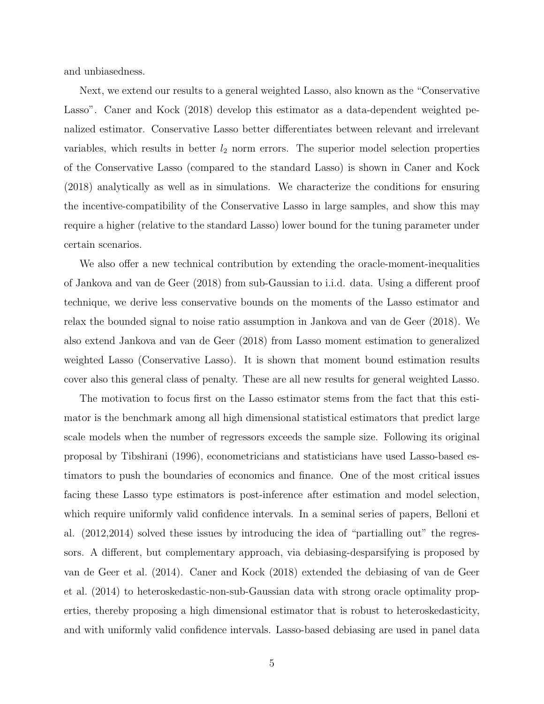and unbiasedness.

Next, we extend our results to a general weighted Lasso, also known as the "Conservative Lasso". Caner and Kock (2018) develop this estimator as a data-dependent weighted penalized estimator. Conservative Lasso better differentiates between relevant and irrelevant variables, which results in better  $l_2$  norm errors. The superior model selection properties of the Conservative Lasso (compared to the standard Lasso) is shown in Caner and Kock (2018) analytically as well as in simulations. We characterize the conditions for ensuring the incentive-compatibility of the Conservative Lasso in large samples, and show this may require a higher (relative to the standard Lasso) lower bound for the tuning parameter under certain scenarios.

We also offer a new technical contribution by extending the oracle-moment-inequalities of Jankova and van de Geer (2018) from sub-Gaussian to i.i.d. data. Using a different proof technique, we derive less conservative bounds on the moments of the Lasso estimator and relax the bounded signal to noise ratio assumption in Jankova and van de Geer (2018). We also extend Jankova and van de Geer (2018) from Lasso moment estimation to generalized weighted Lasso (Conservative Lasso). It is shown that moment bound estimation results cover also this general class of penalty. These are all new results for general weighted Lasso.

The motivation to focus first on the Lasso estimator stems from the fact that this estimator is the benchmark among all high dimensional statistical estimators that predict large scale models when the number of regressors exceeds the sample size. Following its original proposal by Tibshirani (1996), econometricians and statisticians have used Lasso-based estimators to push the boundaries of economics and finance. One of the most critical issues facing these Lasso type estimators is post-inference after estimation and model selection, which require uniformly valid confidence intervals. In a seminal series of papers, Belloni et al. (2012,2014) solved these issues by introducing the idea of "partialling out" the regressors. A different, but complementary approach, via debiasing-desparsifying is proposed by van de Geer et al. (2014). Caner and Kock (2018) extended the debiasing of van de Geer et al. (2014) to heteroskedastic-non-sub-Gaussian data with strong oracle optimality properties, thereby proposing a high dimensional estimator that is robust to heteroskedasticity, and with uniformly valid confidence intervals. Lasso-based debiasing are used in panel data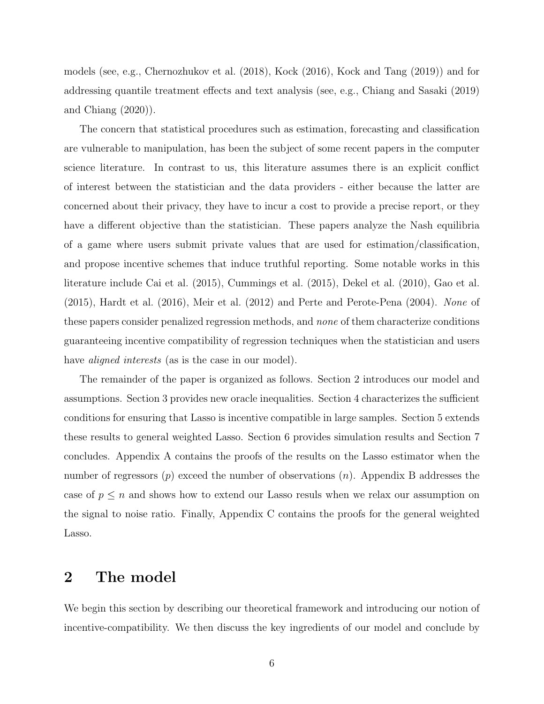models (see, e.g., Chernozhukov et al. (2018), Kock (2016), Kock and Tang (2019)) and for addressing quantile treatment effects and text analysis (see, e.g., Chiang and Sasaki (2019) and Chiang (2020)).

The concern that statistical procedures such as estimation, forecasting and classification are vulnerable to manipulation, has been the subject of some recent papers in the computer science literature. In contrast to us, this literature assumes there is an explicit conflict of interest between the statistician and the data providers - either because the latter are concerned about their privacy, they have to incur a cost to provide a precise report, or they have a different objective than the statistician. These papers analyze the Nash equilibria of a game where users submit private values that are used for estimation/classification, and propose incentive schemes that induce truthful reporting. Some notable works in this literature include Cai et al. (2015), Cummings et al. (2015), Dekel et al. (2010), Gao et al. (2015), Hardt et al. (2016), Meir et al. (2012) and Perte and Perote-Pena (2004). None of these papers consider penalized regression methods, and none of them characterize conditions guaranteeing incentive compatibility of regression techniques when the statistician and users have *aligned interests* (as is the case in our model).

The remainder of the paper is organized as follows. Section 2 introduces our model and assumptions. Section 3 provides new oracle inequalities. Section 4 characterizes the sufficient conditions for ensuring that Lasso is incentive compatible in large samples. Section 5 extends these results to general weighted Lasso. Section 6 provides simulation results and Section 7 concludes. Appendix A contains the proofs of the results on the Lasso estimator when the number of regressors  $(p)$  exceed the number of observations  $(n)$ . Appendix B addresses the case of  $p \leq n$  and shows how to extend our Lasso resuls when we relax our assumption on the signal to noise ratio. Finally, Appendix C contains the proofs for the general weighted Lasso.

## 2 The model

We begin this section by describing our theoretical framework and introducing our notion of incentive-compatibility. We then discuss the key ingredients of our model and conclude by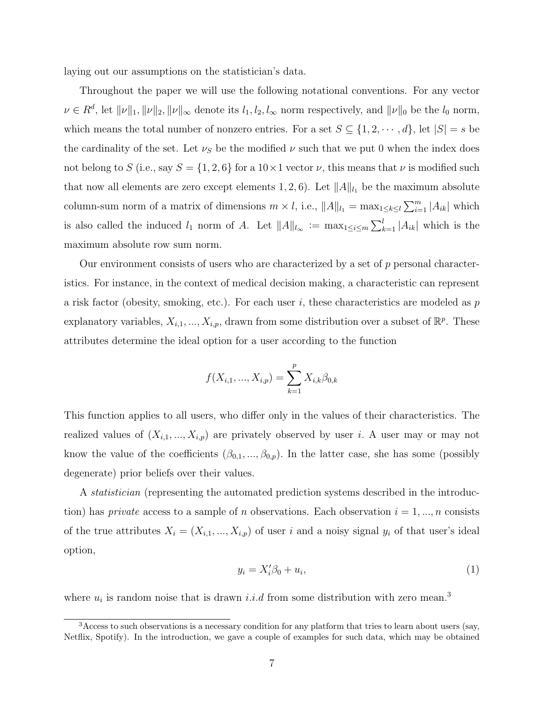laying out our assumptions on the statistician's data.

Throughout the paper we will use the following notational conventions. For any vector  $\nu \in R^d$ , let  $\|\nu\|_1, \|\nu\|_2, \|\nu\|_{\infty}$  denote its  $l_1, l_2, l_{\infty}$  norm respectively, and  $\|\nu\|_0$  be the  $l_0$  norm, which means the total number of nonzero entries. For a set  $S \subseteq \{1, 2, \dots, d\}$ , let  $|S| = s$  be the cardinality of the set. Let  $\nu_s$  be the modified  $\nu$  such that we put 0 when the index does not belong to S (i.e., say  $S = \{1, 2, 6\}$  for a  $10 \times 1$  vector  $\nu$ , this means that  $\nu$  is modified such that now all elements are zero except elements 1, 2, 6). Let  $||A||_{l_1}$  be the maximum absolute column-sum norm of a matrix of dimensions  $m \times l$ , i.e.,  $||A||_{l_1} = \max_{1 \leq k \leq l} \sum_{i=1}^m |A_{ik}|$  which is also called the induced  $l_1$  norm of A. Let  $||A||_{l_{\infty}} := \max_{1 \leq i \leq m} \sum_{k=1}^{l} |A_{ik}|$  which is the maximum absolute row sum norm.

Our environment consists of users who are characterized by a set of  $p$  personal characteristics. For instance, in the context of medical decision making, a characteristic can represent a risk factor (obesity, smoking, etc.). For each user i, these characteristics are modeled as  $p$ explanatory variables,  $X_{i,1},...,X_{i,p}$ , drawn from some distribution over a subset of  $\mathbb{R}^p$ . These attributes determine the ideal option for a user according to the function

$$
f(X_{i,1},...,X_{i,p}) = \sum_{k=1}^{p} X_{i,k} \beta_{0,k}
$$

This function applies to all users, who differ only in the values of their characteristics. The realized values of  $(X_{i,1},...,X_{i,p})$  are privately observed by user i. A user may or may not know the value of the coefficients  $(\beta_{0,1}, ..., \beta_{0,p})$ . In the latter case, she has some (possibly degenerate) prior beliefs over their values.

A statistician (representing the automated prediction systems described in the introduction) has *private* access to a sample of *n* observations. Each observation  $i = 1, ..., n$  consists of the true attributes  $X_i = (X_{i,1},...,X_{i,p})$  of user i and a noisy signal  $y_i$  of that user's ideal option,

$$
y_i = X_i'\beta_0 + u_i,\tag{1}
$$

where  $u_i$  is random noise that is drawn *i.i.d* from some distribution with zero mean.<sup>3</sup>

<sup>&</sup>lt;sup>3</sup> Access to such observations is a necessary condition for any platform that tries to learn about users (say, Netflix, Spotify). In the introduction, we gave a couple of examples for such data, which may be obtained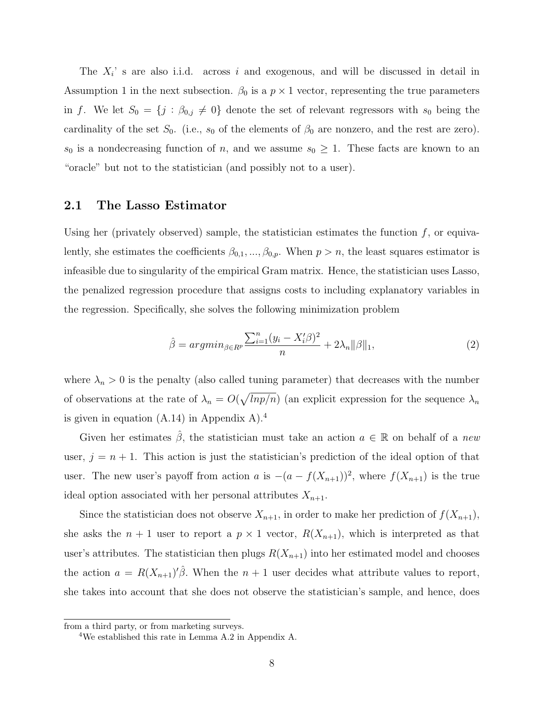The  $X_i$ ' s are also i.i.d. across i and exogenous, and will be discussed in detail in Assumption 1 in the next subsection.  $\beta_0$  is a  $p \times 1$  vector, representing the true parameters in f. We let  $S_0 = \{j : \beta_{0,j} \neq 0\}$  denote the set of relevant regressors with  $s_0$  being the cardinality of the set  $S_0$ . (i.e.,  $s_0$  of the elements of  $\beta_0$  are nonzero, and the rest are zero).  $s_0$  is a nondecreasing function of n, and we assume  $s_0 \geq 1$ . These facts are known to an "oracle" but not to the statistician (and possibly not to a user).

#### 2.1 The Lasso Estimator

Using her (privately observed) sample, the statistician estimates the function  $f$ , or equivalently, she estimates the coefficients  $\beta_{0,1},...,\beta_{0,p}$ . When  $p > n$ , the least squares estimator is infeasible due to singularity of the empirical Gram matrix. Hence, the statistician uses Lasso, the penalized regression procedure that assigns costs to including explanatory variables in the regression. Specifically, she solves the following minimization problem

$$
\hat{\beta} = argmin_{\beta \in R^p} \frac{\sum_{i=1}^n (y_i - X_i'\beta)^2}{n} + 2\lambda_n ||\beta||_1,\tag{2}
$$

where  $\lambda_n > 0$  is the penalty (also called tuning parameter) that decreases with the number of observations at the rate of  $\lambda_n = O(\sqrt{lnp/n})$  (an explicit expression for the sequence  $\lambda_n$ is given in equation  $(A.14)$  in Appendix A).<sup>4</sup>

Given her estimates  $\hat{\beta}$ , the statistician must take an action  $a \in \mathbb{R}$  on behalf of a new user,  $j = n + 1$ . This action is just the statistician's prediction of the ideal option of that user. The new user's payoff from action a is  $-(a - f(X_{n+1}))^2$ , where  $f(X_{n+1})$  is the true ideal option associated with her personal attributes  $X_{n+1}$ .

Since the statistician does not observe  $X_{n+1}$ , in order to make her prediction of  $f(X_{n+1})$ , she asks the  $n + 1$  user to report a  $p \times 1$  vector,  $R(X_{n+1})$ , which is interpreted as that user's attributes. The statistician then plugs  $R(X_{n+1})$  into her estimated model and chooses the action  $a = R(X_{n+1})' \hat{\beta}$ . When the  $n+1$  user decides what attribute values to report, she takes into account that she does not observe the statistician's sample, and hence, does

from a third party, or from marketing surveys.

<sup>4</sup>We established this rate in Lemma A.2 in Appendix A.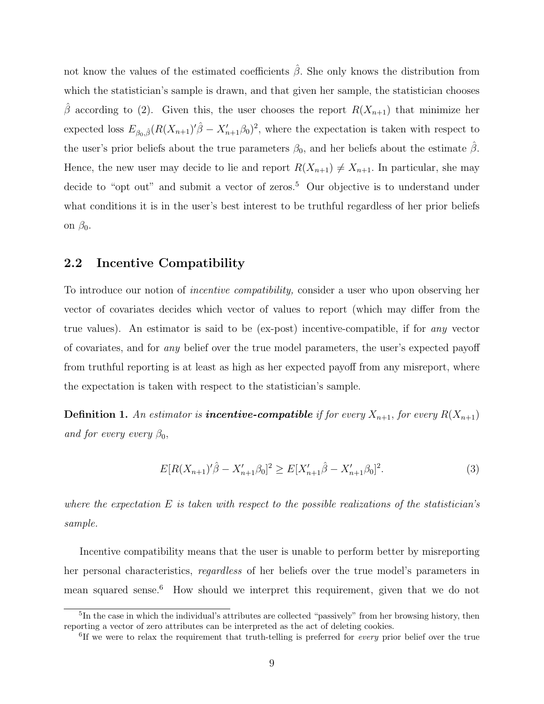not know the values of the estimated coefficients  $\hat{\beta}$ . She only knows the distribution from which the statistician's sample is drawn, and that given her sample, the statistician chooses  $\hat{\beta}$  according to (2). Given this, the user chooses the report  $R(X_{n+1})$  that minimize her expected loss  $E_{\beta_0,\hat{\beta}}(R(X_{n+1})'\hat{\beta} - X'_{n+1}\beta_0)^2$ , where the expectation is taken with respect to the user's prior beliefs about the true parameters  $\beta_0$ , and her beliefs about the estimate  $\hat{\beta}$ . Hence, the new user may decide to lie and report  $R(X_{n+1}) \neq X_{n+1}$ . In particular, she may decide to "opt out" and submit a vector of zeros.<sup>5</sup> Our objective is to understand under what conditions it is in the user's best interest to be truthful regardless of her prior beliefs on  $\beta_0$ .

#### 2.2 Incentive Compatibility

To introduce our notion of incentive compatibility, consider a user who upon observing her vector of covariates decides which vector of values to report (which may differ from the true values). An estimator is said to be (ex-post) incentive-compatible, if for any vector of covariates, and for any belief over the true model parameters, the user's expected payoff from truthful reporting is at least as high as her expected payoff from any misreport, where the expectation is taken with respect to the statistician's sample.

**Definition 1.** An estimator is **incentive-compatible** if for every  $X_{n+1}$ , for every  $R(X_{n+1})$ and for every every  $\beta_0$ ,

$$
E[R(X_{n+1})'\hat{\beta} - X'_{n+1}\beta_0]^2 \ge E[X'_{n+1}\hat{\beta} - X'_{n+1}\beta_0]^2.
$$
\n(3)

where the expectation  $E$  is taken with respect to the possible realizations of the statistician's sample.

Incentive compatibility means that the user is unable to perform better by misreporting her personal characteristics, regardless of her beliefs over the true model's parameters in mean squared sense.<sup>6</sup> How should we interpret this requirement, given that we do not

<sup>&</sup>lt;sup>5</sup>In the case in which the individual's attributes are collected "passively" from her browsing history, then reporting a vector of zero attributes can be interpreted as the act of deleting cookies.

<sup>&</sup>lt;sup>6</sup>If we were to relax the requirement that truth-telling is preferred for *every* prior belief over the true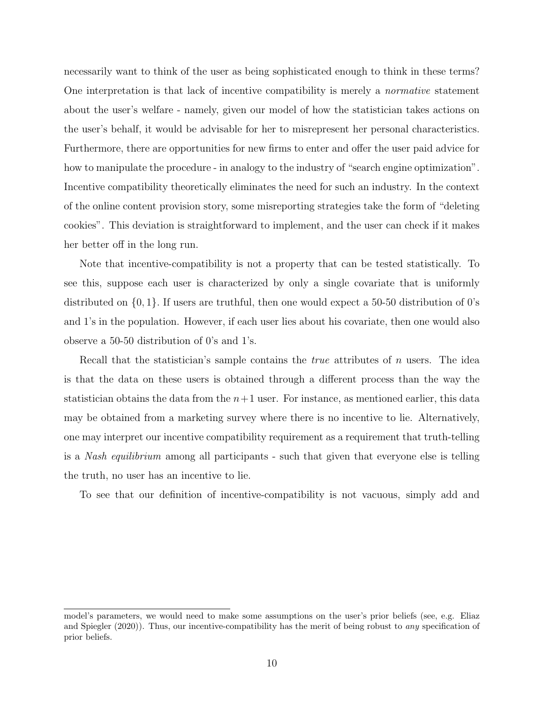necessarily want to think of the user as being sophisticated enough to think in these terms? One interpretation is that lack of incentive compatibility is merely a normative statement about the user's welfare - namely, given our model of how the statistician takes actions on the user's behalf, it would be advisable for her to misrepresent her personal characteristics. Furthermore, there are opportunities for new firms to enter and offer the user paid advice for how to manipulate the procedure - in analogy to the industry of "search engine optimization". Incentive compatibility theoretically eliminates the need for such an industry. In the context of the online content provision story, some misreporting strategies take the form of "deleting cookies". This deviation is straightforward to implement, and the user can check if it makes her better off in the long run.

Note that incentive-compatibility is not a property that can be tested statistically. To see this, suppose each user is characterized by only a single covariate that is uniformly distributed on  $\{0, 1\}$ . If users are truthful, then one would expect a 50-50 distribution of 0's and 1's in the population. However, if each user lies about his covariate, then one would also observe a 50-50 distribution of 0's and 1's.

Recall that the statistician's sample contains the *true* attributes of n users. The idea is that the data on these users is obtained through a different process than the way the statistician obtains the data from the  $n+1$  user. For instance, as mentioned earlier, this data may be obtained from a marketing survey where there is no incentive to lie. Alternatively, one may interpret our incentive compatibility requirement as a requirement that truth-telling is a Nash equilibrium among all participants - such that given that everyone else is telling the truth, no user has an incentive to lie.

To see that our definition of incentive-compatibility is not vacuous, simply add and

model's parameters, we would need to make some assumptions on the user's prior beliefs (see, e.g. Eliaz and Spiegler (2020)). Thus, our incentive-compatibility has the merit of being robust to any specification of prior beliefs.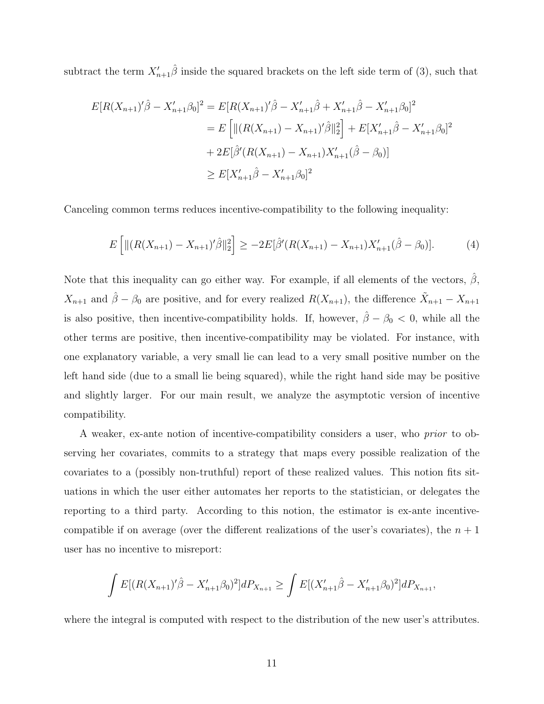subtract the term  $X'_{n+1}\hat{\beta}$  inside the squared brackets on the left side term of (3), such that

$$
E[R(X_{n+1})'\hat{\beta} - X'_{n+1}\beta_0]^2 = E[R(X_{n+1})'\hat{\beta} - X'_{n+1}\hat{\beta} + X'_{n+1}\hat{\beta} - X'_{n+1}\beta_0]^2
$$
  
\n
$$
= E\left[\|(R(X_{n+1}) - X_{n+1})'\hat{\beta}\|_2^2\right] + E[X'_{n+1}\hat{\beta} - X'_{n+1}\beta_0]^2
$$
  
\n
$$
+ 2E[\hat{\beta}'(R(X_{n+1}) - X_{n+1})X'_{n+1}(\hat{\beta} - \beta_0)]
$$
  
\n
$$
\geq E[X'_{n+1}\hat{\beta} - X'_{n+1}\beta_0]^2
$$

Canceling common terms reduces incentive-compatibility to the following inequality:

$$
E\left[\|(R(X_{n+1}) - X_{n+1})'\hat{\beta}\|_2^2\right] \ge -2E[\hat{\beta}'(R(X_{n+1}) - X_{n+1})X'_{n+1}(\hat{\beta} - \beta_0)].\tag{4}
$$

Note that this inequality can go either way. For example, if all elements of the vectors,  $\hat{\beta}$ ,  $X_{n+1}$  and  $\hat{\beta} - \beta_0$  are positive, and for every realized  $R(X_{n+1})$ , the difference  $\tilde{X}_{n+1} - X_{n+1}$ is also positive, then incentive-compatibility holds. If, however,  $\hat{\beta} - \beta_0 < 0$ , while all the other terms are positive, then incentive-compatibility may be violated. For instance, with one explanatory variable, a very small lie can lead to a very small positive number on the left hand side (due to a small lie being squared), while the right hand side may be positive and slightly larger. For our main result, we analyze the asymptotic version of incentive compatibility.

A weaker, ex-ante notion of incentive-compatibility considers a user, who prior to observing her covariates, commits to a strategy that maps every possible realization of the covariates to a (possibly non-truthful) report of these realized values. This notion fits situations in which the user either automates her reports to the statistician, or delegates the reporting to a third party. According to this notion, the estimator is ex-ante incentivecompatible if on average (over the different realizations of the user's covariates), the  $n+1$ user has no incentive to misreport:

$$
\int E[(R(X_{n+1})'\hat{\beta} - X'_{n+1}\beta_0)^2]dP_{X_{n+1}} \ge \int E[(X'_{n+1}\hat{\beta} - X'_{n+1}\beta_0)^2]dP_{X_{n+1}},
$$

where the integral is computed with respect to the distribution of the new user's attributes.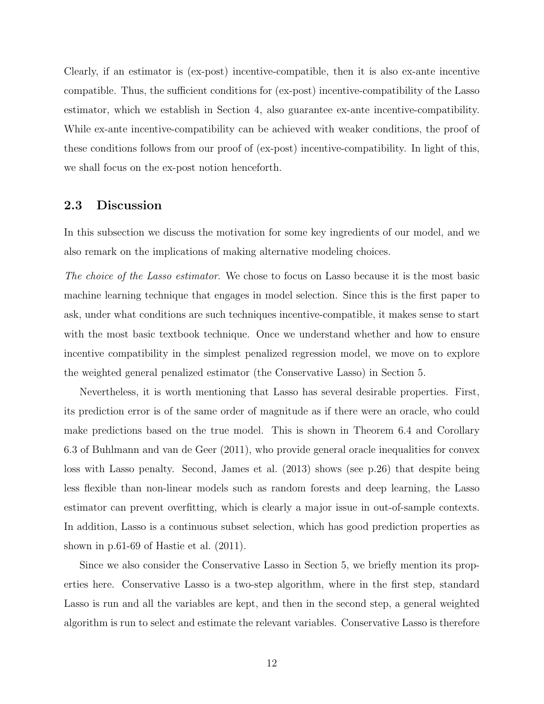Clearly, if an estimator is (ex-post) incentive-compatible, then it is also ex-ante incentive compatible. Thus, the sufficient conditions for (ex-post) incentive-compatibility of the Lasso estimator, which we establish in Section 4, also guarantee ex-ante incentive-compatibility. While ex-ante incentive-compatibility can be achieved with weaker conditions, the proof of these conditions follows from our proof of (ex-post) incentive-compatibility. In light of this, we shall focus on the ex-post notion henceforth.

#### 2.3 Discussion

In this subsection we discuss the motivation for some key ingredients of our model, and we also remark on the implications of making alternative modeling choices.

The choice of the Lasso estimator. We chose to focus on Lasso because it is the most basic machine learning technique that engages in model selection. Since this is the first paper to ask, under what conditions are such techniques incentive-compatible, it makes sense to start with the most basic textbook technique. Once we understand whether and how to ensure incentive compatibility in the simplest penalized regression model, we move on to explore the weighted general penalized estimator (the Conservative Lasso) in Section 5.

Nevertheless, it is worth mentioning that Lasso has several desirable properties. First, its prediction error is of the same order of magnitude as if there were an oracle, who could make predictions based on the true model. This is shown in Theorem 6.4 and Corollary 6.3 of Buhlmann and van de Geer (2011), who provide general oracle inequalities for convex loss with Lasso penalty. Second, James et al. (2013) shows (see p.26) that despite being less flexible than non-linear models such as random forests and deep learning, the Lasso estimator can prevent overfitting, which is clearly a major issue in out-of-sample contexts. In addition, Lasso is a continuous subset selection, which has good prediction properties as shown in p.61-69 of Hastie et al. (2011).

Since we also consider the Conservative Lasso in Section 5, we briefly mention its properties here. Conservative Lasso is a two-step algorithm, where in the first step, standard Lasso is run and all the variables are kept, and then in the second step, a general weighted algorithm is run to select and estimate the relevant variables. Conservative Lasso is therefore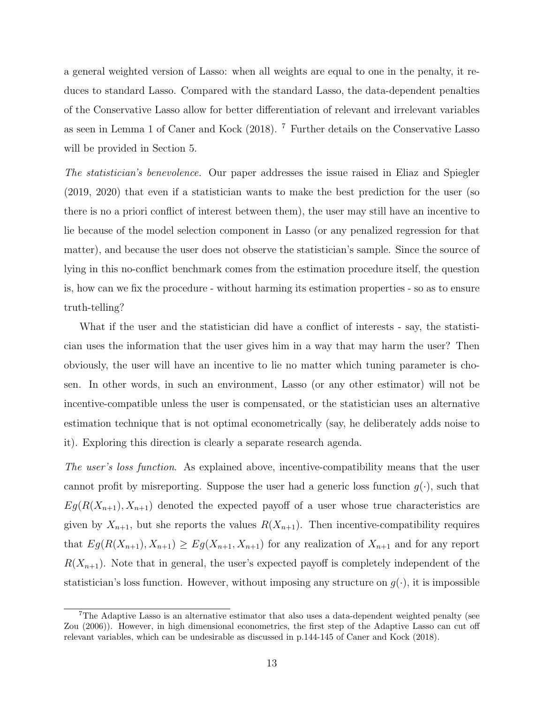a general weighted version of Lasso: when all weights are equal to one in the penalty, it reduces to standard Lasso. Compared with the standard Lasso, the data-dependent penalties of the Conservative Lasso allow for better differentiation of relevant and irrelevant variables as seen in Lemma 1 of Caner and Kock (2018). <sup>7</sup> Further details on the Conservative Lasso will be provided in Section 5.

The statistician's benevolence. Our paper addresses the issue raised in Eliaz and Spiegler (2019, 2020) that even if a statistician wants to make the best prediction for the user (so there is no a priori conflict of interest between them), the user may still have an incentive to lie because of the model selection component in Lasso (or any penalized regression for that matter), and because the user does not observe the statistician's sample. Since the source of lying in this no-conflict benchmark comes from the estimation procedure itself, the question is, how can we fix the procedure - without harming its estimation properties - so as to ensure truth-telling?

What if the user and the statistician did have a conflict of interests - say, the statistician uses the information that the user gives him in a way that may harm the user? Then obviously, the user will have an incentive to lie no matter which tuning parameter is chosen. In other words, in such an environment, Lasso (or any other estimator) will not be incentive-compatible unless the user is compensated, or the statistician uses an alternative estimation technique that is not optimal econometrically (say, he deliberately adds noise to it). Exploring this direction is clearly a separate research agenda.

The user's loss function. As explained above, incentive-compatibility means that the user cannot profit by misreporting. Suppose the user had a generic loss function  $g(\cdot)$ , such that  $Eg(R(X_{n+1}), X_{n+1})$  denoted the expected payoff of a user whose true characteristics are given by  $X_{n+1}$ , but she reports the values  $R(X_{n+1})$ . Then incentive-compatibility requires that  $E_g(R(X_{n+1}), X_{n+1}) \ge Eg(X_{n+1}, X_{n+1})$  for any realization of  $X_{n+1}$  and for any report  $R(X_{n+1})$ . Note that in general, the user's expected payoff is completely independent of the statistician's loss function. However, without imposing any structure on  $g(\cdot)$ , it is impossible

<sup>7</sup>The Adaptive Lasso is an alternative estimator that also uses a data-dependent weighted penalty (see Zou (2006)). However, in high dimensional econometrics, the first step of the Adaptive Lasso can cut off relevant variables, which can be undesirable as discussed in p.144-145 of Caner and Kock (2018).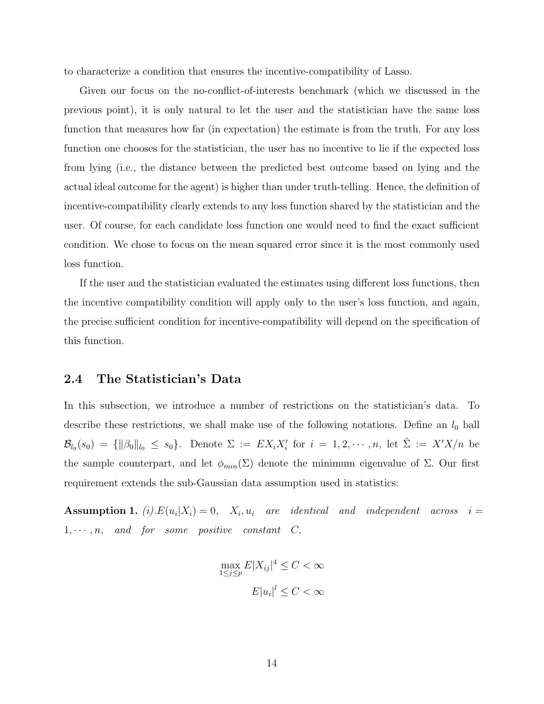to characterize a condition that ensures the incentive-compatibility of Lasso.

Given our focus on the no-conflict-of-interests benchmark (which we discussed in the previous point), it is only natural to let the user and the statistician have the same loss function that measures how far (in expectation) the estimate is from the truth. For any loss function one chooses for the statistician, the user has no incentive to lie if the expected loss from lying (i.e., the distance between the predicted best outcome based on lying and the actual ideal outcome for the agent) is higher than under truth-telling. Hence, the definition of incentive-compatibility clearly extends to any loss function shared by the statistician and the user. Of course, for each candidate loss function one would need to find the exact sufficient condition. We chose to focus on the mean squared error since it is the most commonly used loss function.

If the user and the statistician evaluated the estimates using different loss functions, then the incentive compatibility condition will apply only to the user's loss function, and again, the precise sufficient condition for incentive-compatibility will depend on the specification of this function.

#### 2.4 The Statistician's Data

In this subsection, we introduce a number of restrictions on the statistician's data. To describe these restrictions, we shall make use of the following notations. Define an  $l_0$  ball  $\mathcal{B}_{l_0}(s_0) = \{\|\beta_0\|_{l_0} \leq s_0\}.$  Denote  $\Sigma := EX_iX_i'$  for  $i = 1, 2, \cdots, n$ , let  $\hat{\Sigma} := X'X/n$  be the sample counterpart, and let  $\phi_{min}(\Sigma)$  denote the minimum eigenvalue of  $\Sigma$ . Our first requirement extends the sub-Gaussian data assumption used in statistics:

**Assumption 1.** (i). $E(u_i|X_i) = 0$ ,  $X_i, u_i$  are identical and independent across  $i =$  $1, \dots, n$ , and for some positive constant  $C$ ,

$$
\max_{1 \le j \le p} E|X_{ij}|^4 \le C < \infty
$$

$$
E|u_i|^l \le C < \infty
$$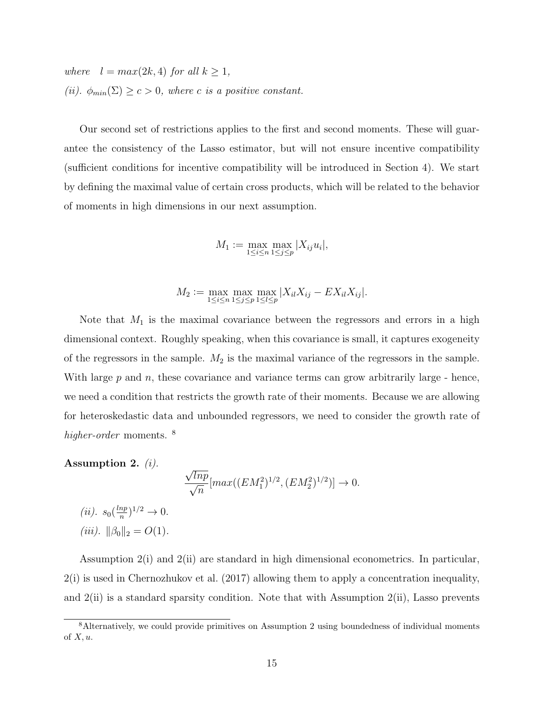where  $l = max(2k, 4)$  for all  $k \geq 1$ , (ii).  $\phi_{min}(\Sigma) \ge c > 0$ , where c is a positive constant.

Our second set of restrictions applies to the first and second moments. These will guarantee the consistency of the Lasso estimator, but will not ensure incentive compatibility (sufficient conditions for incentive compatibility will be introduced in Section 4). We start by defining the maximal value of certain cross products, which will be related to the behavior of moments in high dimensions in our next assumption.

$$
M_1 := \max_{1 \le i \le n} \max_{1 \le j \le p} |X_{ij} u_i|,
$$

$$
M_2 := \max_{1 \le i \le n} \max_{1 \le j \le p} \max_{1 \le l \le p} |X_{il} X_{ij} - E X_{il} X_{ij}|.
$$

Note that  $M_1$  is the maximal covariance between the regressors and errors in a high dimensional context. Roughly speaking, when this covariance is small, it captures exogeneity of the regressors in the sample.  $M_2$  is the maximal variance of the regressors in the sample. With large  $p$  and  $n$ , these covariance and variance terms can grow arbitrarily large - hence, we need a condition that restricts the growth rate of their moments. Because we are allowing for heteroskedastic data and unbounded regressors, we need to consider the growth rate of higher-order moments.<sup>8</sup>

Assumption 2.  $(i)$ . √  $\frac{\sqrt{lnp}}{2}$  $\overline{n}$  $[max((EM_1^2)^{1/2}, (EM_2^2)^{1/2})] \rightarrow 0.$ (*ii*).  $s_0(\frac{lnp}{n})^{1/2} \to 0$ .

(*ii*). 
$$
30\binom{n}{n} = O(1)
$$
.

Assumption 2(i) and 2(ii) are standard in high dimensional econometrics. In particular, 2(i) is used in Chernozhukov et al. (2017) allowing them to apply a concentration inequality, and 2(ii) is a standard sparsity condition. Note that with Assumption 2(ii), Lasso prevents

<sup>&</sup>lt;sup>8</sup>Alternatively, we could provide primitives on Assumption 2 using boundedness of individual moments of  $X, u$ .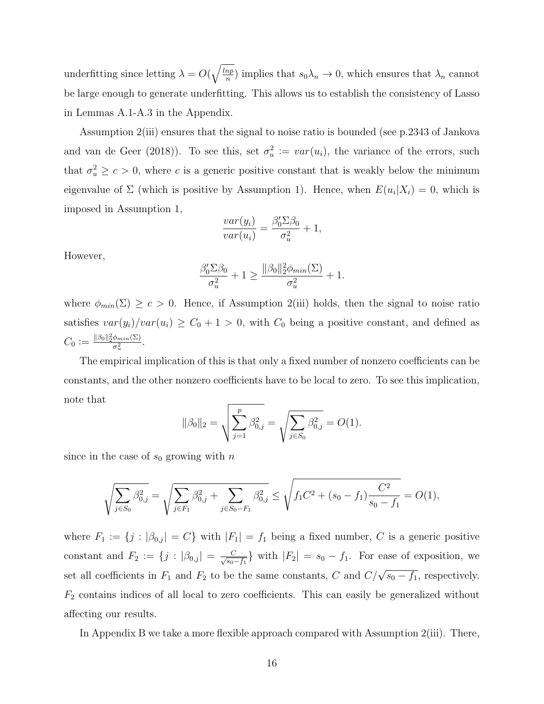underfitting since letting  $\lambda = O(\sqrt{\frac{lnp}{n}})$  $\frac{np}{n}$ ) implies that  $s_0\lambda_n \to 0$ , which ensures that  $\lambda_n$  cannot be large enough to generate underfitting. This allows us to establish the consistency of Lasso in Lemmas A.1-A.3 in the Appendix.

Assumption 2(iii) ensures that the signal to noise ratio is bounded (see p.2343 of Jankova and van de Geer (2018)). To see this, set  $\sigma_u^2 := \text{var}(u_i)$ , the variance of the errors, such that  $\sigma_u^2 \geq c > 0$ , where c is a generic positive constant that is weakly below the minimum eigenvalue of  $\Sigma$  (which is positive by Assumption 1). Hence, when  $E(u_i|X_i) = 0$ , which is imposed in Assumption 1,

$$
\frac{var(y_i)}{var(u_i)} = \frac{\beta_0' \Sigma \beta_0}{\sigma_u^2} + 1,
$$

However,

$$
\frac{\beta_0' \Sigma \beta_0}{\sigma_u^2} + 1 \ge \frac{\|\beta_0\|_2^2 \phi_{min}(\Sigma)}{\sigma_u^2} + 1.
$$

where  $\phi_{min}(\Sigma) \geq c > 0$ . Hence, if Assumption 2(iii) holds, then the signal to noise ratio satisfies  $var(y_i)/var(u_i) \ge C_0 + 1 > 0$ , with  $C_0$  being a positive constant, and defined as  $C_0 \vcentcolon= \frac{\|\beta_0\|_2^2\phi_{min}(\Sigma)}{\sigma^2}$  $\frac{\varphi_{min}(\Sigma)}{\sigma_u^2}$ .

The empirical implication of this is that only a fixed number of nonzero coefficients can be constants, and the other nonzero coefficients have to be local to zero. To see this implication, note that

$$
\|\beta_0\|_2 = \sqrt{\sum_{j=1}^p \beta_{0,j}^2} = \sqrt{\sum_{j \in S_0} \beta_{0,j}^2} = O(1).
$$

since in the case of  $s_0$  growing with n

$$
\sqrt{\sum_{j \in S_0} \beta_{0,j}^2} = \sqrt{\sum_{j \in F_1} \beta_{0,j}^2 + \sum_{j \in S_0 - F_1} \beta_{0,j}^2} \le \sqrt{f_1 C^2 + (s_0 - f_1) \frac{C^2}{s_0 - f_1}} = O(1),
$$

where  $F_1 := \{j : |\beta_{0,j}| = C\}$  with  $|F_1| = f_1$  being a fixed number, C is a generic positive constant and  $F_2 := \{j : |\beta_{0,j}| = \frac{C}{\sqrt{80}}\}$  $\frac{C}{s_0-f_1}$  with  $|F_2| = s_0 - f_1$ . For ease of exposition, we set all coefficients in  $F_1$  and  $F_2$  to be the same constants, C and  $C/\sqrt{s_0-f_1}$ , respectively.  $F_2$  contains indices of all local to zero coefficients. This can easily be generalized without affecting our results.

In Appendix B we take a more flexible approach compared with Assumption 2(iii). There,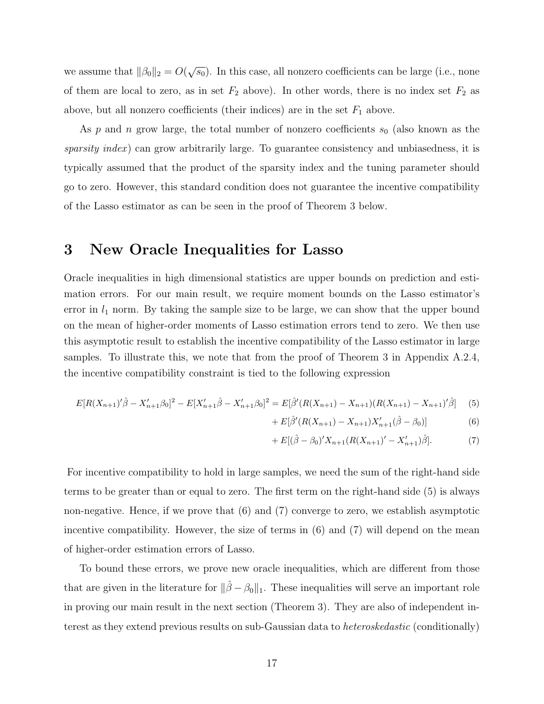we assume that  $\|\beta_0\|_2 = O(\sqrt{s_0})$ . In this case, all nonzero coefficients can be large (i.e., none of them are local to zero, as in set  $F_2$  above). In other words, there is no index set  $F_2$  as above, but all nonzero coefficients (their indices) are in the set  $F_1$  above.

As  $p$  and  $n$  grow large, the total number of nonzero coefficients  $s_0$  (also known as the sparsity index) can grow arbitrarily large. To guarantee consistency and unbiasedness, it is typically assumed that the product of the sparsity index and the tuning parameter should go to zero. However, this standard condition does not guarantee the incentive compatibility of the Lasso estimator as can be seen in the proof of Theorem 3 below.

## 3 New Oracle Inequalities for Lasso

Oracle inequalities in high dimensional statistics are upper bounds on prediction and estimation errors. For our main result, we require moment bounds on the Lasso estimator's error in  $l_1$  norm. By taking the sample size to be large, we can show that the upper bound on the mean of higher-order moments of Lasso estimation errors tend to zero. We then use this asymptotic result to establish the incentive compatibility of the Lasso estimator in large samples. To illustrate this, we note that from the proof of Theorem 3 in Appendix A.2.4, the incentive compatibility constraint is tied to the following expression

$$
E[R(X_{n+1})'\hat{\beta} - X'_{n+1}\beta_0]^2 - E[X'_{n+1}\hat{\beta} - X'_{n+1}\beta_0]^2 = E[\hat{\beta}'(R(X_{n+1}) - X_{n+1})(R(X_{n+1}) - X_{n+1})'\hat{\beta}] \tag{5}
$$

+ 
$$
E[\hat{\beta}'(R(X_{n+1}) - X_{n+1})X'_{n+1}(\hat{\beta} - \beta_0)]
$$
 (6)

+ 
$$
E[(\hat{\beta} - \beta_0)'X_{n+1}(R(X_{n+1})' - X'_{n+1})\hat{\beta}].
$$
 (7)

For incentive compatibility to hold in large samples, we need the sum of the right-hand side terms to be greater than or equal to zero. The first term on the right-hand side (5) is always non-negative. Hence, if we prove that (6) and (7) converge to zero, we establish asymptotic incentive compatibility. However, the size of terms in (6) and (7) will depend on the mean of higher-order estimation errors of Lasso.

To bound these errors, we prove new oracle inequalities, which are different from those that are given in the literature for  $\|\hat{\beta} - \beta_0\|_1$ . These inequalities will serve an important role in proving our main result in the next section (Theorem 3). They are also of independent interest as they extend previous results on sub-Gaussian data to heteroskedastic (conditionally)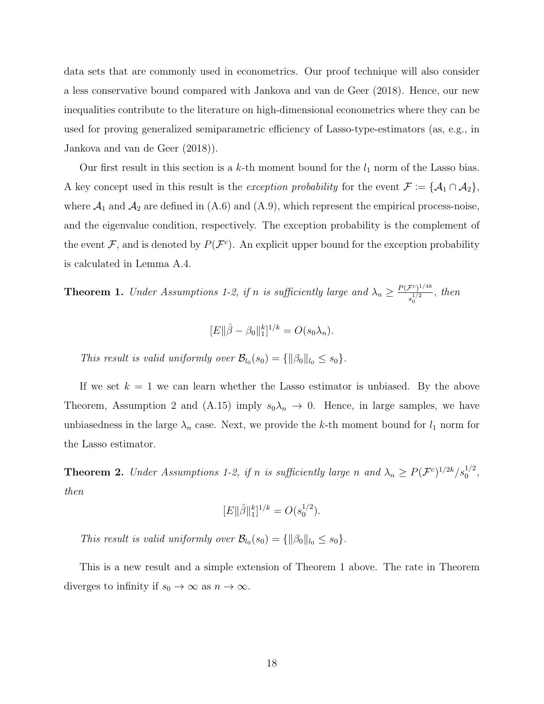data sets that are commonly used in econometrics. Our proof technique will also consider a less conservative bound compared with Jankova and van de Geer (2018). Hence, our new inequalities contribute to the literature on high-dimensional econometrics where they can be used for proving generalized semiparametric efficiency of Lasso-type-estimators (as, e.g., in Jankova and van de Geer (2018)).

Our first result in this section is a k-th moment bound for the  $l_1$  norm of the Lasso bias. A key concept used in this result is the *exception probability* for the event  $\mathcal{F} := \{A_1 \cap A_2\}$ , where  $A_1$  and  $A_2$  are defined in (A.6) and (A.9), which represent the empirical process-noise, and the eigenvalue condition, respectively. The exception probability is the complement of the event F, and is denoted by  $P(F<sup>c</sup>)$ . An explicit upper bound for the exception probability is calculated in Lemma A.4.

**Theorem 1.** Under Assumptions 1-2, if n is sufficiently large and  $\lambda_n \geq \frac{P(\mathcal{F}^c)^{1/4k}}{1/2}$  $\frac{f^{(2)}(1/2)}{s_0^{1/2}}$ , then

$$
[E||\hat{\beta} - \beta_0||_1^k]^{1/k} = O(s_0\lambda_n).
$$

This result is valid uniformly over  $\mathcal{B}_{l_0}(s_0) = \{ ||\beta_0||_{l_0} \leq s_0 \}.$ 

If we set  $k = 1$  we can learn whether the Lasso estimator is unbiased. By the above Theorem, Assumption 2 and (A.15) imply  $s_0\lambda_n \to 0$ . Hence, in large samples, we have unbiasedness in the large  $\lambda_n$  case. Next, we provide the k-th moment bound for  $l_1$  norm for the Lasso estimator.

**Theorem 2.** Under Assumptions 1-2, if n is sufficiently large n and  $\lambda_n \ge P(\mathcal{F}^c)^{1/2k}/s_0^{1/2}$ , then

$$
[E||\hat{\beta}||_1^k]^{1/k} = O(s_0^{1/2}).
$$

This result is valid uniformly over  $\mathcal{B}_{l_0}(s_0) = \{ ||\beta_0||_{l_0} \leq s_0 \}.$ 

This is a new result and a simple extension of Theorem 1 above. The rate in Theorem diverges to infinity if  $s_0 \to \infty$  as  $n \to \infty$ .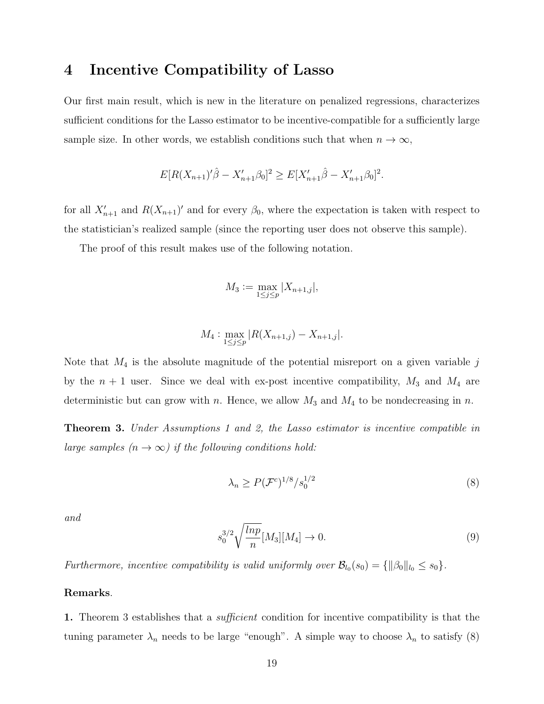## 4 Incentive Compatibility of Lasso

Our first main result, which is new in the literature on penalized regressions, characterizes sufficient conditions for the Lasso estimator to be incentive-compatible for a sufficiently large sample size. In other words, we establish conditions such that when  $n \to \infty$ ,

$$
E[R(X_{n+1})'\hat{\beta} - X'_{n+1}\beta_0]^2 \ge E[X'_{n+1}\hat{\beta} - X'_{n+1}\beta_0]^2.
$$

for all  $X'_{n+1}$  and  $R(X_{n+1})'$  and for every  $\beta_0$ , where the expectation is taken with respect to the statistician's realized sample (since the reporting user does not observe this sample).

The proof of this result makes use of the following notation.

$$
M_3 := \max_{1 \le j \le p} |X_{n+1,j}|,
$$

$$
M_4: \max_{1 \le j \le p} |R(X_{n+1,j}) - X_{n+1,j}|.
$$

Note that  $M_4$  is the absolute magnitude of the potential misreport on a given variable  $j$ by the  $n + 1$  user. Since we deal with ex-post incentive compatibility,  $M_3$  and  $M_4$  are deterministic but can grow with n. Hence, we allow  $M_3$  and  $M_4$  to be nondecreasing in n.

**Theorem 3.** Under Assumptions 1 and 2, the Lasso estimator is incentive compatible in large samples  $(n \to \infty)$  if the following conditions hold:

$$
\lambda_n \ge P(\mathcal{F}^c)^{1/8}/s_0^{1/2} \tag{8}
$$

and

$$
s_0^{3/2} \sqrt{\frac{\ln p}{n}} [M_3][M_4] \to 0. \tag{9}
$$

Furthermore, incentive compatibility is valid uniformly over  $\mathcal{B}_{l_0}(s_0) = \{ ||\beta_0||_{l_0} \leq s_0 \}.$ 

#### Remarks.

1. Theorem 3 establishes that a *sufficient* condition for incentive compatibility is that the tuning parameter  $\lambda_n$  needs to be large "enough". A simple way to choose  $\lambda_n$  to satisfy (8)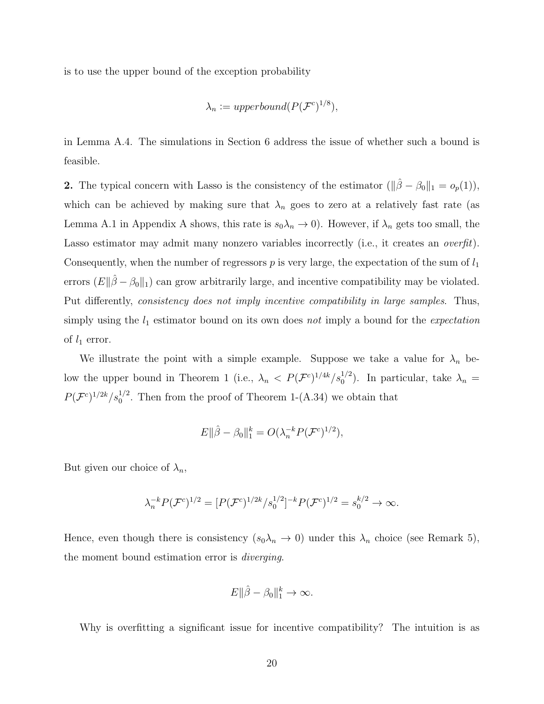is to use the upper bound of the exception probability

$$
\lambda_n := upperbound(P(\mathcal{F}^c)^{1/8}),
$$

in Lemma A.4. The simulations in Section 6 address the issue of whether such a bound is feasible.

2. The typical concern with Lasso is the consistency of the estimator  $(\|\hat{\beta} - \beta_0\|_1 = o_p(1)),$ which can be achieved by making sure that  $\lambda_n$  goes to zero at a relatively fast rate (as Lemma A.1 in Appendix A shows, this rate is  $s_0\lambda_n \to 0$ ). However, if  $\lambda_n$  gets too small, the Lasso estimator may admit many nonzero variables incorrectly (i.e., it creates an *overfit*). Consequently, when the number of regressors  $p$  is very large, the expectation of the sum of  $l_1$ errors  $(E\|\hat{\beta}-\beta_0\|_1)$  can grow arbitrarily large, and incentive compatibility may be violated. Put differently, consistency does not imply incentive compatibility in large samples. Thus, simply using the  $l_1$  estimator bound on its own does not imply a bound for the *expectation* of  $l_1$  error.

We illustrate the point with a simple example. Suppose we take a value for  $\lambda_n$  below the upper bound in Theorem 1 (i.e.,  $\lambda_n < P(\mathcal{F}^c)^{1/4k}/s_0^{1/2}$ ). In particular, take  $\lambda_n =$  $P(\mathcal{F}^c)^{1/2k}/s_0^{1/2}$ . Then from the proof of Theorem 1-(A.34) we obtain that

$$
E\Vert \hat{\beta} - \beta_0 \Vert_1^k = O(\lambda_n^{-k} P(\mathcal{F}^c)^{1/2}),
$$

But given our choice of  $\lambda_n$ ,

$$
\lambda_n^{-k} P(\mathcal{F}^c)^{1/2} = [P(\mathcal{F}^c)^{1/2k} / s_0^{1/2}]^{-k} P(\mathcal{F}^c)^{1/2} = s_0^{k/2} \to \infty.
$$

Hence, even though there is consistency  $(s_0\lambda_n \to 0)$  under this  $\lambda_n$  choice (see Remark 5), the moment bound estimation error is diverging.

$$
E\|\hat{\beta} - \beta_0\|_1^k \to \infty.
$$

Why is overfitting a significant issue for incentive compatibility? The intuition is as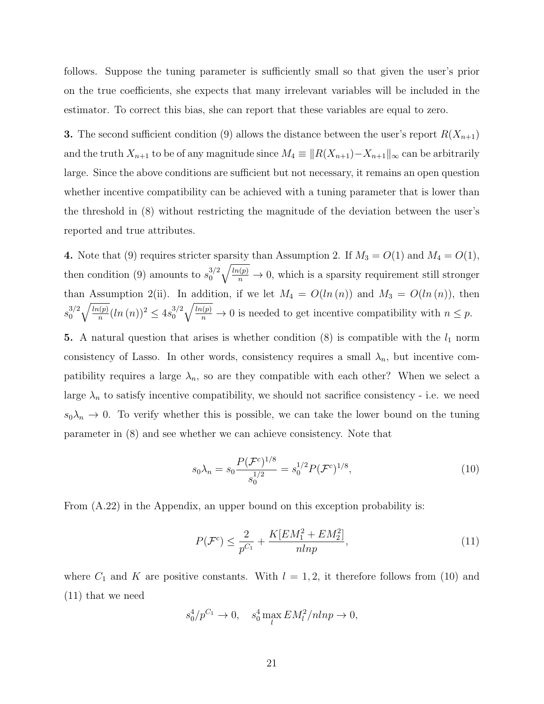follows. Suppose the tuning parameter is sufficiently small so that given the user's prior on the true coefficients, she expects that many irrelevant variables will be included in the estimator. To correct this bias, she can report that these variables are equal to zero.

**3.** The second sufficient condition (9) allows the distance between the user's report  $R(X_{n+1})$ and the truth  $X_{n+1}$  to be of any magnitude since  $M_4 \equiv ||R(X_{n+1}) - X_{n+1}||_{\infty}$  can be arbitrarily large. Since the above conditions are sufficient but not necessary, it remains an open question whether incentive compatibility can be achieved with a tuning parameter that is lower than the threshold in (8) without restricting the magnitude of the deviation between the user's reported and true attributes.

4. Note that (9) requires stricter sparsity than Assumption 2. If  $M_3 = O(1)$  and  $M_4 = O(1)$ , then condition (9) amounts to  $s_0^{3/2}$ 0  $\sqrt{\frac{\ln(p)}{n}} \to 0$ , which is a sparsity requirement still stronger than Assumption 2(ii). In addition, if we let  $M_4 = O(ln(n))$  and  $M_3 = O(ln(n))$ , then  $s_0^{3/2}$  $\boldsymbol{0}$  $\sqrt{ln(p)}$  $\frac{h(p)}{n}$  $(ln(n))^2 \leq 4s_0^{3/2}$ 0  $\sqrt{\frac{\ln(p)}{n}} \to 0$  is needed to get incentive compatibility with  $n \leq p$ .

5. A natural question that arises is whether condition  $(8)$  is compatible with the  $l_1$  norm consistency of Lasso. In other words, consistency requires a small  $\lambda_n$ , but incentive compatibility requires a large  $\lambda_n$ , so are they compatible with each other? When we select a large  $\lambda_n$  to satisfy incentive compatibility, we should not sacrifice consistency - i.e. we need  $s_0\lambda_n \to 0$ . To verify whether this is possible, we can take the lower bound on the tuning parameter in (8) and see whether we can achieve consistency. Note that

$$
s_0 \lambda_n = s_0 \frac{P(\mathcal{F}^c)^{1/8}}{s_0^{1/2}} = s_0^{1/2} P(\mathcal{F}^c)^{1/8},\tag{10}
$$

From (A.22) in the Appendix, an upper bound on this exception probability is:

$$
P(\mathcal{F}^c) \le \frac{2}{p^{C_1}} + \frac{K[EM_1^2 + EM_2^2]}{nlnp},\tag{11}
$$

where  $C_1$  and K are positive constants. With  $l = 1, 2$ , it therefore follows from (10) and (11) that we need

$$
s_0^4/p^{C_1} \to 0
$$
,  $s_0^4 \max_l EM_l^2/nlnp \to 0$ ,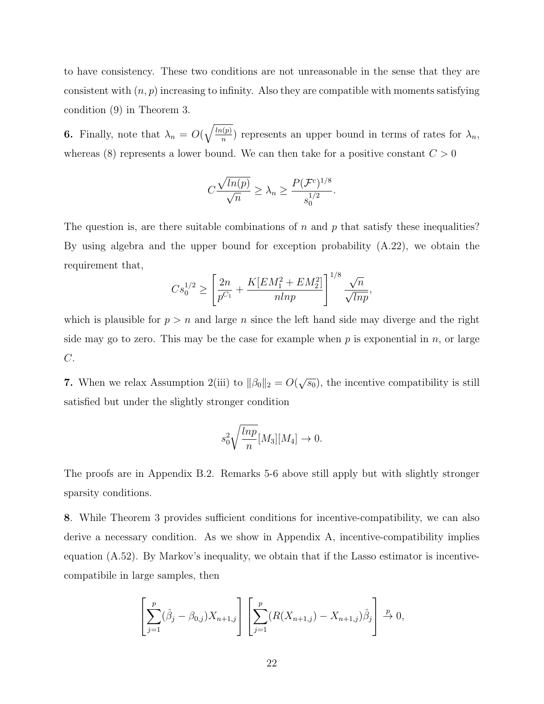to have consistency. These two conditions are not unreasonable in the sense that they are consistent with  $(n, p)$  increasing to infinity. Also they are compatible with moments satisfying condition (9) in Theorem 3.

**6.** Finally, note that  $\lambda_n = O(\sqrt{\frac{\ln(p)}{n}})$  $\binom{n(p)}{n}$  represents an upper bound in terms of rates for  $\lambda_n$ , whereas (8) represents a lower bound. We can then take for a positive constant  $C > 0$ 

$$
C\frac{\sqrt{ln(p)}}{\sqrt{n}} \ge \lambda_n \ge \frac{P(\mathcal{F}^c)^{1/8}}{s_0^{1/2}}.
$$

The question is, are there suitable combinations of n and p that satisfy these inequalities? By using algebra and the upper bound for exception probability (A.22), we obtain the requirement that,

$$
Cs_0^{1/2} \ge \left[\frac{2n}{p^{C_1}} + \frac{K[EM_1^2 + EM_2^2]}{nlnp}\right]^{1/8} \frac{\sqrt{n}}{\sqrt{lnp}},
$$

which is plausible for  $p > n$  and large n since the left hand side may diverge and the right side may go to zero. This may be the case for example when p is exponential in n, or large  $C$ .

7. When we relax Assumption 2(iii) to  $\|\beta_0\|_2 = O(\sqrt{s_0})$ , the incentive compatibility is still satisfied but under the slightly stronger condition

$$
s_0^2 \sqrt{\frac{\ln p}{n}} [M_3][M_4] \to 0.
$$

The proofs are in Appendix B.2. Remarks 5-6 above still apply but with slightly stronger sparsity conditions.

8. While Theorem 3 provides sufficient conditions for incentive-compatibility, we can also derive a necessary condition. As we show in Appendix A, incentive-compatibility implies equation (A.52). By Markov's inequality, we obtain that if the Lasso estimator is incentivecompatibile in large samples, then

$$
\left[\sum_{j=1}^{p}(\hat{\beta}_{j}-\beta_{0,j})X_{n+1,j}\right]\left[\sum_{j=1}^{p}(R(X_{n+1,j})-X_{n+1,j})\hat{\beta}_{j}\right]\stackrel{p}{\to}0,
$$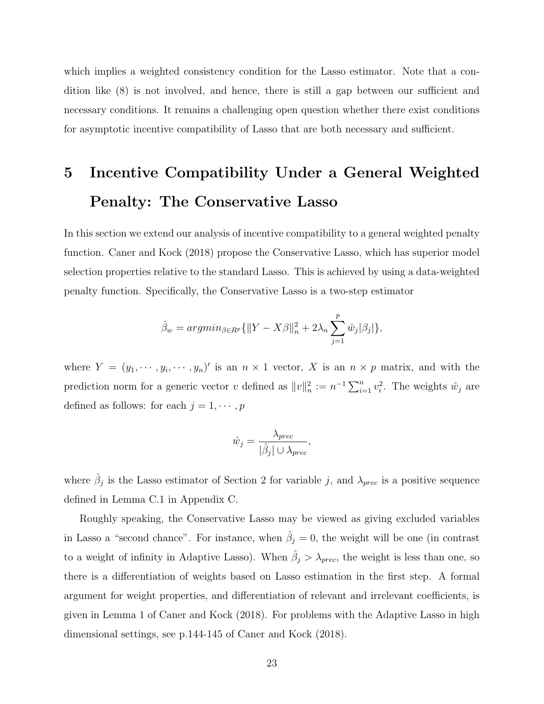which implies a weighted consistency condition for the Lasso estimator. Note that a condition like (8) is not involved, and hence, there is still a gap between our sufficient and necessary conditions. It remains a challenging open question whether there exist conditions for asymptotic incentive compatibility of Lasso that are both necessary and sufficient.

## 5 Incentive Compatibility Under a General Weighted Penalty: The Conservative Lasso

In this section we extend our analysis of incentive compatibility to a general weighted penalty function. Caner and Kock (2018) propose the Conservative Lasso, which has superior model selection properties relative to the standard Lasso. This is achieved by using a data-weighted penalty function. Specifically, the Conservative Lasso is a two-step estimator

$$
\hat{\beta}_w = \operatorname{argmin}_{\beta \in R^p} \{ ||Y - X\beta||_n^2 + 2\lambda_n \sum_{j=1}^p \hat{w}_j |\beta_j| \},
$$

where  $Y = (y_1, \dots, y_i, \dots, y_n)'$  is an  $n \times 1$  vector, X is an  $n \times p$  matrix, and with the prediction norm for a generic vector v defined as  $||v||_n^2 := n^{-1} \sum_{i=1}^n v_i^2$ . The weights  $\hat{w}_j$  are defined as follows: for each  $j = 1, \dots, p$ 

$$
\hat{w}_j = \frac{\lambda_{prec}}{|\hat{\beta}_j| \cup \lambda_{prec}},
$$

where  $\hat{\beta}_j$  is the Lasso estimator of Section 2 for variable j, and  $\lambda_{prec}$  is a positive sequence defined in Lemma C.1 in Appendix C.

Roughly speaking, the Conservative Lasso may be viewed as giving excluded variables in Lasso a "second chance". For instance, when  $\hat{\beta}_j = 0$ , the weight will be one (in contrast to a weight of infinity in Adaptive Lasso). When  $\hat{\beta}_j > \lambda_{prec}$ , the weight is less than one, so there is a differentiation of weights based on Lasso estimation in the first step. A formal argument for weight properties, and differentiation of relevant and irrelevant coefficients, is given in Lemma 1 of Caner and Kock (2018). For problems with the Adaptive Lasso in high dimensional settings, see p.144-145 of Caner and Kock (2018).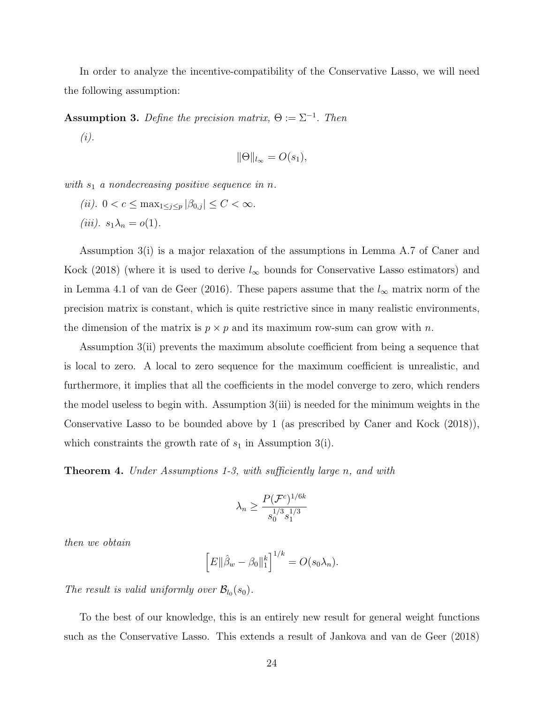In order to analyze the incentive-compatibility of the Conservative Lasso, we will need the following assumption:

**Assumption 3.** Define the precision matrix,  $\Theta := \Sigma^{-1}$ . Then

(i).

$$
\|\Theta\|_{l_{\infty}} = O(s_1),
$$

with  $s_1$  a nondecreasing positive sequence in n.

(*ii*).  $0 < c \le \max_{1 \le j \le p} |\beta_{0,j}| \le C < \infty$ . (iii).  $s_1\lambda_n = o(1)$ .

Assumption 3(i) is a major relaxation of the assumptions in Lemma A.7 of Caner and Kock (2018) (where it is used to derive  $l_{\infty}$  bounds for Conservative Lasso estimators) and in Lemma 4.1 of van de Geer (2016). These papers assume that the  $l_{\infty}$  matrix norm of the precision matrix is constant, which is quite restrictive since in many realistic environments, the dimension of the matrix is  $p \times p$  and its maximum row-sum can grow with n.

Assumption 3(ii) prevents the maximum absolute coefficient from being a sequence that is local to zero. A local to zero sequence for the maximum coefficient is unrealistic, and furthermore, it implies that all the coefficients in the model converge to zero, which renders the model useless to begin with. Assumption 3(iii) is needed for the minimum weights in the Conservative Lasso to be bounded above by 1 (as prescribed by Caner and Kock (2018)), which constraints the growth rate of  $s_1$  in Assumption 3(i).

**Theorem 4.** Under Assumptions 1-3, with sufficiently large n, and with

$$
\lambda_n \ge \frac{P(\mathcal{F}^c)^{1/6k}}{s_0^{1/3} s_1^{1/3}}
$$

then we obtain

$$
\[E\|\hat{\beta}_w - \beta_0\|_1^k\]^{1/k} = O(s_0\lambda_n).
$$

The result is valid uniformly over  $\mathcal{B}_{l_0}(s_0)$ .

To the best of our knowledge, this is an entirely new result for general weight functions such as the Conservative Lasso. This extends a result of Jankova and van de Geer (2018)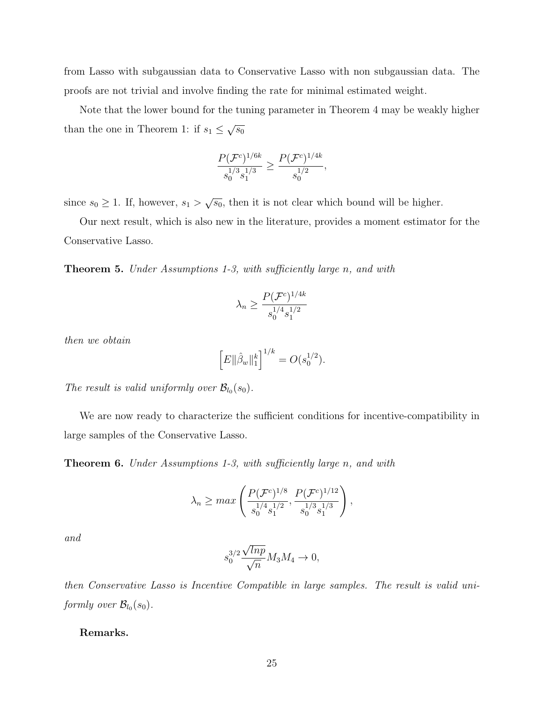from Lasso with subgaussian data to Conservative Lasso with non subgaussian data. The proofs are not trivial and involve finding the rate for minimal estimated weight.

Note that the lower bound for the tuning parameter in Theorem 4 may be weakly higher than the one in Theorem 1: if  $s_1 \leq \sqrt{s_0}$ 

$$
\frac{P(\mathcal{F}^c)^{1/6k}}{s_0^{1/3} s_1^{1/3}} \ge \frac{P(\mathcal{F}^c)^{1/4k}}{s_0^{1/2}},
$$

since  $s_0 \geq 1$ . If, however,  $s_1 > \sqrt{s_0}$ , then it is not clear which bound will be higher.

Our next result, which is also new in the literature, provides a moment estimator for the Conservative Lasso.

**Theorem 5.** Under Assumptions 1-3, with sufficiently large n, and with

$$
\lambda_n \ge \frac{P(\mathcal{F}^c)^{1/4k}}{s_0^{1/4} s_1^{1/2}}
$$

then we obtain

$$
\[E\|\hat{\beta}_w\|_1^k\]^{1/k} = O(s_0^{1/2}).
$$

The result is valid uniformly over  $\mathcal{B}_{l_0}(s_0)$ .

We are now ready to characterize the sufficient conditions for incentive-compatibility in large samples of the Conservative Lasso.

**Theorem 6.** Under Assumptions 1-3, with sufficiently large n, and with

$$
\lambda_n \ge \max\left(\frac{P(\mathcal{F}^c)^{1/8}}{s_0^{1/4} s_1^{1/2}}, \frac{P(\mathcal{F}^c)^{1/12}}{s_0^{1/3} s_1^{1/3}}\right),
$$

and

$$
s_0^{3/2} \frac{\sqrt{lnp}}{\sqrt{n}} M_3 M_4 \to 0,
$$

then Conservative Lasso is Incentive Compatible in large samples. The result is valid uniformly over  $\mathcal{B}_{l_0}(s_0)$ .

#### Remarks.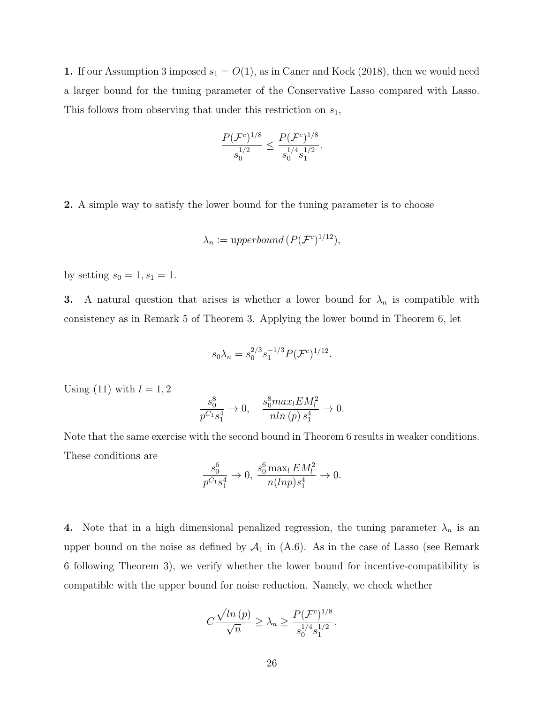1. If our Assumption 3 imposed  $s_1 = O(1)$ , as in Caner and Kock (2018), then we would need a larger bound for the tuning parameter of the Conservative Lasso compared with Lasso. This follows from observing that under this restriction on  $s_1$ ,

$$
\frac{P(\mathcal{F}^c)^{1/8}}{s_0^{1/2}} \le \frac{P(\mathcal{F}^c)^{1/8}}{s_0^{1/4} s_1^{1/2}}.
$$

2. A simple way to satisfy the lower bound for the tuning parameter is to choose

$$
\lambda_n := \text{upperbound}\,(P(\mathcal{F}^c)^{1/12}),
$$

by setting  $s_0 = 1, s_1 = 1$ .

3. A natural question that arises is whether a lower bound for  $\lambda_n$  is compatible with consistency as in Remark 5 of Theorem 3. Applying the lower bound in Theorem 6, let

$$
s_0 \lambda_n = s_0^{2/3} s_1^{-1/3} P(\mathcal{F}^c)^{1/12}.
$$

Using (11) with  $l = 1, 2$ 

$$
\frac{s_0^8}{p^{C_1}s_1^4} \to 0, \quad \frac{s_0^8 max_l EM_l^2}{n ln (p) s_1^4} \to 0.
$$

Note that the same exercise with the second bound in Theorem 6 results in weaker conditions. These conditions are

$$
\frac{s_0^6}{p^{C_1} s_1^4} \to 0, \ \frac{s_0^6 \max_l EM_l^2}{n(lnp) s_1^4} \to 0.
$$

4. Note that in a high dimensional penalized regression, the tuning parameter  $\lambda_n$  is an upper bound on the noise as defined by  $A_1$  in  $(A.6)$ . As in the case of Lasso (see Remark 6 following Theorem 3), we verify whether the lower bound for incentive-compatibility is compatible with the upper bound for noise reduction. Namely, we check whether

$$
C\frac{\sqrt{\ln{(p)}}}{\sqrt{n}} \ge \lambda_n \ge \frac{P(\mathcal{F}^c)^{1/8}}{s_0^{1/4} s_1^{1/2}}.
$$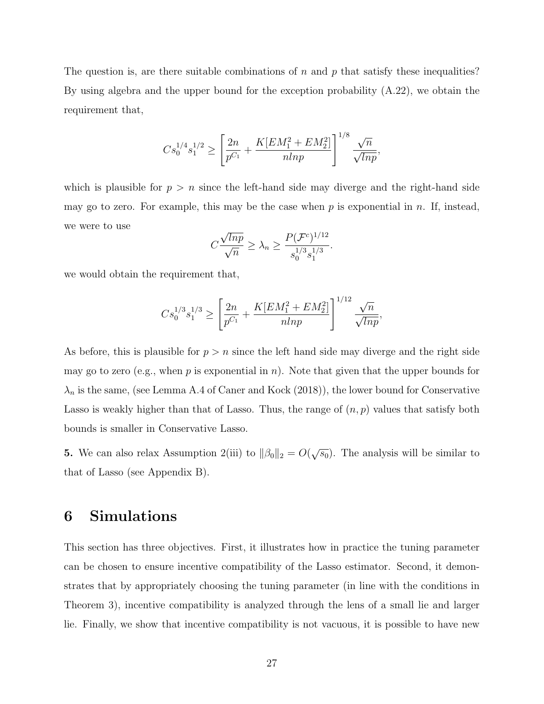The question is, are there suitable combinations of n and p that satisfy these inequalities? By using algebra and the upper bound for the exception probability (A.22), we obtain the requirement that,

$$
Cs_0^{1/4}s_1^{1/2} \ge \left[\frac{2n}{p^{C_1}} + \frac{K[EM_1^2 + EM_2^2]}{nlnp}\right]^{1/8} \frac{\sqrt{n}}{\sqrt{lnp}},
$$

which is plausible for  $p > n$  since the left-hand side may diverge and the right-hand side may go to zero. For example, this may be the case when  $p$  is exponential in n. If, instead, we were to use √

$$
C\frac{\sqrt{lnp}}{\sqrt{n}} \ge \lambda_n \ge \frac{P(\mathcal{F}^c)^{1/12}}{s_0^{1/3} s_1^{1/3}}.
$$

we would obtain the requirement that,

$$
Cs_0^{1/3}s_1^{1/3} \ge \left[\frac{2n}{p^{C_1}} + \frac{K[EM_1^2 + EM_2^2]}{nlnp}\right]^{1/12} \frac{\sqrt{n}}{\sqrt{lnp}},
$$

As before, this is plausible for  $p > n$  since the left hand side may diverge and the right side may go to zero (e.g., when  $p$  is exponential in  $n$ ). Note that given that the upper bounds for  $\lambda_n$  is the same, (see Lemma A.4 of Caner and Kock (2018)), the lower bound for Conservative Lasso is weakly higher than that of Lasso. Thus, the range of  $(n, p)$  values that satisfy both bounds is smaller in Conservative Lasso.

**5.** We can also relax Assumption 2(iii) to  $\|\beta_0\|_2 = O(\sqrt{s_0})$ . The analysis will be similar to that of Lasso (see Appendix B).

## 6 Simulations

This section has three objectives. First, it illustrates how in practice the tuning parameter can be chosen to ensure incentive compatibility of the Lasso estimator. Second, it demonstrates that by appropriately choosing the tuning parameter (in line with the conditions in Theorem 3), incentive compatibility is analyzed through the lens of a small lie and larger lie. Finally, we show that incentive compatibility is not vacuous, it is possible to have new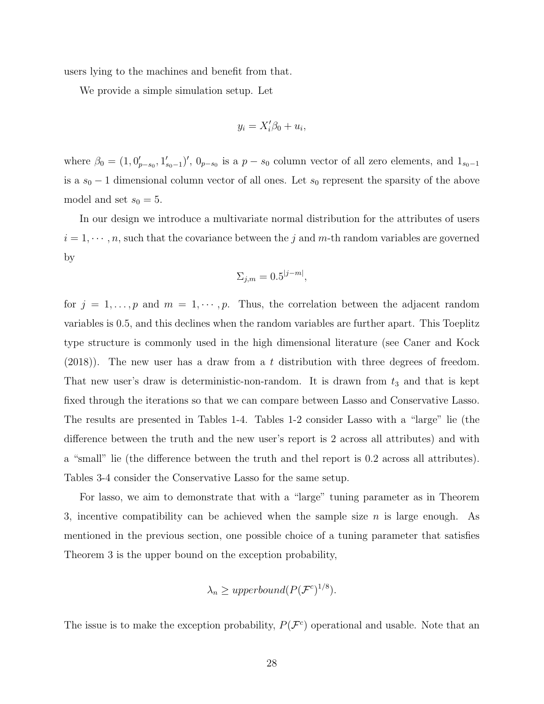users lying to the machines and benefit from that.

We provide a simple simulation setup. Let

$$
y_i = X_i'\beta_0 + u_i,
$$

where  $\beta_0 = (1, 0'_{p-s_0}, 1'_{s_0-1})'$ ,  $0_{p-s_0}$  is a  $p-s_0$  column vector of all zero elements, and  $1_{s_0-1}$ is a  $s_0 - 1$  dimensional column vector of all ones. Let  $s_0$  represent the sparsity of the above model and set  $s_0 = 5$ .

In our design we introduce a multivariate normal distribution for the attributes of users  $i = 1, \dots, n$ , such that the covariance between the j and m-th random variables are governed by

$$
\Sigma_{j,m} = 0.5^{|j-m|},
$$

for  $j = 1, \ldots, p$  and  $m = 1, \cdots, p$ . Thus, the correlation between the adjacent random variables is 0.5, and this declines when the random variables are further apart. This Toeplitz type structure is commonly used in the high dimensional literature (see Caner and Kock (2018)). The new user has a draw from a t distribution with three degrees of freedom. That new user's draw is deterministic-non-random. It is drawn from  $t_3$  and that is kept fixed through the iterations so that we can compare between Lasso and Conservative Lasso. The results are presented in Tables 1-4. Tables 1-2 consider Lasso with a "large" lie (the difference between the truth and the new user's report is 2 across all attributes) and with a "small" lie (the difference between the truth and thel report is 0.2 across all attributes). Tables 3-4 consider the Conservative Lasso for the same setup.

For lasso, we aim to demonstrate that with a "large" tuning parameter as in Theorem 3, incentive compatibility can be achieved when the sample size  $n$  is large enough. As mentioned in the previous section, one possible choice of a tuning parameter that satisfies Theorem 3 is the upper bound on the exception probability,

$$
\lambda_n \geq upperbound(P(\mathcal{F}^c)^{1/8}).
$$

The issue is to make the exception probability,  $P(\mathcal{F}^c)$  operational and usable. Note that an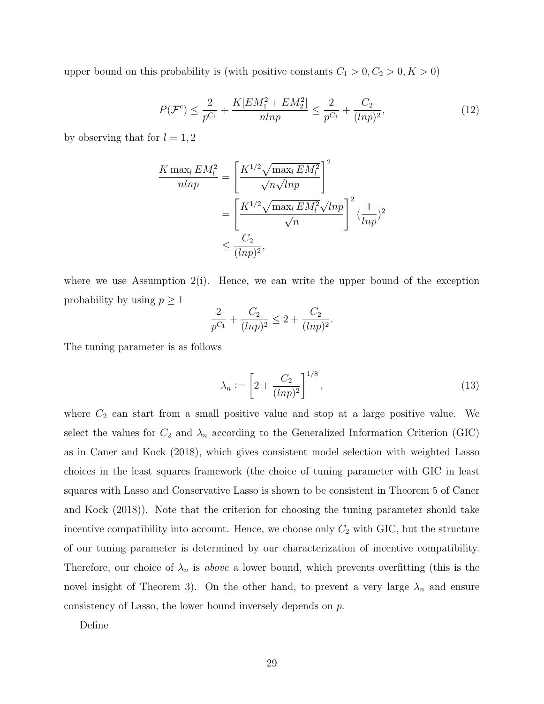upper bound on this probability is (with positive constants  $C_1 > 0, C_2 > 0, K > 0$ )

$$
P(\mathcal{F}^c) \le \frac{2}{p^{C_1}} + \frac{K[EM_1^2 + EM_2^2]}{nlnp} \le \frac{2}{p^{C_1}} + \frac{C_2}{(lnp)^2},\tag{12}
$$

by observing that for  $l = 1, 2$ 

$$
\frac{K \max_{l} EM_{l}^{2}}{n l n p} = \left[ \frac{K^{1/2} \sqrt{\max_{l} EM_{l}^{2}}}{\sqrt{n} \sqrt{l n p}} \right]^{2}
$$

$$
= \left[ \frac{K^{1/2} \sqrt{\max_{l} EM_{l}^{2}} \sqrt{l n p}}{\sqrt{n}} \right]^{2} (\frac{1}{l n p})^{2}
$$

$$
\leq \frac{C_{2}}{(l n p)^{2}},
$$

where we use Assumption  $2(i)$ . Hence, we can write the upper bound of the exception probability by using  $p \geq 1$ 

$$
\frac{2}{p^{C_1}} + \frac{C_2}{(ln p)^2} \le 2 + \frac{C_2}{(ln p)^2}.
$$

The tuning parameter is as follows

$$
\lambda_n := \left[2 + \frac{C_2}{(\ln p)^2}\right]^{1/8},\tag{13}
$$

where  $C_2$  can start from a small positive value and stop at a large positive value. We select the values for  $C_2$  and  $\lambda_n$  according to the Generalized Information Criterion (GIC) as in Caner and Kock (2018), which gives consistent model selection with weighted Lasso choices in the least squares framework (the choice of tuning parameter with GIC in least squares with Lasso and Conservative Lasso is shown to be consistent in Theorem 5 of Caner and Kock (2018)). Note that the criterion for choosing the tuning parameter should take incentive compatibility into account. Hence, we choose only  $C_2$  with GIC, but the structure of our tuning parameter is determined by our characterization of incentive compatibility. Therefore, our choice of  $\lambda_n$  is above a lower bound, which prevents overfitting (this is the novel insight of Theorem 3). On the other hand, to prevent a very large  $\lambda_n$  and ensure consistency of Lasso, the lower bound inversely depends on p.

Define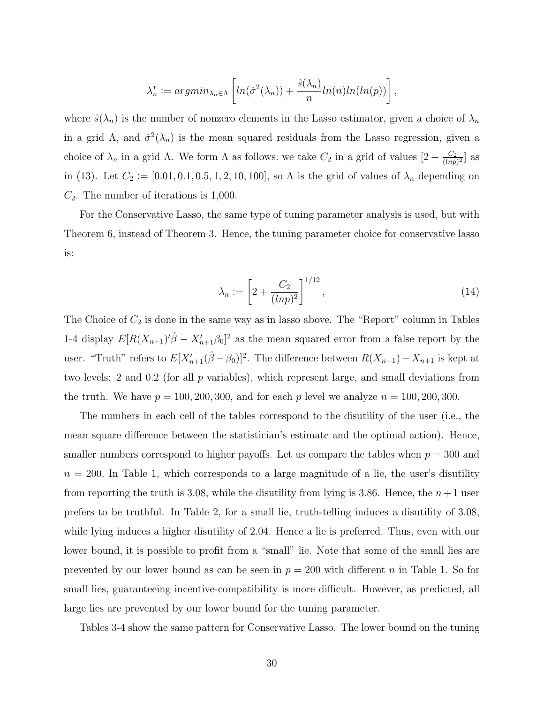$$
\lambda_n^* := argmin_{\lambda_n \in \Lambda} \left[ ln(\hat{\sigma}^2(\lambda_n)) + \frac{\hat{s}(\lambda_n)}{n} ln(n)ln(ln(p)) \right],
$$

where  $\hat{s}(\lambda_n)$  is the number of nonzero elements in the Lasso estimator, given a choice of  $\lambda_n$ in a grid  $\Lambda$ , and  $\hat{\sigma}^2(\lambda_n)$  is the mean squared residuals from the Lasso regression, given a choice of  $\lambda_n$  in a grid  $\Lambda$ . We form  $\Lambda$  as follows: we take  $C_2$  in a grid of values  $[2 + \frac{C_2}{(ln p)^2}]$  as in (13). Let  $C_2 := [0.01, 0.1, 0.5, 1, 2, 10, 100]$ , so  $\Lambda$  is the grid of values of  $\lambda_n$  depending on  $C_2$ . The number of iterations is 1,000.

For the Conservative Lasso, the same type of tuning parameter analysis is used, but with Theorem 6, instead of Theorem 3. Hence, the tuning parameter choice for conservative lasso is:

$$
\lambda_n := \left[2 + \frac{C_2}{(\ln p)^2}\right]^{1/12},\tag{14}
$$

The Choice of  $C_2$  is done in the same way as in lasso above. The "Report" column in Tables 1-4 display  $E[R(X_{n+1})'\hat{\beta} - X'_{n+1}\beta_0]^2$  as the mean squared error from a false report by the user. "Truth" refers to  $E[X'_{n+1}(\hat{\beta}-\beta_0)]^2$ . The difference between  $R(X_{n+1})-X_{n+1}$  is kept at two levels: 2 and 0.2 (for all p variables), which represent large, and small deviations from the truth. We have  $p = 100, 200, 300,$  and for each p level we analyze  $n = 100, 200, 300$ .

The numbers in each cell of the tables correspond to the disutility of the user (i.e., the mean square difference between the statistician's estimate and the optimal action). Hence, smaller numbers correspond to higher payoffs. Let us compare the tables when  $p = 300$  and  $n = 200$ . In Table 1, which corresponds to a large magnitude of a lie, the user's disutility from reporting the truth is 3.08, while the disutility from lying is 3.86. Hence, the  $n+1$  user prefers to be truthful. In Table 2, for a small lie, truth-telling induces a disutility of 3.08, while lying induces a higher disutility of 2.04. Hence a lie is preferred. Thus, even with our lower bound, it is possible to profit from a "small" lie. Note that some of the small lies are prevented by our lower bound as can be seen in  $p = 200$  with different n in Table 1. So for small lies, guaranteeing incentive-compatibility is more difficult. However, as predicted, all large lies are prevented by our lower bound for the tuning parameter.

Tables 3-4 show the same pattern for Conservative Lasso. The lower bound on the tuning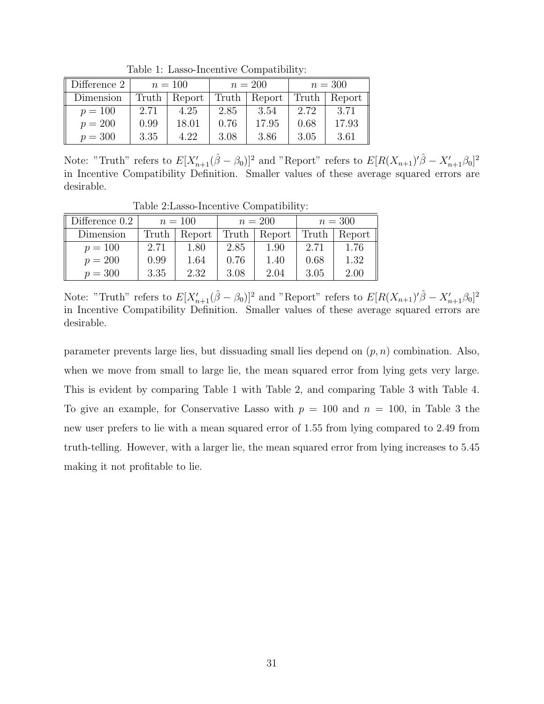| Difference 2 | $n = 100$ |        |       | $n = 200$ | $n=300$ |          |
|--------------|-----------|--------|-------|-----------|---------|----------|
| Dimension    | Truth     | Report | Truth | Report    | Truth   | Report ' |
| $p = 100$    | 2.71      | 4.25   | 2.85  | 3.54      | 2.72    | 3.71     |
| $p = 200$    | 0.99      | 18.01  | 0.76  | 17.95     | 0.68    | 17.93    |
| $p = 300$    | 3.35      | 4.22   | 3.08  | 3.86      | 3.05    | 3.61     |

Table 1: Lasso-Incentive Compatibility:

Note: "Truth" refers to  $E[X'_{n+1}(\hat{\beta} - \beta_0)]^2$  and "Report" refers to  $E[R(X_{n+1})'\hat{\beta} - X'_{n+1}\beta_0]^2$ in Incentive Compatibility Definition. Smaller values of these average squared errors are desirable.

Table 2:Lasso-Incentive Compatibility:

| Difference 0.2 | $n = 100$ |        | $n = 200$ |        | $n = 300$ |        |
|----------------|-----------|--------|-----------|--------|-----------|--------|
| Dimension      | Truth     | Report | Truth     | Report | Truth     | Report |
| $p = 100$      | 2.71      | 1.80   | 2.85      | 1.90   | 2.71      | 1.76   |
| $p = 200$      | 0.99      | 1.64   | 0.76      | 1.40   | 0.68      | 1.32   |
| $p = 300$      | 3.35      | 2.32   | 3.08      | 2.04   | 3.05      | 2.00   |

Note: "Truth" refers to  $E[X'_{n+1}(\hat{\beta} - \beta_0)]^2$  and "Report" refers to  $E[R(X_{n+1})'\hat{\beta} - X'_{n+1}\beta_0]^2$ in Incentive Compatibility Definition. Smaller values of these average squared errors are desirable.

parameter prevents large lies, but dissuading small lies depend on  $(p, n)$  combination. Also, when we move from small to large lie, the mean squared error from lying gets very large. This is evident by comparing Table 1 with Table 2, and comparing Table 3 with Table 4. To give an example, for Conservative Lasso with  $p = 100$  and  $n = 100$ , in Table 3 the new user prefers to lie with a mean squared error of 1.55 from lying compared to 2.49 from truth-telling. However, with a larger lie, the mean squared error from lying increases to 5.45 making it not profitable to lie.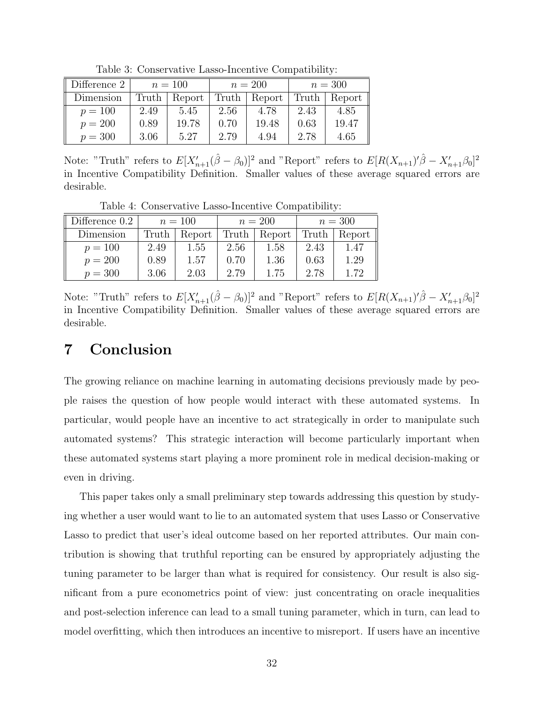| Difference 2 | $n = 100$ |        |       | $n = 200$ | $n=300$ |        |
|--------------|-----------|--------|-------|-----------|---------|--------|
| Dimension    | Truth     | Report | Truth | Report    | Truth   | Report |
| $p = 100$    | 2.49      | 5.45   | 2.56  | 4.78      | 2.43    | 4.85   |
| $p = 200$    | 0.89      | 19.78  | 0.70  | 19.48     | 0.63    | 19.47  |
| $p = 300$    | 3.06      | 5.27   | 2.79  | 4.94      | 2.78    | 4.65   |

Table 3: Conservative Lasso-Incentive Compatibility:

Note: "Truth" refers to  $E[X'_{n+1}(\hat{\beta} - \beta_0)]^2$  and "Report" refers to  $E[R(X_{n+1})'\hat{\beta} - X'_{n+1}\beta_0]^2$ in Incentive Compatibility Definition. Smaller values of these average squared errors are desirable.

Table 4: Conservative Lasso-Incentive Compatibility:

| Difference 0.2 | $n = 100$ |        | $n = 200$ |        | $n=300$ |        |
|----------------|-----------|--------|-----------|--------|---------|--------|
| Dimension      | Truth     | Report | Truth     | Report | Truth   | Report |
| $p = 100$      | 2.49      | 1.55   | 2.56      | 1.58   | 2.43    | 1.47   |
| $p = 200$      | 0.89      | 1.57   | 0.70      | 1.36   | 0.63    | 1.29   |
| $p = 300$      | 3.06      | 2.03   | 2.79      | 1.75   | 2.78    | 1.72   |

Note: "Truth" refers to  $E[X'_{n+1}(\hat{\beta} - \beta_0)]^2$  and "Report" refers to  $E[R(X_{n+1})'\hat{\beta} - X'_{n+1}\beta_0]^2$ in Incentive Compatibility Definition. Smaller values of these average squared errors are desirable.

## 7 Conclusion

The growing reliance on machine learning in automating decisions previously made by people raises the question of how people would interact with these automated systems. In particular, would people have an incentive to act strategically in order to manipulate such automated systems? This strategic interaction will become particularly important when these automated systems start playing a more prominent role in medical decision-making or even in driving.

This paper takes only a small preliminary step towards addressing this question by studying whether a user would want to lie to an automated system that uses Lasso or Conservative Lasso to predict that user's ideal outcome based on her reported attributes. Our main contribution is showing that truthful reporting can be ensured by appropriately adjusting the tuning parameter to be larger than what is required for consistency. Our result is also significant from a pure econometrics point of view: just concentrating on oracle inequalities and post-selection inference can lead to a small tuning parameter, which in turn, can lead to model overfitting, which then introduces an incentive to misreport. If users have an incentive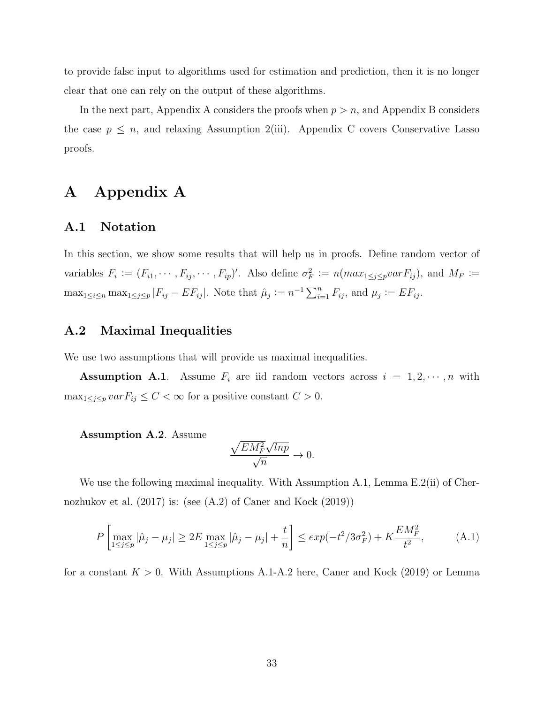to provide false input to algorithms used for estimation and prediction, then it is no longer clear that one can rely on the output of these algorithms.

In the next part, Appendix A considers the proofs when  $p > n$ , and Appendix B considers the case  $p \leq n$ , and relaxing Assumption 2(iii). Appendix C covers Conservative Lasso proofs.

## A Appendix A

#### A.1 Notation

In this section, we show some results that will help us in proofs. Define random vector of variables  $F_i := (F_{i1}, \dots, F_{ij}, \dots, F_{ip})'$ . Also define  $\sigma_F^2 := n(max_{1 \leq j \leq p} var F_{ij})$ , and  $M_F :=$  $\max_{1 \leq i \leq n} \max_{1 \leq j \leq p} |F_{ij} - EF_{ij}|$ . Note that  $\hat{\mu}_j := n^{-1} \sum_{i=1}^n F_{ij}$ , and  $\mu_j := EF_{ij}$ .

#### A.2 Maximal Inequalities

We use two assumptions that will provide us maximal inequalities.

**Assumption A.1**. Assume  $F_i$  are iid random vectors across  $i = 1, 2, \dots, n$  with  $\max_{1 \leq j \leq p} var F_{ij} \leq C < \infty$  for a positive constant  $C > 0$ .

#### Assumption A.2. Assume

$$
\frac{\sqrt{EM_F^2}\sqrt{lnp}}{\sqrt{n}} \to 0.
$$

We use the following maximal inequality. With Assumption A.1, Lemma E.2(ii) of Chernozhukov et al. (2017) is: (see (A.2) of Caner and Kock (2019))

$$
P\left[\max_{1 \le j \le p} |\hat{\mu}_j - \mu_j| \ge 2E \max_{1 \le j \le p} |\hat{\mu}_j - \mu_j| + \frac{t}{n}\right] \le exp(-t^2/3\sigma_F^2) + K\frac{EM_F^2}{t^2},\tag{A.1}
$$

for a constant  $K > 0$ . With Assumptions A.1-A.2 here, Caner and Kock (2019) or Lemma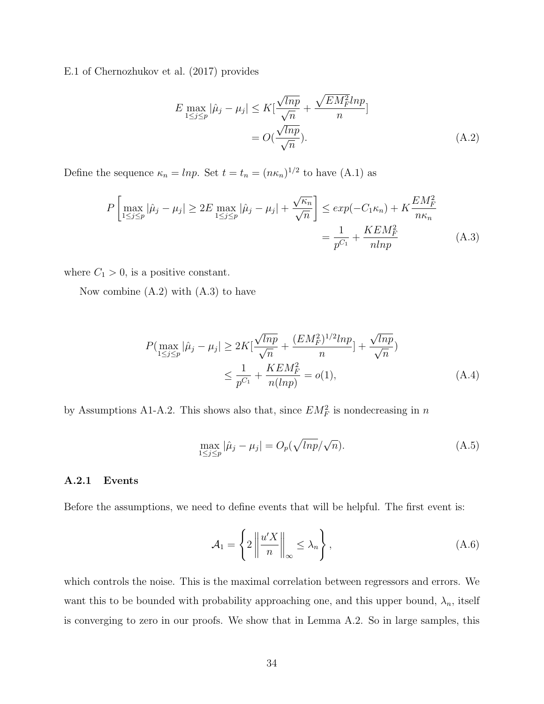E.1 of Chernozhukov et al. (2017) provides

$$
E \max_{1 \le j \le p} |\hat{\mu}_j - \mu_j| \le K \left[ \frac{\sqrt{lnp}}{\sqrt{n}} + \frac{\sqrt{EM_F^2} ln p}{n} \right]
$$
  
=  $O(\frac{\sqrt{lnp}}{\sqrt{n}}).$  (A.2)

Define the sequence  $\kappa_n = lnp$ . Set  $t = t_n = (n\kappa_n)^{1/2}$  to have  $(A.1)$  as

$$
P\left[\max_{1 \le j \le p} |\hat{\mu}_j - \mu_j| \ge 2E \max_{1 \le j \le p} |\hat{\mu}_j - \mu_j| + \frac{\sqrt{\kappa_n}}{\sqrt{n}}\right] \le exp(-C_1 \kappa_n) + K \frac{EM_F^2}{n\kappa_n} \\
= \frac{1}{p^{C_1}} + \frac{KEM_F^2}{nlnp}
$$
\n(A.3)

where  $C_1 > 0$ , is a positive constant.

Now combine  $(A.2)$  with  $(A.3)$  to have

$$
P(\max_{1 \le j \le p} |\hat{\mu}_j - \mu_j| \ge 2K[\frac{\sqrt{lnp}}{\sqrt{n}} + \frac{(EM_F^2)^{1/2}lnp}{n}] + \frac{\sqrt{lnp}}{\sqrt{n}})
$$
  

$$
\le \frac{1}{p^{C_1}} + \frac{KEM_F^2}{n(lnp)} = o(1),
$$
 (A.4)

by Assumptions A1-A.2. This shows also that, since  $EM_F^2$  is nondecreasing in n

$$
\max_{1 \le j \le p} |\hat{\mu}_j - \mu_j| = O_p(\sqrt{\ln p}/\sqrt{n}). \tag{A.5}
$$

#### A.2.1 Events

Before the assumptions, we need to define events that will be helpful. The first event is:

$$
\mathcal{A}_1 = \left\{ 2 \left\| \frac{u'X}{n} \right\|_{\infty} \le \lambda_n \right\},\tag{A.6}
$$

which controls the noise. This is the maximal correlation between regressors and errors. We want this to be bounded with probability approaching one, and this upper bound,  $\lambda_n$ , itself is converging to zero in our proofs. We show that in Lemma A.2. So in large samples, this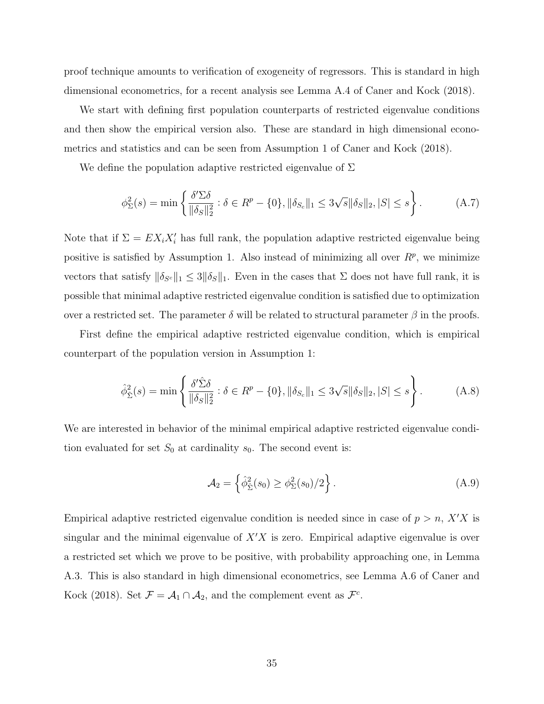proof technique amounts to verification of exogeneity of regressors. This is standard in high dimensional econometrics, for a recent analysis see Lemma A.4 of Caner and Kock (2018).

We start with defining first population counterparts of restricted eigenvalue conditions and then show the empirical version also. These are standard in high dimensional econometrics and statistics and can be seen from Assumption 1 of Caner and Kock (2018).

We define the population adaptive restricted eigenvalue of  $\Sigma$ 

$$
\phi_{\Sigma}^{2}(s) = \min \left\{ \frac{\delta' \Sigma \delta}{\|\delta_{S}\|_{2}^{2}} : \delta \in R^{p} - \{0\}, \|\delta_{S_{c}}\|_{1} \le 3\sqrt{s} \|\delta_{S}\|_{2}, |S| \le s \right\}.
$$
 (A.7)

Note that if  $\Sigma = EX_iX_i'$  has full rank, the population adaptive restricted eigenvalue being positive is satisfied by Assumption 1. Also instead of minimizing all over  $R^p$ , we minimize vectors that satisfy  $\|\delta_{S^c}\|_1 \leq 3\|\delta_S\|_1$ . Even in the cases that  $\Sigma$  does not have full rank, it is possible that minimal adaptive restricted eigenvalue condition is satisfied due to optimization over a restricted set. The parameter  $\delta$  will be related to structural parameter  $\beta$  in the proofs.

First define the empirical adaptive restricted eigenvalue condition, which is empirical counterpart of the population version in Assumption 1:

$$
\hat{\phi}_{\hat{\Sigma}}^2(s) = \min \left\{ \frac{\delta' \hat{\Sigma} \delta}{\|\delta_S\|_2^2} : \delta \in R^p - \{0\}, \|\delta_{S_c}\|_1 \le 3\sqrt{s} \|\delta_S\|_2, |S| \le s \right\}.
$$
 (A.8)

We are interested in behavior of the minimal empirical adaptive restricted eigenvalue condition evaluated for set  $S_0$  at cardinality  $s_0$ . The second event is:

$$
\mathcal{A}_2 = \left\{ \hat{\phi}_{\hat{\Sigma}}^2(s_0) \ge \phi_{\Sigma}^2(s_0)/2 \right\}.
$$
 (A.9)

Empirical adaptive restricted eigenvalue condition is needed since in case of  $p > n$ , X'X is singular and the minimal eigenvalue of  $X'X$  is zero. Empirical adaptive eigenvalue is over a restricted set which we prove to be positive, with probability approaching one, in Lemma A.3. This is also standard in high dimensional econometrics, see Lemma A.6 of Caner and Kock (2018). Set  $\mathcal{F} = \mathcal{A}_1 \cap \mathcal{A}_2$ , and the complement event as  $\mathcal{F}^c$ .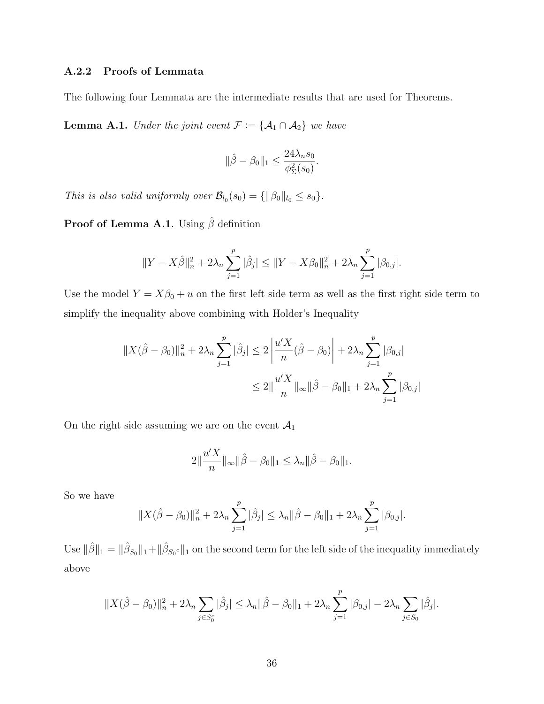#### A.2.2 Proofs of Lemmata

The following four Lemmata are the intermediate results that are used for Theorems.

**Lemma A.1.** Under the joint event  $\mathcal{F} := \{ \mathcal{A}_1 \cap \mathcal{A}_2 \}$  we have

$$
\|\hat{\beta} - \beta_0\|_1 \le \frac{24\lambda_n s_0}{\phi_{\Sigma}^2(s_0)}.
$$

This is also valid uniformly over  $\mathcal{B}_{l_0}(s_0) = \{ ||\beta_0||_{l_0} \leq s_0 \}.$ 

Proof of Lemma A.1. Using  $\hat{\beta}$  definition

$$
||Y - X\hat{\beta}||_n^2 + 2\lambda_n \sum_{j=1}^p |\hat{\beta}_j| \le ||Y - X\beta_0||_n^2 + 2\lambda_n \sum_{j=1}^p |\beta_{0,j}|.
$$

Use the model  $Y = X\beta_0 + u$  on the first left side term as well as the first right side term to simplify the inequality above combining with Holder's Inequality

$$
||X(\hat{\beta} - \beta_0)||_n^2 + 2\lambda_n \sum_{j=1}^p |\hat{\beta}_j| \le 2\left|\frac{u'X}{n}(\hat{\beta} - \beta_0)\right| + 2\lambda_n \sum_{j=1}^p |\beta_{0,j}|
$$
  

$$
\le 2||\frac{u'X}{n}||_{\infty}||\hat{\beta} - \beta_0||_1 + 2\lambda_n \sum_{j=1}^p |\beta_{0,j}|
$$

On the right side assuming we are on the event  $\mathcal{A}_1$ 

$$
2\|\frac{u'X}{n}\|_{\infty}\|\hat{\beta}-\beta_0\|_1 \leq \lambda_n \|\hat{\beta}-\beta_0\|_1.
$$

So we have

$$
||X(\hat{\beta}-\beta_0)||_n^2 + 2\lambda_n \sum_{j=1}^p |\hat{\beta}_j| \le \lambda_n ||\hat{\beta}-\beta_0||_1 + 2\lambda_n \sum_{j=1}^p |\beta_{0,j}|.
$$

Use  $\|\hat{\beta}\|_1 = \|\hat{\beta}_{S_0}\|_1 + \|\hat{\beta}_{S_0c}\|_1$  on the second term for the left side of the inequality immediately above

$$
||X(\hat{\beta}-\beta_0)||_n^2 + 2\lambda_n \sum_{j \in S_0^c} |\hat{\beta}_j| \le \lambda_n ||\hat{\beta}-\beta_0||_1 + 2\lambda_n \sum_{j=1}^p |\beta_{0,j}| - 2\lambda_n \sum_{j \in S_0} |\hat{\beta}_j|.
$$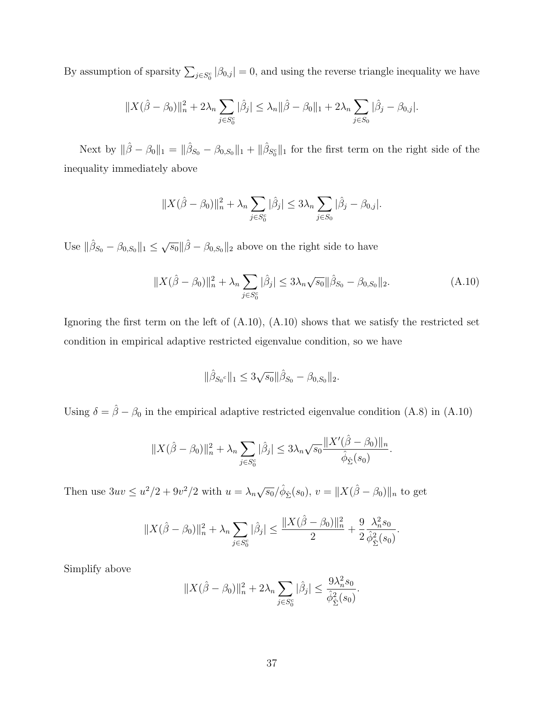By assumption of sparsity  $\sum_{j \in S_0^c} |\beta_{0,j}| = 0$ , and using the reverse triangle inequality we have

$$
||X(\hat{\beta} - \beta_0)||_n^2 + 2\lambda_n \sum_{j \in S_0^c} |\hat{\beta}_j| \le \lambda_n ||\hat{\beta} - \beta_0||_1 + 2\lambda_n \sum_{j \in S_0} |\hat{\beta}_j - \beta_{0,j}|.
$$

Next by  $\|\hat{\beta} - \beta_0\|_1 = \|\hat{\beta}_{S_0} - \beta_{0,S_0}\|_1 + \|\hat{\beta}_{S_0^c}\|_1$  for the first term on the right side of the inequality immediately above

$$
||X(\hat{\beta} - \beta_0)||_n^2 + \lambda_n \sum_{j \in S_0^c} |\hat{\beta}_j| \le 3\lambda_n \sum_{j \in S_0} |\hat{\beta}_j - \beta_{0,j}|.
$$

Use  $\|\hat{\beta}_{S_0} - \beta_{0,S_0}\|_1 \leq \sqrt{s_0} \|\hat{\beta} - \beta_{0,S_0}\|_2$  above on the right side to have

$$
||X(\hat{\beta} - \beta_0)||_n^2 + \lambda_n \sum_{j \in S_0^c} |\hat{\beta}_j| \le 3\lambda_n \sqrt{s_0} ||\hat{\beta}_{S_0} - \beta_{0,S_0}||_2.
$$
 (A.10)

Ignoring the first term on the left of (A.10), (A.10) shows that we satisfy the restricted set condition in empirical adaptive restricted eigenvalue condition, so we have

$$
\|\hat{\beta}_{S_0} \circ \|_1 \leq 3\sqrt{s_0} \|\hat{\beta}_{S_0} - \beta_{0,S_0} \|_2.
$$

Using  $\delta = \hat{\beta} - \beta_0$  in the empirical adaptive restricted eigenvalue condition (A.8) in (A.10)

$$
||X(\hat{\beta}-\beta_0)||_n^2 + \lambda_n \sum_{j \in S_0^c} |\hat{\beta}_j| \leq 3\lambda_n \sqrt{s_0} \frac{||X'(\hat{\beta}-\beta_0)||_n}{\hat{\phi}_{\hat{\Sigma}}(s_0)}.
$$

Then use  $3uv \leq u^2/2 + 9v^2/2$  with  $u = \lambda_n \sqrt{s_0}/\hat{\phi}_{\hat{\Sigma}}(s_0), v = ||X(\hat{\beta} - \beta_0)||_n$  to get

$$
||X(\hat{\beta}-\beta_0)||_n^2 + \lambda_n \sum_{j \in S_0^c} |\hat{\beta}_j| \le \frac{||X(\hat{\beta}-\beta_0)||_n^2}{2} + \frac{9}{2} \frac{\lambda_n^2 s_0}{\hat{\phi}_{\hat{\Sigma}}^2(s_0)}.
$$

Simplify above

$$
||X(\hat{\beta} - \beta_0)||_n^2 + 2\lambda_n \sum_{j \in S_0^c} |\hat{\beta}_j| \le \frac{9\lambda_n^2 s_0}{\hat{\phi}_{\hat{\Sigma}}^2(s_0)}.
$$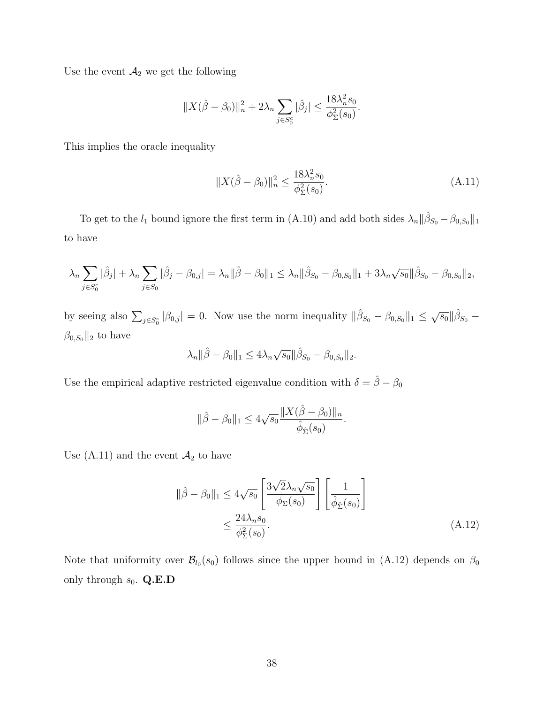Use the event  $\mathcal{A}_2$  we get the following

$$
||X(\hat{\beta} - \beta_0)||_n^2 + 2\lambda_n \sum_{j \in S_0^c} |\hat{\beta}_j| \le \frac{18\lambda_n^2 s_0}{\phi_{\Sigma}^2(s_0)}.
$$

This implies the oracle inequality

$$
||X(\hat{\beta} - \beta_0)||_n^2 \le \frac{18\lambda_n^2 s_0}{\phi_{\Sigma}^2(s_0)}.
$$
\n(A.11)

To get to the  $l_1$  bound ignore the first term in (A.10) and add both sides  $\lambda_n || \hat{\beta}_{S_0} - \beta_{0,S_0} ||_1$ to have

$$
\lambda_n \sum_{j \in S_0^c} |\hat{\beta}_j| + \lambda_n \sum_{j \in S_0} |\hat{\beta}_j - \beta_{0,j}| = \lambda_n ||\hat{\beta} - \beta_0||_1 \leq \lambda_n ||\hat{\beta}_{S_0} - \beta_{0,S_0}||_1 + 3\lambda_n \sqrt{s_0} ||\hat{\beta}_{S_0} - \beta_{0,S_0}||_2,
$$

by seeing also  $\sum_{j\in S_0^c} |\beta_{0,j}| = 0$ . Now use the norm inequality  $\|\hat{\beta}_{S_0} - \beta_{0,S_0}\|_1 \leq \sqrt{s_0}\|\hat{\beta}_{S_0} - \hat{\beta}_{S_0}\|_2$  $\beta_{0,S_0}$ ||<sub>2</sub> to have

$$
\lambda_n \|\hat{\beta} - \beta_0\|_1 \le 4\lambda_n \sqrt{s_0} \|\hat{\beta}_{S_0} - \beta_{0,S_0}\|_2.
$$

Use the empirical adaptive restricted eigenvalue condition with  $\delta=\hat{\beta}-\beta_0$ 

$$
\|\hat{\beta} - \beta_0\|_1 \le 4\sqrt{s_0} \frac{\|X(\hat{\beta} - \beta_0)\|_n}{\hat{\phi}_{\hat{\Sigma}}(s_0)}.
$$

Use (A.11) and the event  $\mathcal{A}_2$  to have

$$
\|\hat{\beta} - \beta_0\|_1 \le 4\sqrt{s_0} \left[ \frac{3\sqrt{2}\lambda_n \sqrt{s_0}}{\phi_{\Sigma}(s_0)} \right] \left[ \frac{1}{\hat{\phi}_{\hat{\Sigma}}(s_0)} \right]
$$
  

$$
\le \frac{24\lambda_n s_0}{\phi_{\Sigma}^2(s_0)}.
$$
 (A.12)

Note that uniformity over  $\mathcal{B}_{l_0}(s_0)$  follows since the upper bound in (A.12) depends on  $\beta_0$ only through  $s_0$ . Q.E.D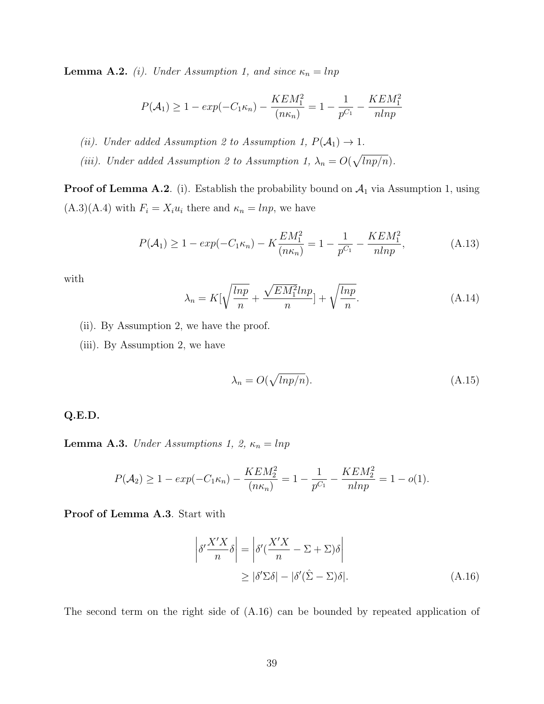**Lemma A.2.** (i). Under Assumption 1, and since  $\kappa_n = \ln p$ 

$$
P(\mathcal{A}_1) \ge 1 - exp(-C_1 \kappa_n) - \frac{KEM_1^2}{(n\kappa_n)} = 1 - \frac{1}{p^{C_1}} - \frac{KEM_1^2}{nlnp}
$$

(ii). Under added Assumption 2 to Assumption 1,  $P(A_1) \rightarrow 1$ .

(iii). Under added Assumption 2 to Assumption 1,  $\lambda_n = O(\sqrt{lnp/n})$ .

**Proof of Lemma A.2**. (i). Establish the probability bound on  $A_1$  via Assumption 1, using  $(A.3)(A.4)$  with  $F_i = X_i u_i$  there and  $\kappa_n = lnp$ , we have

$$
P(\mathcal{A}_1) \ge 1 - exp(-C_1 \kappa_n) - K \frac{EM_1^2}{(n\kappa_n)} = 1 - \frac{1}{p^{C_1}} - \frac{KEM_1^2}{nlnp},
$$
 (A.13)

with

$$
\lambda_n = K[\sqrt{\frac{lnp}{n}} + \frac{\sqrt{EM_1^2}lnp}{n}] + \sqrt{\frac{lnp}{n}}.
$$
\n(A.14)

- (ii). By Assumption 2, we have the proof.
- (iii). By Assumption 2, we have

$$
\lambda_n = O(\sqrt{\ln p/n}).\tag{A.15}
$$

Q.E.D.

**Lemma A.3.** Under Assumptions 1, 2,  $\kappa_n = \ln p$ 

$$
P(\mathcal{A}_2) \ge 1 - exp(-C_1 \kappa_n) - \frac{KEM_2^2}{(n\kappa_n)} = 1 - \frac{1}{p^{C_1}} - \frac{KEM_2^2}{nlnp} = 1 - o(1).
$$

Proof of Lemma A.3. Start with

$$
\left| \delta' \frac{X'X}{n} \delta \right| = \left| \delta' (\frac{X'X}{n} - \Sigma + \Sigma) \delta \right|
$$
  
\n
$$
\geq |\delta' \Sigma \delta| - |\delta' (\hat{\Sigma} - \Sigma) \delta|. \tag{A.16}
$$

The second term on the right side of (A.16) can be bounded by repeated application of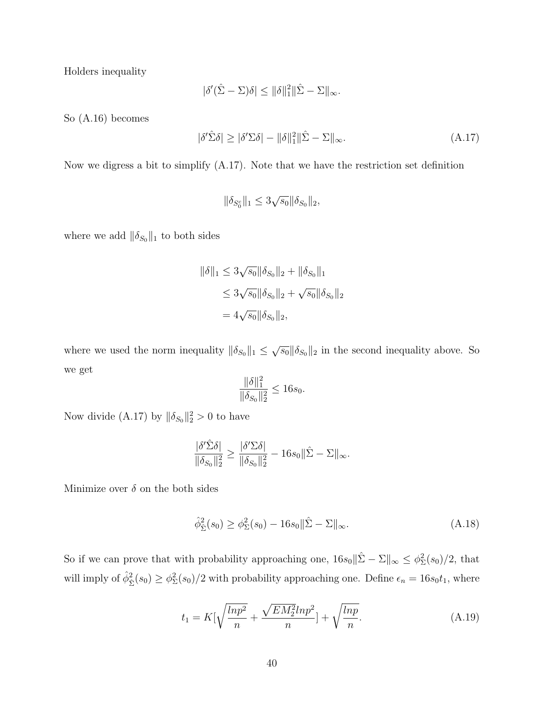Holders inequality

$$
|\delta'(\hat{\Sigma} - \Sigma)\delta| \le ||\delta||_1^2 ||\hat{\Sigma} - \Sigma||_{\infty}.
$$

So (A.16) becomes

$$
|\delta'\hat{\Sigma}\delta| \ge |\delta'\Sigma\delta| - \|\delta\|_1^2 \|\hat{\Sigma} - \Sigma\|_{\infty}.\tag{A.17}
$$

Now we digress a bit to simplify (A.17). Note that we have the restriction set definition

$$
\|\delta_{S_0^c}\|_1 \le 3\sqrt{s_0} \|\delta_{S_0}\|_2,
$$

where we add  $\|\delta_{S_0}\|_1$  to both sides

$$
\|\delta\|_1 \le 3\sqrt{s_0} \|\delta_{S_0}\|_2 + \|\delta_{S_0}\|_1
$$
  

$$
\le 3\sqrt{s_0} \|\delta_{S_0}\|_2 + \sqrt{s_0} \|\delta_{S_0}\|_2
$$
  

$$
= 4\sqrt{s_0} \|\delta_{S_0}\|_2,
$$

where we used the norm inequality  $\|\delta_{S_0}\|_1 \leq \sqrt{s_0} \|\delta_{S_0}\|_2$  in the second inequality above. So we get

$$
\frac{\|\delta\|_1^2}{\|\delta_{S_0}\|_2^2} \le 16s_0.
$$

Now divide (A.17) by  $\|\delta_{S_0}\|_2^2 > 0$  to have

$$
\frac{|\delta'\hat{\Sigma}\delta|}{\|\delta_{S_0}\|_2^2} \ge \frac{|\delta'\Sigma\delta|}{\|\delta_{S_0}\|_2^2} - 16s_0\|\hat{\Sigma} - \Sigma\|_{\infty}.
$$

Minimize over  $\delta$  on the both sides

$$
\hat{\phi}_{\hat{\Sigma}}^2(s_0) \ge \phi_{\Sigma}^2(s_0) - 16s_0 \|\hat{\Sigma} - \Sigma\|_{\infty}.
$$
\n(A.18)

So if we can prove that with probability approaching one,  $16s_0 \|\hat{\Sigma} - \Sigma\|_{\infty} \leq \phi_{\Sigma}^2(s_0)/2$ , that will imply of  $\hat{\phi}_{\hat{\Sigma}}^2(s_0) \ge \phi_{\Sigma}^2(s_0)/2$  with probability approaching one. Define  $\epsilon_n = 16s_0t_1$ , where

$$
t_1 = K[\sqrt{\frac{ln p^2}{n}} + \frac{\sqrt{EM_2^2}ln p^2}{n}] + \sqrt{\frac{ln p}{n}}.
$$
 (A.19)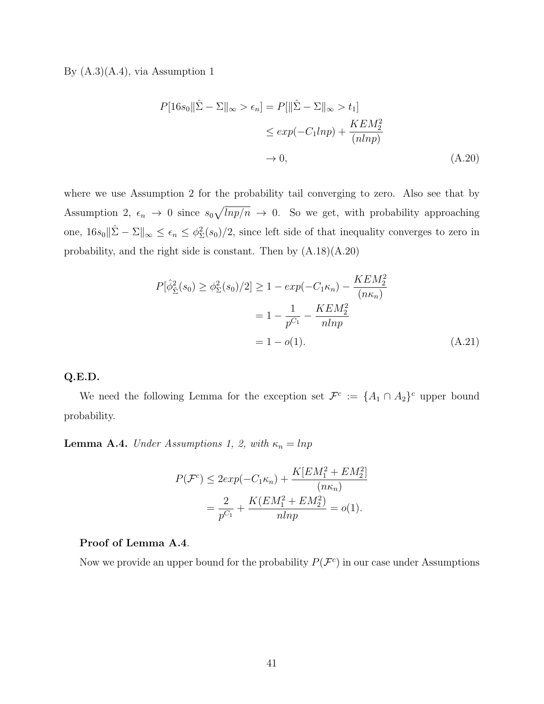By  $(A.3)(A.4)$ , via Assumption 1

$$
P[16s_0||\hat{\Sigma} - \Sigma||_{\infty} > \epsilon_n] = P[||\hat{\Sigma} - \Sigma||_{\infty} > t_1]
$$
  
\n
$$
\leq exp(-C_1ln p) + \frac{KEM_2^2}{(nlnp)}
$$
  
\n
$$
\to 0,
$$
\n(A.20)

where we use Assumption 2 for the probability tail converging to zero. Also see that by Assumption 2,  $\epsilon_n \to 0$  since  $s_0\sqrt{lnp/n} \to 0$ . So we get, with probability approaching one,  $16s_0\|\hat{\Sigma} - \Sigma\|_{\infty} \leq \epsilon_n \leq \phi_{\Sigma}^2(s_0)/2$ , since left side of that inequality converges to zero in probability, and the right side is constant. Then by (A.18)(A.20)

$$
P[\hat{\phi}_{\hat{\Sigma}}^2(s_0) \ge \phi_{\Sigma}^2(s_0)/2] \ge 1 - exp(-C_1 \kappa_n) - \frac{K E M_2^2}{(n \kappa_n)}
$$
  
=  $1 - \frac{1}{p^{C_1}} - \frac{K E M_2^2}{n l n p}$   
=  $1 - o(1)$ . (A.21)

#### Q.E.D.

We need the following Lemma for the exception set  $\mathcal{F}^c := \{A_1 \cap A_2\}^c$  upper bound probability.

**Lemma A.4.** Under Assumptions 1, 2, with  $\kappa_n = \ln p$ 

$$
P(\mathcal{F}^c) \le 2exp(-C_1\kappa_n) + \frac{K[EM_1^2 + EM_2^2]}{(n\kappa_n)}
$$
  
=  $\frac{2}{p^{C_1}} + \frac{K(EM_1^2 + EM_2^2)}{nlnp} = o(1).$ 

#### Proof of Lemma A.4.

Now we provide an upper bound for the probability  $P(\mathcal{F}^c)$  in our case under Assumptions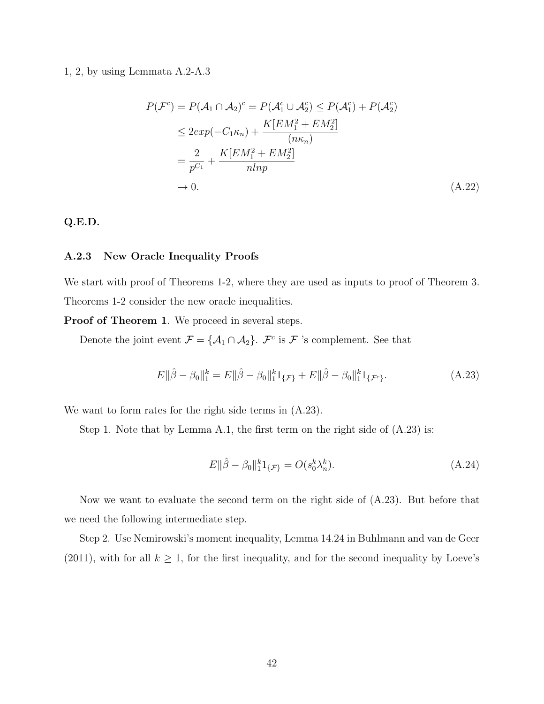#### 1, 2, by using Lemmata A.2-A.3

$$
P(\mathcal{F}^c) = P(\mathcal{A}_1 \cap \mathcal{A}_2)^c = P(\mathcal{A}_1^c \cup \mathcal{A}_2^c) \le P(\mathcal{A}_1^c) + P(\mathcal{A}_2^c)
$$
  
\n
$$
\le 2exp(-C_1\kappa_n) + \frac{K[EM_1^2 + EM_2^2]}{(n\kappa_n)}
$$
  
\n
$$
= \frac{2}{p^{C_1}} + \frac{K[EM_1^2 + EM_2^2]}{nlnp}
$$
  
\n
$$
\to 0.
$$
 (A.22)

#### Q.E.D.

#### A.2.3 New Oracle Inequality Proofs

We start with proof of Theorems 1-2, where they are used as inputs to proof of Theorem 3. Theorems 1-2 consider the new oracle inequalities.

**Proof of Theorem 1.** We proceed in several steps.

Denote the joint event  $\mathcal{F} = {\mathcal{A}_1 \cap \mathcal{A}_2}$ .  $\mathcal{F}^c$  is  $\mathcal{F}$  's complement. See that

$$
E\|\hat{\beta} - \beta_0\|_1^k = E\|\hat{\beta} - \beta_0\|_1^k 1_{\{\mathcal{F}\}} + E\|\hat{\beta} - \beta_0\|_1^k 1_{\{\mathcal{F}^c\}}.
$$
 (A.23)

We want to form rates for the right side terms in (A.23).

Step 1. Note that by Lemma A.1, the first term on the right side of (A.23) is:

$$
E\|\hat{\beta} - \beta_0\|_{1}^{k} 1_{\{\mathcal{F}\}} = O(s_0^k \lambda_n^k). \tag{A.24}
$$

Now we want to evaluate the second term on the right side of (A.23). But before that we need the following intermediate step.

Step 2. Use Nemirowski's moment inequality, Lemma 14.24 in Buhlmann and van de Geer (2011), with for all  $k \geq 1$ , for the first inequality, and for the second inequality by Loeve's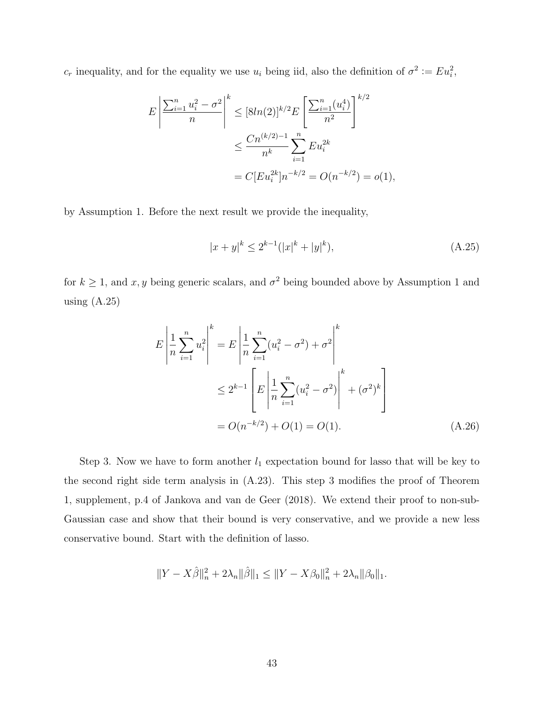$c_r$  inequality, and for the equality we use  $u_i$  being iid, also the definition of  $\sigma^2 := Eu_i^2$ ,

$$
E\left|\frac{\sum_{i=1}^{n} u_i^2 - \sigma^2}{n}\right|^k \leq [8ln(2)]^{k/2} E\left[\frac{\sum_{i=1}^{n} (u_i^4)}{n^2}\right]^{k/2}
$$

$$
\leq \frac{Cn^{(k/2)-1}}{n^k} \sum_{i=1}^{n} E u_i^{2k}
$$

$$
= C[Eu_i^{2k}]n^{-k/2} = O(n^{-k/2}) = o(1),
$$

by Assumption 1. Before the next result we provide the inequality,

$$
|x+y|^k \le 2^{k-1}(|x|^k + |y|^k),\tag{A.25}
$$

for  $k \geq 1$ , and x, y being generic scalars, and  $\sigma^2$  being bounded above by Assumption 1 and using  $(A.25)$ 

$$
E\left|\frac{1}{n}\sum_{i=1}^{n}u_i^2\right|^k = E\left|\frac{1}{n}\sum_{i=1}^{n}(u_i^2 - \sigma^2) + \sigma^2\right|^k
$$
  

$$
\leq 2^{k-1}\left[E\left|\frac{1}{n}\sum_{i=1}^{n}(u_i^2 - \sigma^2)\right|^k + (\sigma^2)^k\right]
$$
  

$$
= O(n^{-k/2}) + O(1) = O(1).
$$
 (A.26)

Step 3. Now we have to form another  $l_1$  expectation bound for lasso that will be key to the second right side term analysis in (A.23). This step 3 modifies the proof of Theorem 1, supplement, p.4 of Jankova and van de Geer (2018). We extend their proof to non-sub-Gaussian case and show that their bound is very conservative, and we provide a new less conservative bound. Start with the definition of lasso.

$$
\|Y-X\hat{\beta}\|_n^2+2\lambda_n\|\hat{\beta}\|_1\leq \|Y-X\beta_0\|_n^2+2\lambda_n\|\beta_0\|_1.
$$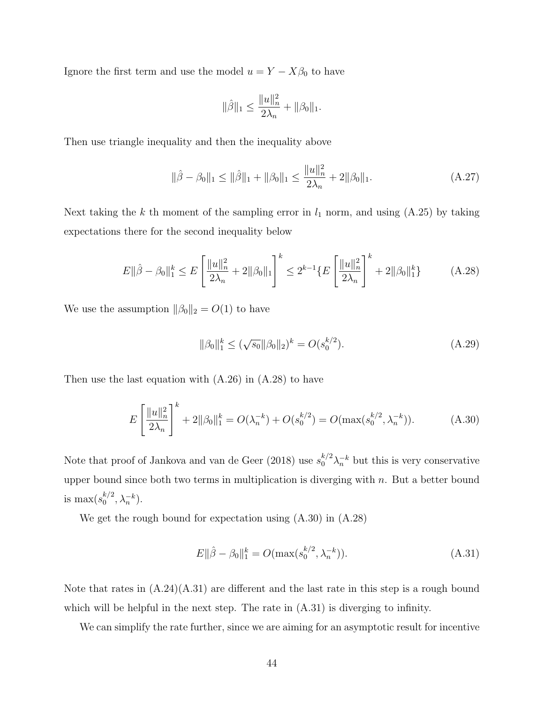Ignore the first term and use the model  $u = Y - X\beta_0$  to have

$$
\|\hat{\beta}\|_1 \le \frac{\|u\|_n^2}{2\lambda_n} + \|\beta_0\|_1.
$$

Then use triangle inequality and then the inequality above

$$
\|\hat{\beta} - \beta_0\|_1 \le \|\hat{\beta}\|_1 + \|\beta_0\|_1 \le \frac{\|u\|_n^2}{2\lambda_n} + 2\|\beta_0\|_1.
$$
 (A.27)

Next taking the k th moment of the sampling error in  $l_1$  norm, and using (A.25) by taking expectations there for the second inequality below

$$
E\|\hat{\beta} - \beta_0\|_1^k \le E\left[\frac{\|u\|_n^2}{2\lambda_n} + 2\|\beta_0\|_1\right]^k \le 2^{k-1} \{E\left[\frac{\|u\|_n^2}{2\lambda_n}\right]^k + 2\|\beta_0\|_1^k\} \tag{A.28}
$$

We use the assumption  $\|\beta_0\|_2 = O(1)$  to have

$$
\|\beta_0\|_1^k \le (\sqrt{s_0} \|\beta_0\|_2)^k = O(s_0^{k/2}).\tag{A.29}
$$

Then use the last equation with  $(A.26)$  in  $(A.28)$  to have

$$
E\left[\frac{\|u\|_n^2}{2\lambda_n}\right]^k + 2\|\beta_0\|_1^k = O(\lambda_n^{-k}) + O(s_0^{k/2}) = O(\max(s_0^{k/2}, \lambda_n^{-k})).\tag{A.30}
$$

Note that proof of Jankova and van de Geer (2018) use  $s_0^{k/2} \lambda_n^{-k}$  but this is very conservative upper bound since both two terms in multiplication is diverging with  $n$ . But a better bound is max $(s_0^{k/2})$  $_{0}^{k/2}, \lambda_{n}^{-k}).$ 

We get the rough bound for expectation using (A.30) in (A.28)

$$
E\|\hat{\beta} - \beta_0\|_1^k = O(\max(s_0^{k/2}, \lambda_n^{-k})).\tag{A.31}
$$

Note that rates in  $(A.24)(A.31)$  are different and the last rate in this step is a rough bound which will be helpful in the next step. The rate in  $(A.31)$  is diverging to infinity.

We can simplify the rate further, since we are aiming for an asymptotic result for incentive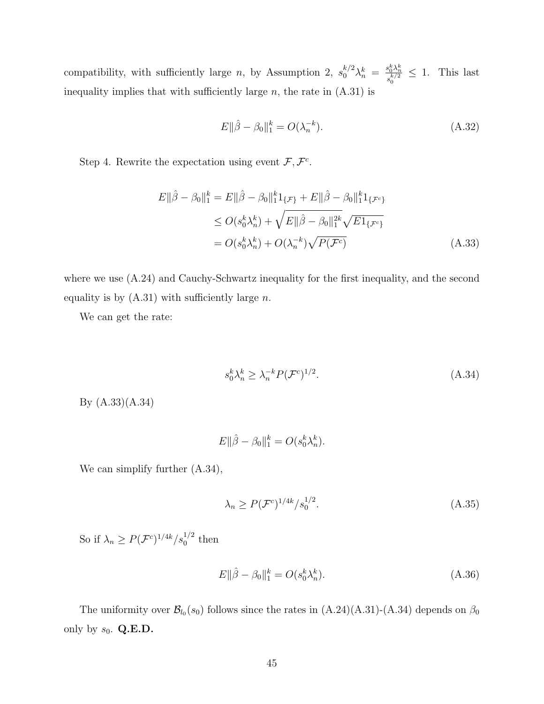compatibility, with sufficiently large n, by Assumption 2,  $s_0^{k/2}\lambda_n^k = \frac{s_0^k\lambda_n^k}{s^{k/2}}$  $\frac{s_0^{\alpha} \lambda_n^{\alpha}}{s_0^{k/2}} \leq 1$ . This last inequality implies that with sufficiently large  $n$ , the rate in  $(A.31)$  is

$$
E\|\hat{\beta} - \beta_0\|_1^k = O(\lambda_n^{-k}).\tag{A.32}
$$

Step 4. Rewrite the expectation using event  $\mathcal{F}, \mathcal{F}^c$ .

$$
E\|\hat{\beta} - \beta_0\|_1^k = E\|\hat{\beta} - \beta_0\|_1^k \mathbf{1}_{\{\mathcal{F}\}} + E\|\hat{\beta} - \beta_0\|_1^k \mathbf{1}_{\{\mathcal{F}^c\}}
$$
  
\n
$$
\leq O(s_0^k \lambda_n^k) + \sqrt{E\|\hat{\beta} - \beta_0\|_1^{2k}} \sqrt{E\mathbf{1}_{\{\mathcal{F}^c\}}}
$$
  
\n
$$
= O(s_0^k \lambda_n^k) + O(\lambda_n^{-k}) \sqrt{P(\mathcal{F}^c)}
$$
(A.33)

where we use  $(A.24)$  and Cauchy-Schwartz inequality for the first inequality, and the second equality is by  $(A.31)$  with sufficiently large n.

We can get the rate:

$$
s_0^k \lambda_n^k \ge \lambda_n^{-k} P(\mathcal{F}^c)^{1/2}.
$$
\n(A.34)

By (A.33)(A.34)

$$
E\|\hat{\beta} - \beta_0\|_1^k = O(s_0^k \lambda_n^k).
$$

We can simplify further (A.34),

$$
\lambda_n \ge P(\mathcal{F}^c)^{1/4k}/s_0^{1/2}.\tag{A.35}
$$

So if  $\lambda_n \ge P(\mathcal{F}^c)^{1/4k}/s_0^{1/2}$  then

$$
E\|\hat{\beta} - \beta_0\|_1^k = O(s_0^k \lambda_n^k). \tag{A.36}
$$

The uniformity over  $\mathcal{B}_{l_0}(s_0)$  follows since the rates in  $(A.24)(A.31)-(A.34)$  depends on  $\beta_0$ only by  $s_0$ . Q.E.D.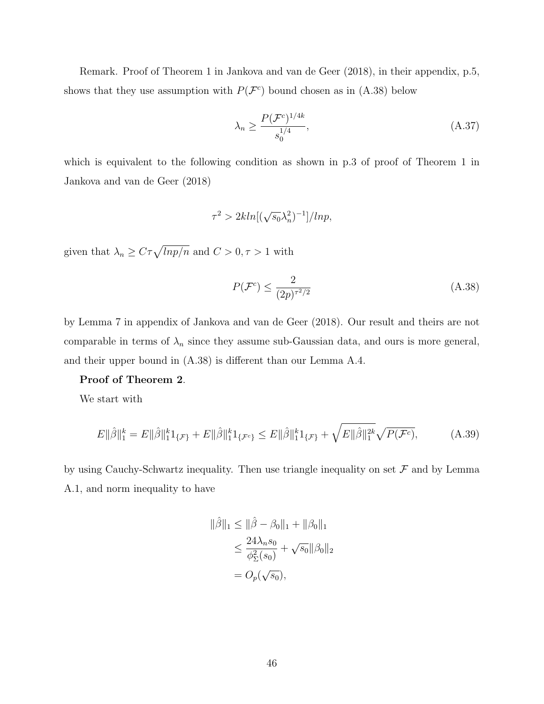Remark. Proof of Theorem 1 in Jankova and van de Geer (2018), in their appendix, p.5, shows that they use assumption with  $P(\mathcal{F}^c)$  bound chosen as in (A.38) below

$$
\lambda_n \ge \frac{P(\mathcal{F}^c)^{1/4k}}{s_0^{1/4}},\tag{A.37}
$$

which is equivalent to the following condition as shown in p.3 of proof of Theorem 1 in Jankova and van de Geer (2018)

$$
\tau^2 > 2kln[(\sqrt{s_0}\lambda_n^2)^{-1}]/ln p,
$$

given that  $\lambda_n \geq C\tau \sqrt{lnp/n}$  and  $C > 0, \tau > 1$  with

$$
P(\mathcal{F}^c) \le \frac{2}{(2p)^{\tau^2/2}}\tag{A.38}
$$

by Lemma 7 in appendix of Jankova and van de Geer (2018). Our result and theirs are not comparable in terms of  $\lambda_n$  since they assume sub-Gaussian data, and ours is more general, and their upper bound in (A.38) is different than our Lemma A.4.

#### Proof of Theorem 2.

We start with

$$
E\|\hat{\beta}\|_{1}^{k} = E\|\hat{\beta}\|_{1}^{k}1_{\{\mathcal{F}\}} + E\|\hat{\beta}\|_{1}^{k}1_{\{\mathcal{F}^{c}\}} \le E\|\hat{\beta}\|_{1}^{k}1_{\{\mathcal{F}\}} + \sqrt{E\|\hat{\beta}\|_{1}^{2k}}\sqrt{P(\mathcal{F}^{c})},\tag{A.39}
$$

by using Cauchy-Schwartz inequality. Then use triangle inequality on set  $\mathcal F$  and by Lemma A.1, and norm inequality to have

$$
\|\hat{\beta}\|_1 \le \|\hat{\beta} - \beta_0\|_1 + \|\beta_0\|_1
$$
  
\n
$$
\le \frac{24\lambda_n s_0}{\phi_{\Sigma}^2(s_0)} + \sqrt{s_0} \|\beta_0\|_2
$$
  
\n
$$
= O_p(\sqrt{s_0}),
$$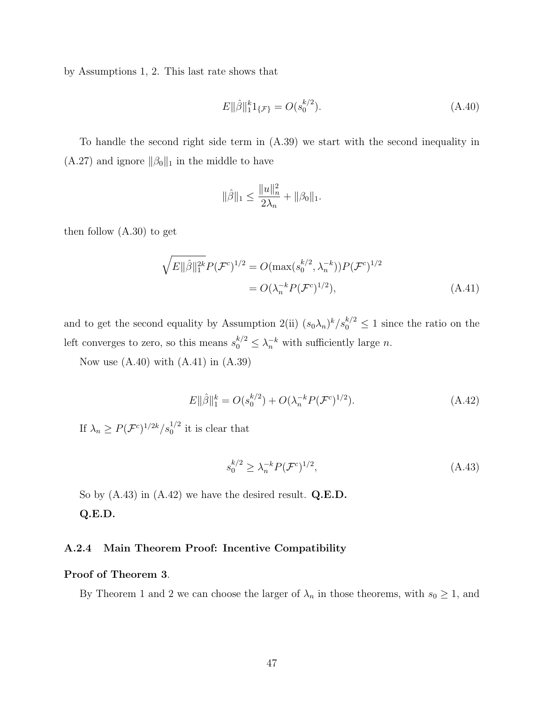by Assumptions 1, 2. This last rate shows that

$$
E\|\hat{\beta}\|_{1}^{k}1_{\{\mathcal{F}\}} = O(s_0^{k/2}).\tag{A.40}
$$

To handle the second right side term in (A.39) we start with the second inequality in  $(A.27)$  and ignore  $\|\beta_0\|_1$  in the middle to have

$$
\|\hat{\beta}\|_1 \le \frac{\|u\|_n^2}{2\lambda_n} + \|\beta_0\|_1.
$$

then follow (A.30) to get

$$
\sqrt{E \|\hat{\beta}\|_{1}^{2k}} P(\mathcal{F}^{c})^{1/2} = O(\max(s_0^{k/2}, \lambda_n^{-k})) P(\mathcal{F}^{c})^{1/2}
$$
  
=  $O(\lambda_n^{-k} P(\mathcal{F}^{c})^{1/2}),$  (A.41)

and to get the second equality by Assumption 2(ii)  $(s_0\lambda_n)^k/s_0^{k/2} \leq 1$  since the ratio on the left converges to zero, so this means  $s_0^{k/2} \leq \lambda_n^{-k}$  with sufficiently large n.

Now use  $(A.40)$  with  $(A.41)$  in  $(A.39)$ 

$$
E\|\hat{\beta}\|_{1}^{k} = O(s_0^{k/2}) + O(\lambda_n^{-k} P(\mathcal{F}^c)^{1/2}).
$$
\n(A.42)

If  $\lambda_n \geq P(\mathcal{F}^c)^{1/2k}/s_0^{1/2}$  it is clear that

$$
s_0^{k/2} \ge \lambda_n^{-k} P(\mathcal{F}^c)^{1/2},\tag{A.43}
$$

So by  $(A.43)$  in  $(A.42)$  we have the desired result.  $Q.E.D.$ Q.E.D.

#### A.2.4 Main Theorem Proof: Incentive Compatibility

#### Proof of Theorem 3.

By Theorem 1 and 2 we can choose the larger of  $\lambda_n$  in those theorems, with  $s_0 \geq 1$ , and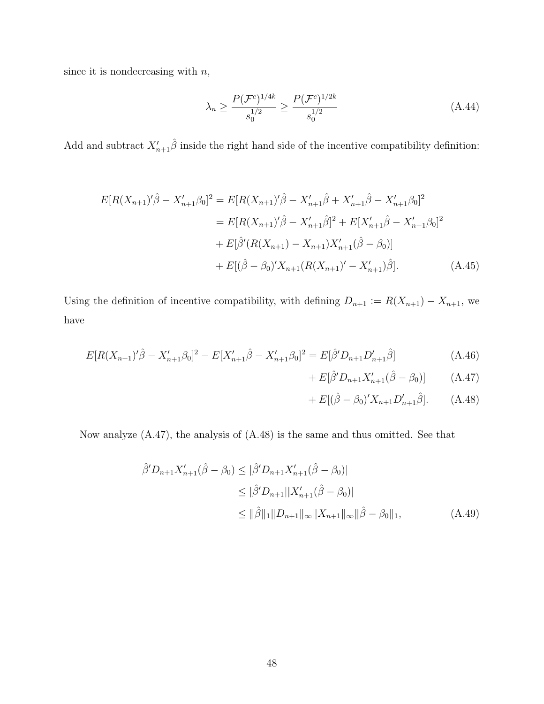since it is nondecreasing with  $\boldsymbol{n},$ 

$$
\lambda_n \ge \frac{P(\mathcal{F}^c)^{1/4k}}{s_0^{1/2}} \ge \frac{P(\mathcal{F}^c)^{1/2k}}{s_0^{1/2}} \tag{A.44}
$$

Add and subtract  $X'_{n+1}\hat{\beta}$  inside the right hand side of the incentive compatibility definition:

$$
E[R(X_{n+1})'\hat{\beta} - X'_{n+1}\beta_0]^2 = E[R(X_{n+1})'\hat{\beta} - X'_{n+1}\hat{\beta} + X'_{n+1}\hat{\beta} - X'_{n+1}\beta_0]^2
$$
  
\n
$$
= E[R(X_{n+1})'\hat{\beta} - X'_{n+1}\hat{\beta}]^2 + E[X'_{n+1}\hat{\beta} - X'_{n+1}\beta_0]^2
$$
  
\n
$$
+ E[\hat{\beta}'(R(X_{n+1}) - X_{n+1})X'_{n+1}(\hat{\beta} - \beta_0)]
$$
  
\n
$$
+ E[(\hat{\beta} - \beta_0)'X_{n+1}(R(X_{n+1})' - X'_{n+1})\hat{\beta}].
$$
 (A.45)

Using the definition of incentive compatibility, with defining  $D_{n+1} := R(X_{n+1}) - X_{n+1}$ , we have

$$
E[R(X_{n+1})'\hat{\beta} - X'_{n+1}\beta_0]^2 - E[X'_{n+1}\hat{\beta} - X'_{n+1}\beta_0]^2 = E[\hat{\beta}'D_{n+1}D'_{n+1}\hat{\beta}]
$$
\n(A.46)

+ 
$$
E[\hat{\beta}' D_{n+1} X'_{n+1} (\hat{\beta} - \beta_0)]
$$
 (A.47)

+ 
$$
E[(\hat{\beta} - \beta_0)'X_{n+1}D'_{n+1}\hat{\beta}].
$$
 (A.48)

Now analyze (A.47), the analysis of (A.48) is the same and thus omitted. See that

$$
\hat{\beta}' D_{n+1} X'_{n+1}(\hat{\beta} - \beta_0) \leq |\hat{\beta}' D_{n+1} X'_{n+1}(\hat{\beta} - \beta_0)|
$$
  
\n
$$
\leq |\hat{\beta}' D_{n+1}| |X'_{n+1}(\hat{\beta} - \beta_0)|
$$
  
\n
$$
\leq ||\hat{\beta}||_1 ||D_{n+1}||_{\infty} ||X_{n+1}||_{\infty} ||\hat{\beta} - \beta_0||_1,
$$
 (A.49)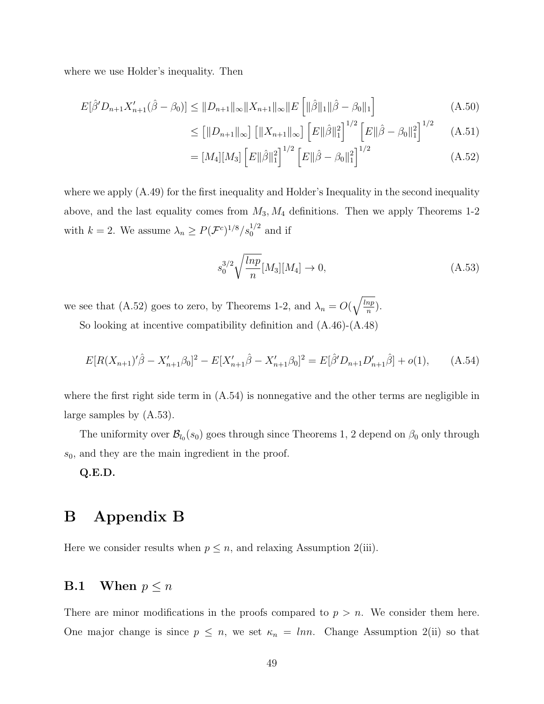where we use Holder's inequality. Then

$$
E[\hat{\beta}' D_{n+1} X'_{n+1}(\hat{\beta} - \beta_0)] \le ||D_{n+1}||_{\infty} ||X_{n+1}||_{\infty} ||E\left[||\hat{\beta}||_1 ||\hat{\beta} - \beta_0||_1\right]
$$
(A.50)

$$
\leq \left[ \|D_{n+1}\|_{\infty} \right] \left[ \|X_{n+1}\|_{\infty} \right] \left[ E\|\hat{\beta}\|_{1}^{2} \right]^{1/2} \left[ E\|\hat{\beta} - \beta_{0}\|_{1}^{2} \right]^{1/2} \tag{A.51}
$$

$$
= [M_4][M_3] [E \|\hat{\beta}\|_1^2]^{1/2} [E \|\hat{\beta} - \beta_0\|_1^2]^{1/2}
$$
\n(A.52)

where we apply  $(A.49)$  for the first inequality and Holder's Inequality in the second inequality above, and the last equality comes from  $M_3, M_4$  definitions. Then we apply Theorems 1-2 with  $k = 2$ . We assume  $\lambda_n \ge P(\mathcal{F}^c)^{1/8}/s_0^{1/2}$  and if

$$
s_0^{3/2} \sqrt{\frac{\ln p}{n}} [M_3][M_4] \to 0,
$$
\n(A.53)

we see that (A.52) goes to zero, by Theorems 1-2, and  $\lambda_n = O(\sqrt{\frac{lnp}{n}})$  $\frac{np}{n}$ ).

So looking at incentive compatibility definition and (A.46)-(A.48)

$$
E[R(X_{n+1})'\hat{\beta} - X'_{n+1}\beta_0]^2 - E[X'_{n+1}\hat{\beta} - X'_{n+1}\beta_0]^2 = E[\hat{\beta}'D_{n+1}D'_{n+1}\hat{\beta}] + o(1), \quad (A.54)
$$

where the first right side term in (A.54) is nonnegative and the other terms are negligible in large samples by (A.53).

The uniformity over  $\mathcal{B}_{l_0}(s_0)$  goes through since Theorems 1, 2 depend on  $\beta_0$  only through  $s_0$ , and they are the main ingredient in the proof.

Q.E.D.

## B Appendix B

Here we consider results when  $p \leq n$ , and relaxing Assumption 2(iii).

### **B.1** When  $p \leq n$

There are minor modifications in the proofs compared to  $p > n$ . We consider them here. One major change is since  $p \leq n$ , we set  $\kappa_n = \ln n$ . Change Assumption 2(ii) so that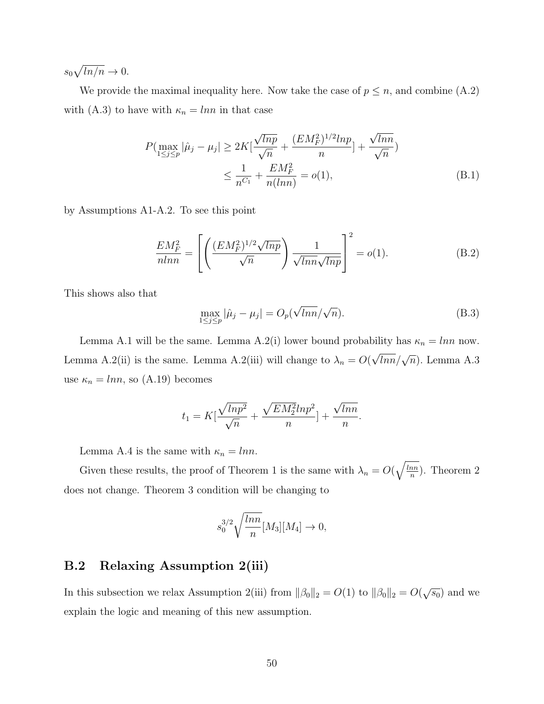$s_0\sqrt{\ln/n}\to 0.$ 

We provide the maximal inequality here. Now take the case of  $p \leq n$ , and combine  $(A.2)$ with (A.3) to have with  $\kappa_n = \ln n$  in that case

$$
P(\max_{1 \le j \le p} |\hat{\mu}_j - \mu_j| \ge 2K[\frac{\sqrt{lnp}}{\sqrt{n}} + \frac{(EM_F^2)^{1/2}lnp}{n}] + \frac{\sqrt{lnn}}{\sqrt{n}})
$$
  

$$
\le \frac{1}{n^{C_1}} + \frac{EM_F^2}{n(lnn)} = o(1),
$$
 (B.1)

by Assumptions A1-A.2. To see this point

$$
\frac{EM_F^2}{nln n} = \left[ \left( \frac{(EM_F^2)^{1/2} \sqrt{ln p}}{\sqrt{n}} \right) \frac{1}{\sqrt{ln n} \sqrt{ln p}} \right]^2 = o(1). \tag{B.2}
$$

This shows also that

$$
\max_{1 \le j \le p} |\hat{\mu}_j - \mu_j| = O_p(\sqrt{\ln n}/\sqrt{n}).
$$
\n(B.3)

Lemma A.1 will be the same. Lemma A.2(i) lower bound probability has  $\kappa_n = \ln n$  now. Lemma A.2(ii) is the same. Lemma A.2(iii) will change to  $\lambda_n = O(n)$  $\sqrt{lnn}/\sqrt{n}$ ). Lemma A.3 use  $\kappa_n = lnn$ , so (A.19) becomes

$$
t_1 = K\left[\frac{\sqrt{lnp^2}}{\sqrt{n}} + \frac{\sqrt{EM_2^2}lnp^2}{n}\right] + \frac{\sqrt{lnn}}{n}.
$$

Lemma A.4 is the same with  $\kappa_n = lnn$ .

Given these results, the proof of Theorem 1 is the same with  $\lambda_n = O(\sqrt{\frac{\ln n}{n}})$  $\frac{nn}{n}$ ). Theorem 2 does not change. Theorem 3 condition will be changing to

$$
s_0^{3/2} \sqrt{\frac{\ln n}{n}} [M_3][M_4] \to 0,
$$

#### B.2 Relaxing Assumption 2(iii)

In this subsection we relax Assumption 2(iii) from  $\|\beta_0\|_2 = O(1)$  to  $\|\beta_0\|_2 = O(\sqrt{s_0})$  and we explain the logic and meaning of this new assumption.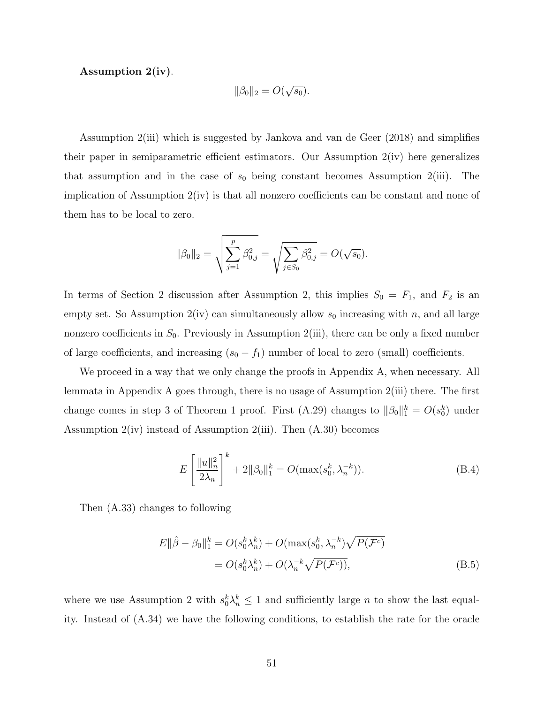Assumption 2(iv).

$$
\|\beta_0\|_2 = O(\sqrt{s_0}).
$$

Assumption 2(iii) which is suggested by Jankova and van de Geer (2018) and simplifies their paper in semiparametric efficient estimators. Our Assumption 2(iv) here generalizes that assumption and in the case of  $s_0$  being constant becomes Assumption 2(iii). The implication of Assumption  $2(iv)$  is that all nonzero coefficients can be constant and none of them has to be local to zero.

$$
\|\beta_0\|_2 = \sqrt{\sum_{j=1}^p \beta_{0,j}^2} = \sqrt{\sum_{j \in S_0} \beta_{0,j}^2} = O(\sqrt{s_0}).
$$

In terms of Section 2 discussion after Assumption 2, this implies  $S_0 = F_1$ , and  $F_2$  is an empty set. So Assumption 2(iv) can simultaneously allow  $s_0$  increasing with n, and all large nonzero coefficients in  $S_0$ . Previously in Assumption 2(iii), there can be only a fixed number of large coefficients, and increasing  $(s_0 - f_1)$  number of local to zero (small) coefficients.

We proceed in a way that we only change the proofs in Appendix A, when necessary. All lemmata in Appendix A goes through, there is no usage of Assumption 2(iii) there. The first change comes in step 3 of Theorem 1 proof. First (A.29) changes to  $\|\beta_0\|_1^k = O(s_0^k)$  under Assumption 2(iv) instead of Assumption 2(iii). Then (A.30) becomes

$$
E\left[\frac{\|u\|_n^2}{2\lambda_n}\right]^k + 2\|\beta_0\|_1^k = O(\max(s_0^k, \lambda_n^{-k})).
$$
\n(B.4)

Then (A.33) changes to following

$$
E||\hat{\beta} - \beta_0||_1^k = O(s_0^k \lambda_n^k) + O(\max(s_0^k, \lambda_n^{-k})\sqrt{P(\mathcal{F}^c)}
$$
  
=  $O(s_0^k \lambda_n^k) + O(\lambda_n^{-k} \sqrt{P(\mathcal{F}^c)})$ , (B.5)

where we use Assumption 2 with  $s_0^k \lambda_n^k \leq 1$  and sufficiently large *n* to show the last equality. Instead of (A.34) we have the following conditions, to establish the rate for the oracle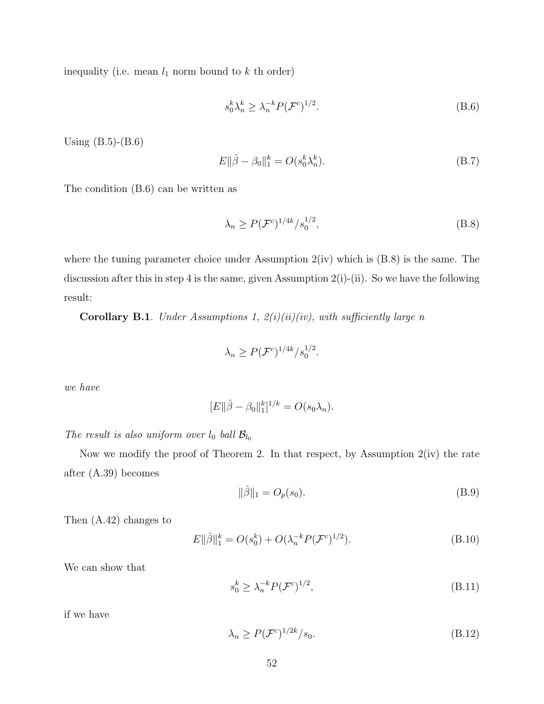inequality (i.e. mean  $l_1$  norm bound to  $k$  th order)

$$
s_0^k \lambda_n^k \ge \lambda_n^{-k} P(\mathcal{F}^c)^{1/2}.
$$
 (B.6)

Using (B.5)-(B.6)

$$
E\|\hat{\beta} - \beta_0\|_1^k = O(s_0^k \lambda_n^k). \tag{B.7}
$$

The condition (B.6) can be written as

$$
\lambda_n \ge P(\mathcal{F}^c)^{1/4k} / s_0^{1/2},\tag{B.8}
$$

where the tuning parameter choice under Assumption  $2(iv)$  which is  $(B.8)$  is the same. The discussion after this in step 4 is the same, given Assumption  $2(i)-(ii)$ . So we have the following result:

Corollary B.1. Under Assumptions 1,  $2(i)(ii)(iv)$ , with sufficiently large n

$$
\lambda_n \ge P(\mathcal{F}^c)^{1/4k}/s_0^{1/2}.
$$

we have

$$
[E||\hat{\beta} - \beta_0||_1^k]^{1/k} = O(s_0\lambda_n).
$$

The result is also uniform over  $l_0$  ball  $\mathcal{B}_{l_0}$ 

Now we modify the proof of Theorem 2. In that respect, by Assumption  $2(iv)$  the rate after (A.39) becomes

$$
\|\hat{\beta}\|_1 = O_p(s_0). \tag{B.9}
$$

Then (A.42) changes to

$$
E\|\hat{\beta}\|_{1}^{k} = O(s_0^k) + O(\lambda_n^{-k} P(\mathcal{F}^c)^{1/2}).
$$
\n(B.10)

We can show that

$$
s_0^k \ge \lambda_n^{-k} P(\mathcal{F}^c)^{1/2},\tag{B.11}
$$

if we have

$$
\lambda_n \ge P(\mathcal{F}^c)^{1/2k}/s_0. \tag{B.12}
$$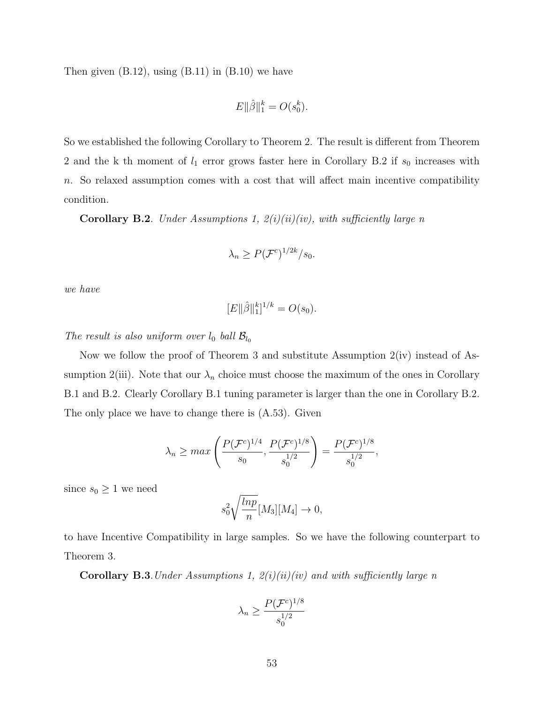Then given  $(B.12)$ , using  $(B.11)$  in  $(B.10)$  we have

$$
E\|\hat{\beta}\|_{1}^{k} = O(s_0^k).
$$

So we established the following Corollary to Theorem 2. The result is different from Theorem 2 and the k th moment of  $l_1$  error grows faster here in Corollary B.2 if  $s_0$  increases with  $n.$  So relaxed assumption comes with a cost that will affect main incentive compatibility condition.

Corollary B.2. Under Assumptions 1,  $2(i)(ii)(iv)$ , with sufficiently large n

$$
\lambda_n \ge P(\mathcal{F}^c)^{1/2k}/s_0.
$$

we have

$$
[E \| \hat{\beta} \|_1^k]^{1/k} = O(s_0).
$$

The result is also uniform over  $l_0$  ball  $\mathcal{B}_{l_0}$ 

Now we follow the proof of Theorem 3 and substitute Assumption 2(iv) instead of Assumption 2(iii). Note that our  $\lambda_n$  choice must choose the maximum of the ones in Corollary B.1 and B.2. Clearly Corollary B.1 tuning parameter is larger than the one in Corollary B.2. The only place we have to change there is (A.53). Given

$$
\lambda_n \ge \max\left(\frac{P(\mathcal{F}^c)^{1/4}}{s_0}, \frac{P(\mathcal{F}^c)^{1/8}}{s_0^{1/2}}\right) = \frac{P(\mathcal{F}^c)^{1/8}}{s_0^{1/2}},
$$

since  $s_0 \geq 1$  we need

$$
s_0^2 \sqrt{\frac{\ln p}{n}} [M_3][M_4] \to 0,
$$

to have Incentive Compatibility in large samples. So we have the following counterpart to Theorem 3.

Corollary B.3. Under Assumptions 1,  $2(i)(ii)(iv)$  and with sufficiently large n

$$
\lambda_n \ge \frac{P(\mathcal{F}^c)^{1/8}}{s_0^{1/2}}
$$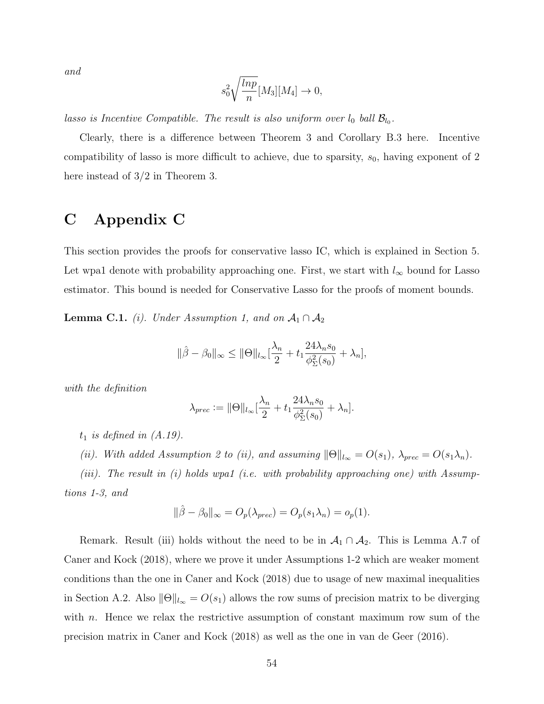and

$$
s_0^2 \sqrt{\frac{\ln p}{n}} [M_3][M_4] \to 0,
$$

lasso is Incentive Compatible. The result is also uniform over  $l_0$  ball  $\mathcal{B}_{l_0}$ .

Clearly, there is a difference between Theorem 3 and Corollary B.3 here. Incentive compatibility of lasso is more difficult to achieve, due to sparsity,  $s_0$ , having exponent of 2 here instead of 3/2 in Theorem 3.

## C Appendix C

This section provides the proofs for conservative lasso IC, which is explained in Section 5. Let wpa1 denote with probability approaching one. First, we start with  $l_{\infty}$  bound for Lasso estimator. This bound is needed for Conservative Lasso for the proofs of moment bounds.

**Lemma C.1.** (i). Under Assumption 1, and on  $A_1 \cap A_2$ 

$$
\|\hat{\beta} - \beta_0\|_{\infty} \le \|\Theta\|_{l_{\infty}} \left[\frac{\lambda_n}{2} + t_1 \frac{24\lambda_n s_0}{\phi_{\Sigma}^2(s_0)} + \lambda_n\right],
$$

with the definition

$$
\lambda_{prec} := \|\Theta\|_{l_{\infty}} \left[\frac{\lambda_n}{2} + t_1 \frac{24\lambda_n s_0}{\phi_{\Sigma}^2(s_0)} + \lambda_n\right].
$$

 $t_1$  is defined in  $(A.19)$ .

(ii). With added Assumption 2 to (ii), and assuming  $\|\Theta\|_{l_{\infty}} = O(s_1)$ ,  $\lambda_{prec} = O(s_1\lambda_n)$ .

(iii). The result in (i) holds wpa1 (i.e. with probability approaching one) with Assumptions 1-3, and

$$
\|\hat{\beta} - \beta_0\|_{\infty} = O_p(\lambda_{prec}) = O_p(s_1\lambda_n) = o_p(1).
$$

Remark. Result (iii) holds without the need to be in  $\mathcal{A}_1 \cap \mathcal{A}_2$ . This is Lemma A.7 of Caner and Kock (2018), where we prove it under Assumptions 1-2 which are weaker moment conditions than the one in Caner and Kock (2018) due to usage of new maximal inequalities in Section A.2. Also  $\|\Theta\|_{l_{\infty}} = O(s_1)$  allows the row sums of precision matrix to be diverging with *n*. Hence we relax the restrictive assumption of constant maximum row sum of the precision matrix in Caner and Kock (2018) as well as the one in van de Geer (2016).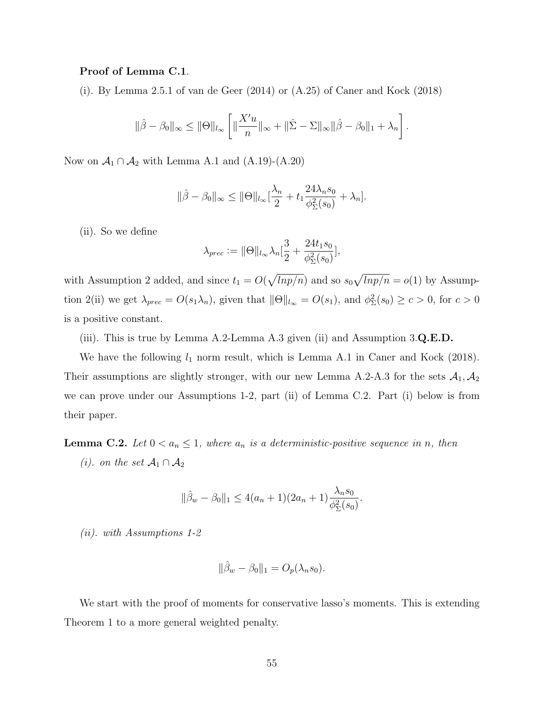#### Proof of Lemma C.1.

(i). By Lemma 2.5.1 of van de Geer (2014) or (A.25) of Caner and Kock (2018)

$$
\|\hat{\beta} - \beta_0\|_{\infty} \le \|\Theta\|_{l_{\infty}} \left[ \|\frac{X'u}{n}\|_{\infty} + \|\hat{\Sigma} - \Sigma\|_{\infty} \|\hat{\beta} - \beta_0\|_1 + \lambda_n \right].
$$

Now on  $\mathcal{A}_1 \cap \mathcal{A}_2$  with Lemma A.1 and (A.19)-(A.20)

$$
\|\hat{\beta} - \beta_0\|_{\infty} \le \|\Theta\|_{l_{\infty}} \left[\frac{\lambda_n}{2} + t_1 \frac{24\lambda_n s_0}{\phi_{\Sigma}^2(s_0)} + \lambda_n\right].
$$

(ii). So we define

$$
\lambda_{prec} := \|\Theta\|_{l_{\infty}} \lambda_n \left[\frac{3}{2} + \frac{24t_1 s_0}{\phi_{\Sigma}^2(s_0)}\right],
$$

with Assumption 2 added, and since  $t_1 = O(\sqrt{lnp/n})$  and so  $s_0\sqrt{lnp/n} = o(1)$  by Assumption 2(ii) we get  $\lambda_{prec} = O(s_1\lambda_n)$ , given that  $\|\Theta\|_{l_\infty} = O(s_1)$ , and  $\phi_{\Sigma}^2(s_0) \ge c > 0$ , for  $c > 0$ is a positive constant.

(iii). This is true by Lemma A.2-Lemma A.3 given (ii) and Assumption  $3.\mathbf{Q}.\mathbf{E}.\mathbf{D}.\mathbf{Q}.\mathbf{E}.\mathbf{D}.\mathbf{Q}.\mathbf{Q}.\mathbf{E}.\mathbf{D}.\mathbf{Q}.\mathbf{Q}.\mathbf{Q}.\mathbf{E}.\mathbf{D}.\mathbf{Q}.\mathbf{Q}.\mathbf{Q}.\mathbf{Q}.\mathbf{Q}.\mathbf{Q}.\mathbf{Q}.\mathbf{Q}.\mathbf{Q}.\mathbf{Q}$ 

We have the following  $l_1$  norm result, which is Lemma A.1 in Caner and Kock (2018). Their assumptions are slightly stronger, with our new Lemma A.2-A.3 for the sets  $A_1$ ,  $A_2$ we can prove under our Assumptions 1-2, part (ii) of Lemma C.2. Part (i) below is from their paper.

**Lemma C.2.** Let  $0 < a_n \leq 1$ , where  $a_n$  is a deterministic-positive sequence in n, then

(*i*). on the set  $\mathcal{A}_1 \cap \mathcal{A}_2$ 

$$
\|\hat{\beta}_w - \beta_0\|_1 \le 4(a_n + 1)(2a_n + 1)\frac{\lambda_n s_0}{\phi_{\Sigma}^2(s_0)}.
$$

(ii). with Assumptions 1-2

$$
\|\hat{\beta}_w - \beta_0\|_1 = O_p(\lambda_n s_0).
$$

We start with the proof of moments for conservative lasso's moments. This is extending Theorem 1 to a more general weighted penalty.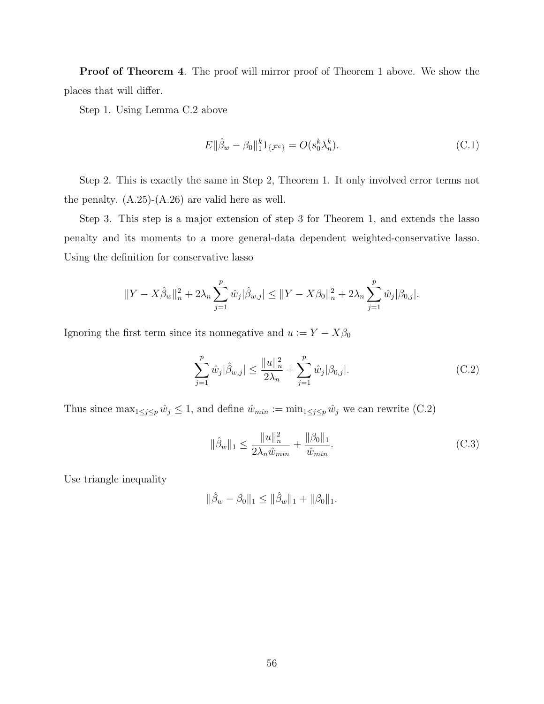Proof of Theorem 4. The proof will mirror proof of Theorem 1 above. We show the places that will differ.

Step 1. Using Lemma C.2 above

$$
E\|\hat{\beta}_w - \beta_0\|_{1}^{k} 1_{\{\mathcal{F}^c\}} = O(s_0^k \lambda_n^k). \tag{C.1}
$$

Step 2. This is exactly the same in Step 2, Theorem 1. It only involved error terms not the penalty.  $(A.25)-(A.26)$  are valid here as well.

Step 3. This step is a major extension of step 3 for Theorem 1, and extends the lasso penalty and its moments to a more general-data dependent weighted-conservative lasso. Using the definition for conservative lasso

$$
||Y - X\hat{\beta}_w||_n^2 + 2\lambda_n \sum_{j=1}^p \hat{w}_j |\hat{\beta}_{w,j}| \le ||Y - X\beta_0||_n^2 + 2\lambda_n \sum_{j=1}^p \hat{w}_j |\beta_{0,j}|.
$$

Ignoring the first term since its nonnegative and  $u := Y - X\beta_0$ 

$$
\sum_{j=1}^{p} \hat{w}_j |\hat{\beta}_{w,j}| \le \frac{||u||_n^2}{2\lambda_n} + \sum_{j=1}^{p} \hat{w}_j |\beta_{0,j}|.
$$
 (C.2)

Thus since  $\max_{1 \leq j \leq p} \hat{w}_j \leq 1$ , and define  $\hat{w}_{min} := \min_{1 \leq j \leq p} \hat{w}_j$  we can rewrite (C.2)

$$
\|\hat{\beta}_w\|_1 \le \frac{\|u\|_n^2}{2\lambda_n \hat{w}_{min}} + \frac{\|\beta_0\|_1}{\hat{w}_{min}}.\tag{C.3}
$$

Use triangle inequality

$$
\|\hat{\beta}_w - \beta_0\|_1 \le \|\hat{\beta}_w\|_1 + \|\beta_0\|_1.
$$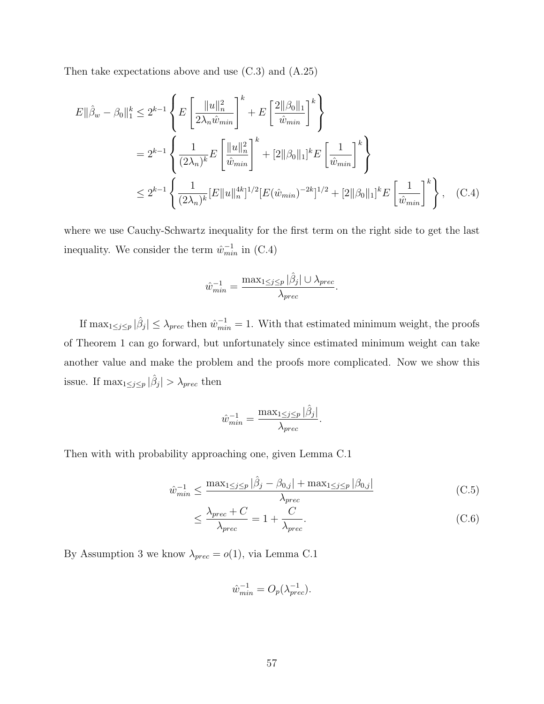Then take expectations above and use (C.3) and (A.25)

$$
E\|\hat{\beta}_{w} - \beta_{0}\|_{1}^{k} \leq 2^{k-1} \left\{ E\left[\frac{\|u\|_{n}^{2}}{2\lambda_{n}\hat{w}_{min}}\right]^{k} + E\left[\frac{2\|\beta_{0}\|_{1}}{\hat{w}_{min}}\right]^{k} \right\}
$$
  

$$
= 2^{k-1} \left\{ \frac{1}{(2\lambda_{n})^{k}} E\left[\frac{\|u\|_{n}^{2}}{\hat{w}_{min}}\right]^{k} + [2\|\beta_{0}\|_{1}]^{k} E\left[\frac{1}{\hat{w}_{min}}\right]^{k} \right\}
$$
  

$$
\leq 2^{k-1} \left\{ \frac{1}{(2\lambda_{n})^{k}} [E\|u\|_{n}^{4k}]^{1/2} [E(\hat{w}_{min})^{-2k}]^{1/2} + [2\|\beta_{0}\|_{1}]^{k} E\left[\frac{1}{\hat{w}_{min}}\right]^{k} \right\}, \quad (C.4)
$$

where we use Cauchy-Schwartz inequality for the first term on the right side to get the last inequality. We consider the term  $\hat{w}_{min}^{-1}$  in (C.4)

$$
\hat{w}_{min}^{-1} = \frac{\max_{1 \le j \le p} |\hat{\beta}_j| \cup \lambda_{prec}}{\lambda_{prec}}.
$$

If  $\max_{1 \leq j \leq p} |\hat{\beta}_j| \leq \lambda_{prec}$  then  $\hat{w}_{min}^{-1} = 1$ . With that estimated minimum weight, the proofs of Theorem 1 can go forward, but unfortunately since estimated minimum weight can take another value and make the problem and the proofs more complicated. Now we show this issue. If  $\max_{1 \leq j \leq p} |\hat{\beta}_j| > \lambda_{prec}$  then

$$
\hat{w}_{min}^{-1} = \frac{\max_{1 \le j \le p} |\hat{\beta}_j|}{\lambda_{prec}}.
$$

Then with with probability approaching one, given Lemma C.1

$$
\hat{w}_{min}^{-1} \le \frac{\max_{1 \le j \le p} |\hat{\beta}_j - \beta_{0,j}| + \max_{1 \le j \le p} |\beta_{0,j}|}{\lambda_{prec}} \tag{C.5}
$$

$$
\leq \frac{\lambda_{prec} + C}{\lambda_{prec}} = 1 + \frac{C}{\lambda_{prec}}.
$$
\n(C.6)

By Assumption 3 we know  $\lambda_{prec} = o(1)$ , via Lemma C.1

$$
\hat{w}_{min}^{-1} = O_p(\lambda_{prec}^{-1}).
$$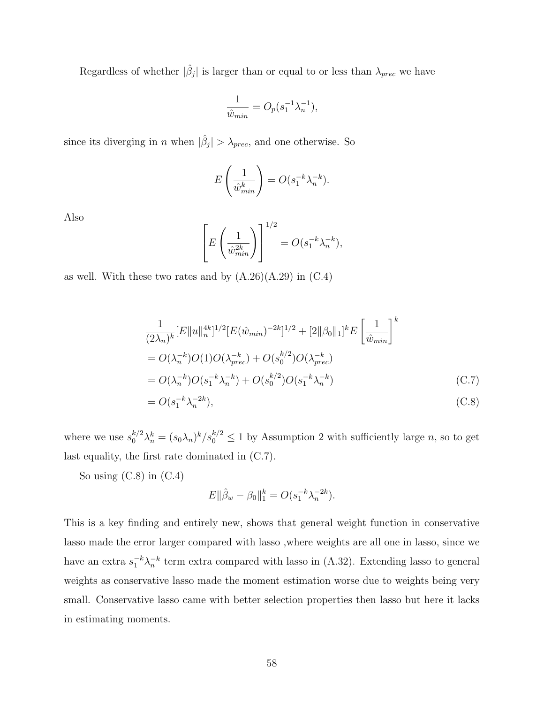Regardless of whether  $|\hat{\beta}_j|$  is larger than or equal to or less than  $\lambda_{prec}$  we have

$$
\frac{1}{\hat{w}_{min}} = O_p(s_1^{-1} \lambda_n^{-1}),
$$

since its diverging in *n* when  $|\hat{\beta}_j| > \lambda_{prec}$ , and one otherwise. So

$$
E\left(\frac{1}{\hat{w}_{min}^k}\right) = O(s_1^{-k}\lambda_n^{-k}).
$$

Also

$$
\left[E\left(\frac{1}{\hat{w}_{min}^{2k}}\right)\right]^{1/2} = O(s_1^{-k}\lambda_n^{-k}),
$$

as well. With these two rates and by  $(A.26)(A.29)$  in  $(C.4)$ 

$$
\frac{1}{(2\lambda_n)^k} [E||u||_n^{4k}]^{1/2} [E(\hat{w}_{min})^{-2k}]^{1/2} + [2||\beta_0||_1]^k E\left[\frac{1}{\hat{w}_{min}}\right]^k
$$
  
=  $O(\lambda_n^{-k})O(1)O(\lambda_{prec}^{-k}) + O(s_0^{k/2})O(\lambda_{prec}^{-k})$   
=  $O(\lambda_n^{-k})O(s_1^{-k}\lambda_n^{-k}) + O(s_0^{k/2})O(s_1^{-k}\lambda_n^{-k})$  (C.7)

$$
=O(s_1^{-k}\lambda_n^{-2k}),
$$
 (C.8)

where we use  $s_0^{k/2}\lambda_n^k = (s_0\lambda_n)^k/s_0^{k/2} \le 1$  by Assumption 2 with sufficiently large n, so to get last equality, the first rate dominated in (C.7).

So using  $(C.8)$  in  $(C.4)$ 

$$
E\|\hat{\beta}_w - \beta_0\|_1^k = O(s_1^{-k}\lambda_n^{-2k}).
$$

This is a key finding and entirely new, shows that general weight function in conservative lasso made the error larger compared with lasso ,where weights are all one in lasso, since we have an extra  $s_1^{-k}\lambda_n^{-k}$  term extra compared with lasso in (A.32). Extending lasso to general weights as conservative lasso made the moment estimation worse due to weights being very small. Conservative lasso came with better selection properties then lasso but here it lacks in estimating moments.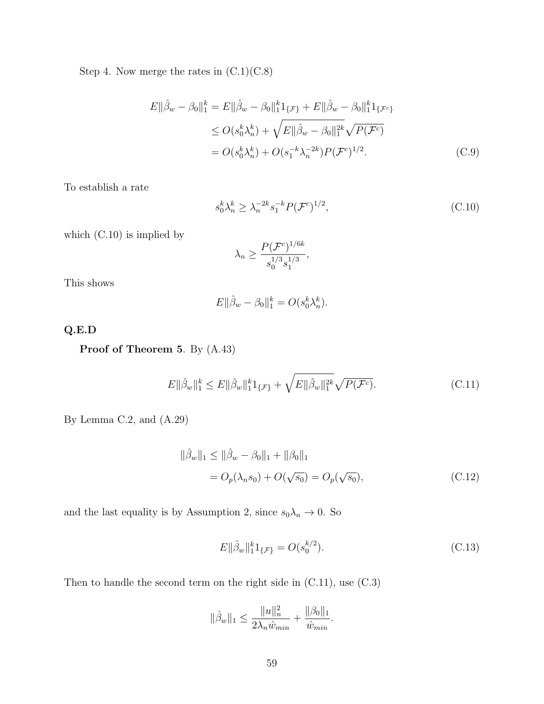Step 4. Now merge the rates in  $(C.1)(C.8)$ 

$$
E||\hat{\beta}_{w} - \beta_{0}||_{1}^{k} = E||\hat{\beta}_{w} - \beta_{0}||_{1}^{k}1_{\{\mathcal{F}\}} + E||\hat{\beta}_{w} - \beta_{0}||_{1}^{k}1_{\{\mathcal{F}^{c}\}}
$$
  
\n
$$
\leq O(s_{0}^{k}\lambda_{n}^{k}) + \sqrt{E||\hat{\beta}_{w} - \beta_{0}||_{1}^{2k}}\sqrt{P(\mathcal{F}^{c})}
$$
  
\n
$$
= O(s_{0}^{k}\lambda_{n}^{k}) + O(s_{1}^{-k}\lambda_{n}^{-2k})P(\mathcal{F}^{c})^{1/2}.
$$
 (C.9)

To establish a rate

$$
s_0^k \lambda_n^k \ge \lambda_n^{-2k} s_1^{-k} P(\mathcal{F}^c)^{1/2},\tag{C.10}
$$

which (C.10) is implied by

$$
\lambda_n \ge \frac{P(\mathcal{F}^c)^{1/6k}}{s_0^{1/3} s_1^{1/3}},
$$

This shows

$$
E\|\hat{\beta}_w - \beta_0\|_1^k = O(s_0^k \lambda_n^k).
$$

Q.E.D

Proof of Theorem 5. By (A.43)

$$
E\|\hat{\beta}_w\|_1^k \le E\|\hat{\beta}_w\|_1^k 1_{\{\mathcal{F}\}} + \sqrt{E\|\hat{\beta}_w\|_1^{2k}} \sqrt{P(\mathcal{F}^c)}.
$$
 (C.11)

By Lemma C.2, and (A.29)

$$
\|\hat{\beta}_w\|_1 \le \|\hat{\beta}_w - \beta_0\|_1 + \|\beta_0\|_1
$$
  
=  $O_p(\lambda_n s_0) + O(\sqrt{s_0}) = O_p(\sqrt{s_0}),$  (C.12)

and the last equality is by Assumption 2, since  $s_0\lambda_n \to 0$ . So

$$
E\|\hat{\beta}_w\|_1^k 1_{\{\mathcal{F}\}} = O(s_0^{k/2}).\tag{C.13}
$$

Then to handle the second term on the right side in (C.11), use (C.3)

$$
\|\hat{\beta}_w\|_1 \leq \frac{\|u\|_n^2}{2\lambda_n \hat{w}_{min}} + \frac{\|\beta_0\|_1}{\hat{w}_{min}}.
$$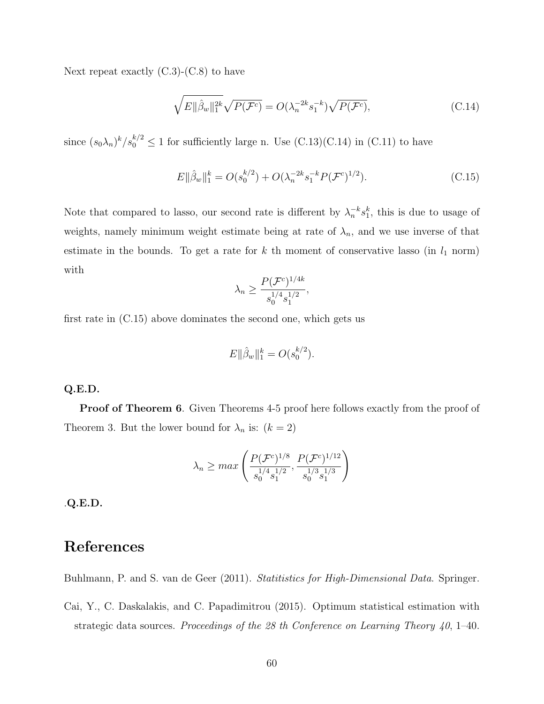Next repeat exactly  $(C.3)-(C.8)$  to have

$$
\sqrt{E \|\hat{\beta}_w\|_1^{2k}} \sqrt{P(\mathcal{F}^c)} = O(\lambda_n^{-2k} s_1^{-k}) \sqrt{P(\mathcal{F}^c)},
$$
\n(C.14)

since  $(s_0\lambda_n)^k/s_0^{k/2} \leq 1$  for sufficiently large n. Use  $(C.13)(C.14)$  in  $(C.11)$  to have

$$
E\|\hat{\beta}_w\|_1^k = O(s_0^{k/2}) + O(\lambda_n^{-2k} s_1^{-k} P(\mathcal{F}^c)^{1/2}).
$$
\n(C.15)

Note that compared to lasso, our second rate is different by  $\lambda_n^{-k} s_1^k$ , this is due to usage of weights, namely minimum weight estimate being at rate of  $\lambda_n$ , and we use inverse of that estimate in the bounds. To get a rate for  $k$  th moment of conservative lasso (in  $l_1$  norm) with

$$
\lambda_n \ge \frac{P(\mathcal{F}^c)^{1/4k}}{s_0^{1/4} s_1^{1/2}},
$$

first rate in (C.15) above dominates the second one, which gets us

$$
E\|\hat{\beta}_w\|_1^k = O(s_0^{k/2}).
$$

#### Q.E.D.

**Proof of Theorem 6.** Given Theorems 4-5 proof here follows exactly from the proof of Theorem 3. But the lower bound for  $\lambda_n$  is:  $(k = 2)$ 

$$
\lambda_n \ge \max\left(\frac{P(\mathcal{F}^c)^{1/8}}{s_0^{1/4} s_1^{1/2}}, \frac{P(\mathcal{F}^c)^{1/12}}{s_0^{1/3} s_1^{1/3}}\right)
$$

.Q.E.D.

## References

Buhlmann, P. and S. van de Geer (2011). Statitistics for High-Dimensional Data. Springer.

Cai, Y., C. Daskalakis, and C. Papadimitrou (2015). Optimum statistical estimation with strategic data sources. Proceedings of the 28 th Conference on Learning Theory  $40$ , 1–40.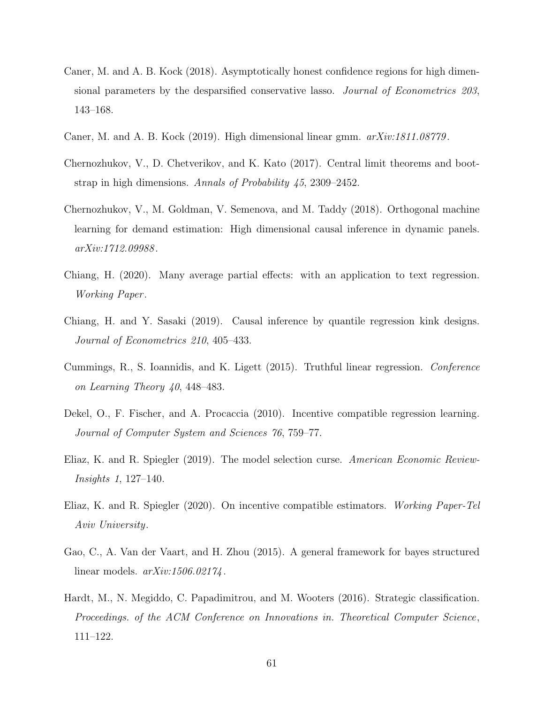- Caner, M. and A. B. Kock (2018). Asymptotically honest confidence regions for high dimensional parameters by the desparsified conservative lasso. Journal of Econometrics 203, 143–168.
- Caner, M. and A. B. Kock (2019). High dimensional linear gmm.  $arXiv:1811.08779$ .
- Chernozhukov, V., D. Chetverikov, and K. Kato (2017). Central limit theorems and bootstrap in high dimensions. Annals of Probability 45, 2309–2452.
- Chernozhukov, V., M. Goldman, V. Semenova, and M. Taddy (2018). Orthogonal machine learning for demand estimation: High dimensional causal inference in dynamic panels. arXiv:1712.09988 .
- Chiang, H. (2020). Many average partial effects: with an application to text regression. Working Paper .
- Chiang, H. and Y. Sasaki (2019). Causal inference by quantile regression kink designs. Journal of Econometrics 210, 405–433.
- Cummings, R., S. Ioannidis, and K. Ligett (2015). Truthful linear regression. Conference on Learning Theory 40, 448–483.
- Dekel, O., F. Fischer, and A. Procaccia (2010). Incentive compatible regression learning. Journal of Computer System and Sciences 76, 759–77.
- Eliaz, K. and R. Spiegler (2019). The model selection curse. American Economic Review-Insights 1, 127–140.
- Eliaz, K. and R. Spiegler (2020). On incentive compatible estimators. Working Paper-Tel Aviv University.
- Gao, C., A. Van der Vaart, and H. Zhou (2015). A general framework for bayes structured linear models. arXiv:1506.02174 .
- Hardt, M., N. Megiddo, C. Papadimitrou, and M. Wooters (2016). Strategic classification. Proceedings. of the ACM Conference on Innovations in. Theoretical Computer Science, 111–122.